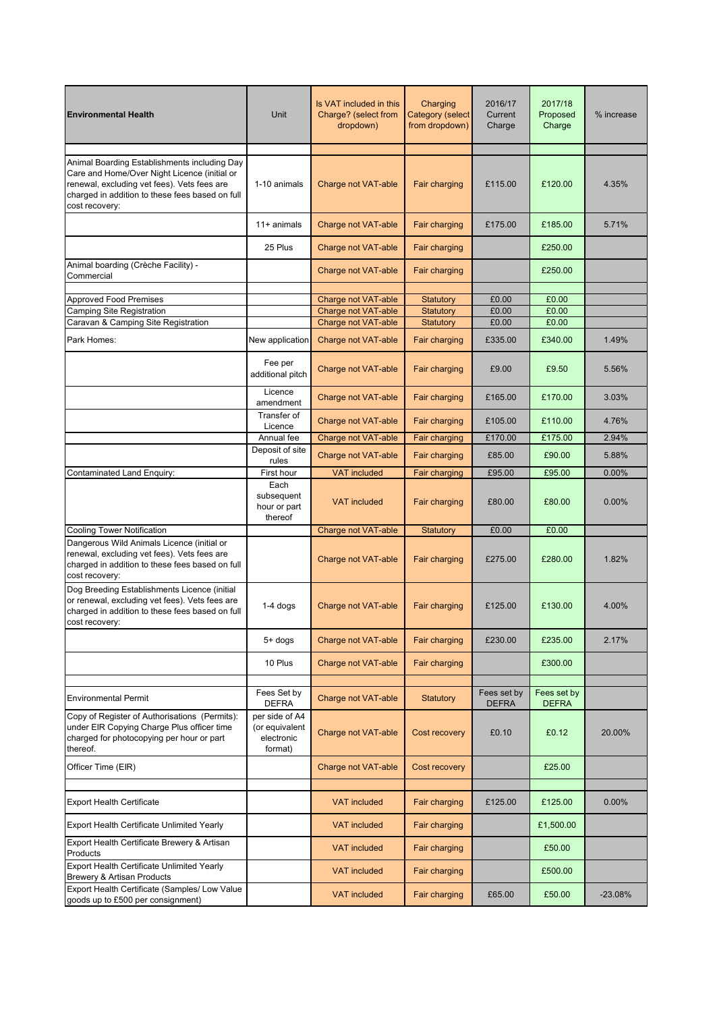| <b>Environmental Health</b>                                                                                                                                                                                      | Unit                                                                      | Is VAT included in this<br>Charge? (select from<br>dropdown) | Charging<br><b>Category (select</b><br>from dropdown) | 2016/17<br>Current<br>Charge | 2017/18<br>Proposed<br>Charge | % increase |
|------------------------------------------------------------------------------------------------------------------------------------------------------------------------------------------------------------------|---------------------------------------------------------------------------|--------------------------------------------------------------|-------------------------------------------------------|------------------------------|-------------------------------|------------|
|                                                                                                                                                                                                                  |                                                                           |                                                              |                                                       |                              |                               |            |
| Animal Boarding Establishments including Day<br>Care and Home/Over Night Licence (initial or<br>renewal, excluding vet fees). Vets fees are<br>charged in addition to these fees based on full<br>cost recovery: | 1-10 animals                                                              | Charge not VAT-able                                          | Fair charging                                         | £115.00                      | £120.00                       | 4.35%      |
|                                                                                                                                                                                                                  | $11+$ animals                                                             | Charge not VAT-able                                          | Fair charging                                         | £175.00                      | £185.00                       | 5.71%      |
|                                                                                                                                                                                                                  | 25 Plus                                                                   | <b>Charge not VAT-able</b>                                   | Fair charging                                         |                              | £250.00                       |            |
| Animal boarding (Crèche Facility) -<br>Commercial                                                                                                                                                                |                                                                           | Charge not VAT-able                                          | Fair charging                                         |                              | £250.00                       |            |
|                                                                                                                                                                                                                  |                                                                           |                                                              |                                                       |                              |                               |            |
| <b>Approved Food Premises</b>                                                                                                                                                                                    |                                                                           | Charge not VAT-able<br>Charge not VAT-able                   | <b>Statutory</b>                                      | £0.00<br>£0.00               | £0.00<br>£0.00                |            |
| <b>Camping Site Registration</b><br>Caravan & Camping Site Registration                                                                                                                                          |                                                                           | Charge not VAT-able                                          | Statutory<br>Statutory                                | £0.00                        | £0.00                         |            |
| Park Homes:                                                                                                                                                                                                      | New application                                                           | Charge not VAT-able                                          | Fair charging                                         | £335.00                      | £340.00                       | 1.49%      |
|                                                                                                                                                                                                                  | Fee per<br>additional pitch                                               | Charge not VAT-able                                          | Fair charging                                         | £9.00                        | £9.50                         | 5.56%      |
|                                                                                                                                                                                                                  | Licence<br>amendment                                                      | Charge not VAT-able                                          | Fair charging                                         | £165.00                      | £170.00                       | 3.03%      |
|                                                                                                                                                                                                                  | Transfer of<br>Licence                                                    | <b>Charge not VAT-able</b>                                   | Fair charging                                         | £105.00                      | £110.00                       | 4.76%      |
|                                                                                                                                                                                                                  | Annual fee                                                                | Charge not VAT-able                                          | Fair charging                                         | £170.00                      | £175.00                       | 2.94%      |
|                                                                                                                                                                                                                  | Deposit of site<br>rules                                                  | Charge not VAT-able                                          | Fair charging                                         | £85.00                       | £90.00                        | 5.88%      |
| Contaminated Land Enquiry:                                                                                                                                                                                       | First hour                                                                | <b>VAT included</b>                                          | Fair charging                                         | £95.00                       | £95.00                        | 0.00%      |
|                                                                                                                                                                                                                  | Each<br>subsequent<br>hour or part<br>thereof                             | <b>VAT included</b>                                          | Fair charging                                         | £80.00                       | £80.00                        | $0.00\%$   |
| <b>Cooling Tower Notification</b>                                                                                                                                                                                |                                                                           | Charge not VAT-able                                          | <b>Statutory</b>                                      | £0.00                        | £0.00                         |            |
| Dangerous Wild Animals Licence (initial or<br>renewal, excluding vet fees). Vets fees are<br>charged in addition to these fees based on full<br>cost recovery:                                                   |                                                                           | Charge not VAT-able                                          | Fair charging                                         | £275.00                      | £280.00                       | 1.82%      |
| Dog Breeding Establishments Licence (initial<br>or renewal, excluding vet fees). Vets fees are<br>charged in addition to these fees based on full<br>cost recovery:                                              | $1-4$ dogs                                                                | Charge not VAT-able                                          | Fair charging                                         | £125.00                      | £130.00                       | 4.00%      |
|                                                                                                                                                                                                                  | $5+$ dogs                                                                 | Charge not VAT-able                                          | Fair charging                                         | £230.00                      | £235.00                       | 2.17%      |
|                                                                                                                                                                                                                  | 10 Plus                                                                   | Charge not VAT-able                                          | Fair charging                                         |                              | £300.00                       |            |
| <b>Environmental Permit</b>                                                                                                                                                                                      | Fees Set by                                                               | Charge not VAT-able                                          | <b>Statutory</b>                                      | Fees set by                  | Fees set by                   |            |
| Copy of Register of Authorisations (Permits):<br>under EIR Copying Charge Plus officer time<br>charged for photocopying per hour or part<br>thereof.                                                             | <b>DEFRA</b><br>per side of A4<br>(or equivalent<br>electronic<br>format) | <b>Charge not VAT-able</b>                                   | Cost recovery                                         | <b>DEFRA</b><br>£0.10        | <b>DEFRA</b><br>£0.12         | 20.00%     |
| Officer Time (EIR)                                                                                                                                                                                               |                                                                           | Charge not VAT-able                                          | <b>Cost recovery</b>                                  |                              | £25.00                        |            |
| <b>Export Health Certificate</b>                                                                                                                                                                                 |                                                                           | <b>VAT included</b>                                          | Fair charging                                         | £125.00                      | £125.00                       | 0.00%      |
| Export Health Certificate Unlimited Yearly                                                                                                                                                                       |                                                                           | <b>VAT included</b>                                          | Fair charging                                         |                              | £1,500.00                     |            |
| Export Health Certificate Brewery & Artisan<br>Products                                                                                                                                                          |                                                                           | <b>VAT included</b>                                          | Fair charging                                         |                              | £50.00                        |            |
| Export Health Certificate Unlimited Yearly<br>Brewery & Artisan Products                                                                                                                                         |                                                                           | <b>VAT included</b>                                          | Fair charging                                         |                              | £500.00                       |            |
| Export Health Certificate (Samples/ Low Value<br>goods up to £500 per consignment)                                                                                                                               |                                                                           | <b>VAT included</b>                                          | Fair charging                                         | £65.00                       | £50.00                        | $-23.08%$  |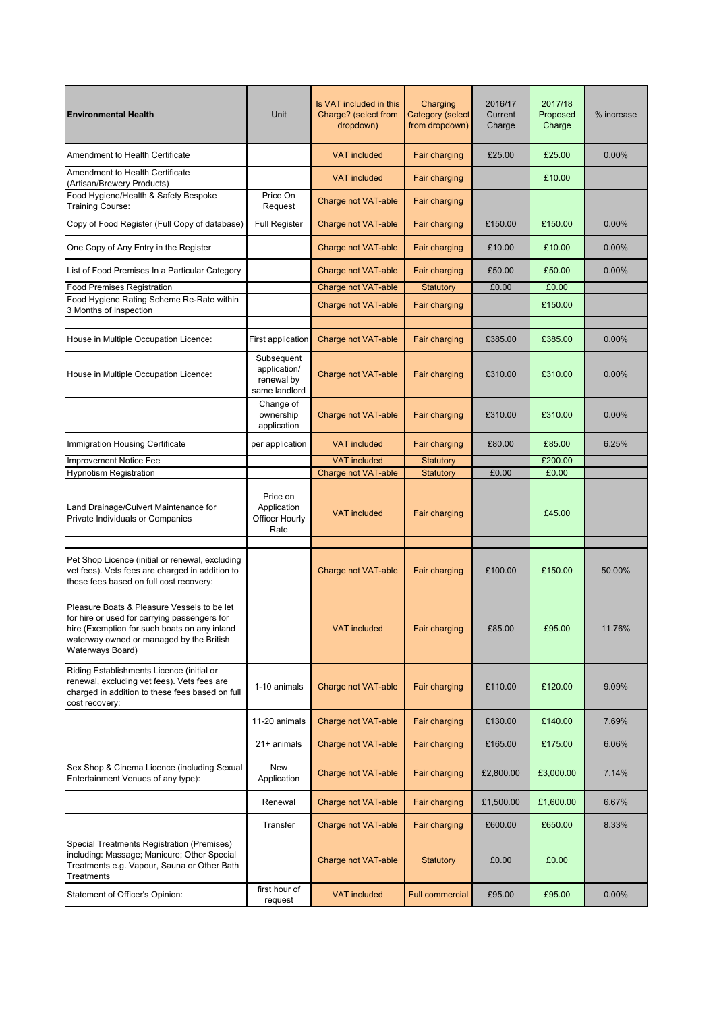| <b>Environmental Health</b>                                                                                                                                                                                 | Unit                                                      | Is VAT included in this<br>Charge? (select from<br>dropdown) | Charging<br>Category (select<br>from dropdown) | 2016/17<br>Current<br>Charge | 2017/18<br>Proposed<br>Charge | % increase |
|-------------------------------------------------------------------------------------------------------------------------------------------------------------------------------------------------------------|-----------------------------------------------------------|--------------------------------------------------------------|------------------------------------------------|------------------------------|-------------------------------|------------|
| Amendment to Health Certificate                                                                                                                                                                             |                                                           | <b>VAT</b> included                                          | Fair charging                                  | £25.00                       | £25.00                        | $0.00\%$   |
| Amendment to Health Certificate<br>(Artisan/Brewery Products)                                                                                                                                               |                                                           | <b>VAT included</b>                                          | Fair charging                                  |                              | £10.00                        |            |
| Food Hygiene/Health & Safety Bespoke<br><b>Training Course:</b>                                                                                                                                             | Price On<br>Request                                       | Charge not VAT-able                                          | Fair charging                                  |                              |                               |            |
| Copy of Food Register (Full Copy of database)                                                                                                                                                               | <b>Full Register</b>                                      | Charge not VAT-able                                          | Fair charging                                  | £150.00                      | £150.00                       | $0.00\%$   |
| One Copy of Any Entry in the Register                                                                                                                                                                       |                                                           | Charge not VAT-able                                          | Fair charging                                  | £10.00                       | £10.00                        | 0.00%      |
| List of Food Premises In a Particular Category                                                                                                                                                              |                                                           | Charge not VAT-able                                          | Fair charging                                  | £50.00                       | £50.00                        | 0.00%      |
| <b>Food Premises Registration</b>                                                                                                                                                                           |                                                           | Charge not VAT-able                                          | Statutory                                      | £0.00                        | £0.00                         |            |
| Food Hygiene Rating Scheme Re-Rate within<br>3 Months of Inspection                                                                                                                                         |                                                           | Charge not VAT-able                                          | Fair charging                                  |                              | £150.00                       |            |
| House in Multiple Occupation Licence:                                                                                                                                                                       | First application                                         | Charge not VAT-able                                          | Fair charging                                  | £385.00                      | £385.00                       | 0.00%      |
| House in Multiple Occupation Licence:                                                                                                                                                                       | Subsequent<br>application/<br>renewal by<br>same landlord | Charge not VAT-able                                          | Fair charging                                  | £310.00                      | £310.00                       | $0.00\%$   |
|                                                                                                                                                                                                             | Change of<br>ownership<br>application                     | <b>Charge not VAT-able</b>                                   | Fair charging                                  | £310.00                      | £310.00                       | 0.00%      |
| Immigration Housing Certificate                                                                                                                                                                             | per application                                           | <b>VAT included</b>                                          | Fair charging                                  | £80.00                       | £85.00                        | 6.25%      |
| Improvement Notice Fee                                                                                                                                                                                      |                                                           | <b>VAT included</b>                                          | Statutory                                      |                              | £200.00                       |            |
| <b>Hypnotism Registration</b>                                                                                                                                                                               |                                                           | Charge not VAT-able                                          | Statutory                                      | £0.00                        | £0.00                         |            |
| Land Drainage/Culvert Maintenance for<br>Private Individuals or Companies                                                                                                                                   | Price on<br>Application<br>Officer Hourly<br>Rate         | <b>VAT included</b>                                          | Fair charging                                  |                              | £45.00                        |            |
| Pet Shop Licence (initial or renewal, excluding<br>vet fees). Vets fees are charged in addition to<br>these fees based on full cost recovery:                                                               |                                                           | Charge not VAT-able                                          | Fair charging                                  | £100.00                      | £150.00                       | 50.00%     |
| Pleasure Boats & Pleasure Vessels to be let<br>for hire or used for carrying passengers for<br>hire (Exemption for such boats on any inland<br>waterway owned or managed by the British<br>Waterways Board) |                                                           | <b>VAT included</b>                                          | Fair charging                                  | £85.00                       | £95.00                        | 11.76%     |
| Riding Establishments Licence (initial or<br>renewal, excluding vet fees). Vets fees are<br>charged in addition to these fees based on full<br>cost recovery:                                               | 1-10 animals                                              | <b>Charge not VAT-able</b>                                   | Fair charging                                  | £110.00                      | £120.00                       | 9.09%      |
|                                                                                                                                                                                                             | 11-20 animals                                             | Charge not VAT-able                                          | Fair charging                                  | £130.00                      | £140.00                       | 7.69%      |
|                                                                                                                                                                                                             | $21+$ animals                                             | Charge not VAT-able                                          | Fair charging                                  | £165.00                      | £175.00                       | 6.06%      |
| Sex Shop & Cinema Licence (including Sexual<br>Entertainment Venues of any type):                                                                                                                           | New<br>Application                                        | Charge not VAT-able                                          | Fair charging                                  | £2,800.00                    | £3,000.00                     | 7.14%      |
|                                                                                                                                                                                                             | Renewal                                                   | Charge not VAT-able                                          | Fair charging                                  | £1,500.00                    | £1,600.00                     | 6.67%      |
|                                                                                                                                                                                                             | Transfer                                                  | Charge not VAT-able                                          | Fair charging                                  | £600.00                      | £650.00                       | 8.33%      |
| Special Treatments Registration (Premises)<br>including: Massage; Manicure; Other Special<br>Treatments e.g. Vapour, Sauna or Other Bath<br>Treatments                                                      |                                                           | Charge not VAT-able                                          | <b>Statutory</b>                               | £0.00                        | £0.00                         |            |
| Statement of Officer's Opinion:                                                                                                                                                                             | first hour of<br>request                                  | <b>VAT included</b>                                          | <b>Full commercial</b>                         | £95.00                       | £95.00                        | 0.00%      |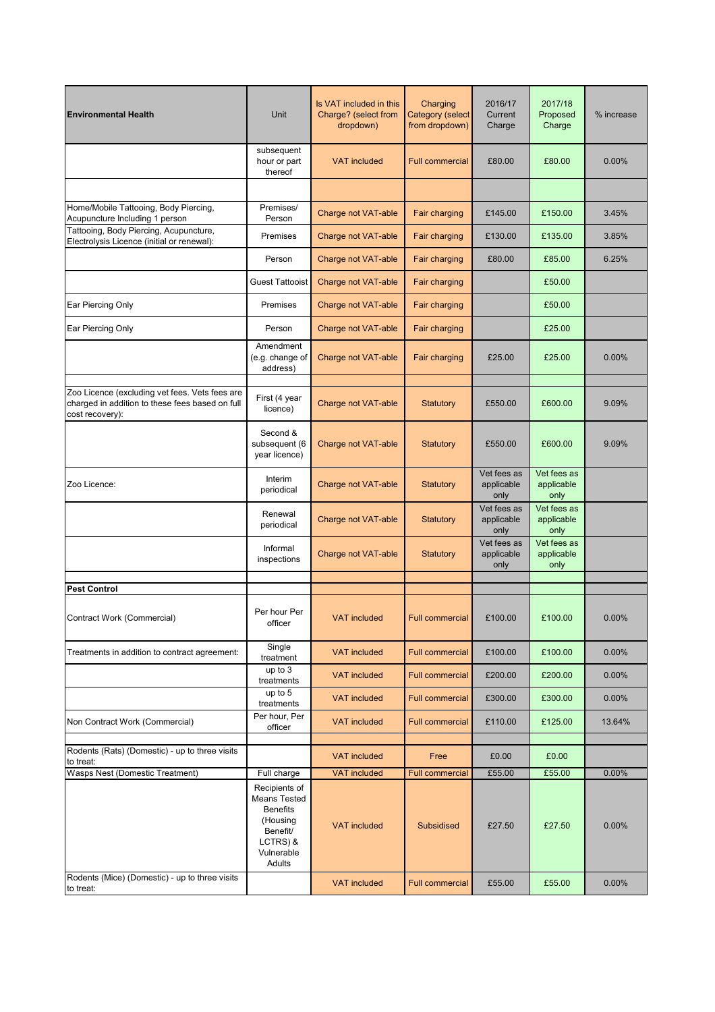| <b>Environmental Health</b>                                                                                          | Unit                                                                                                                               | Is VAT included in this<br>Charge? (select from<br>dropdown) | Charging<br><b>Category (select</b><br>from dropdown) | 2016/17<br>Current<br>Charge      | 2017/18<br>Proposed<br>Charge     | % increase     |
|----------------------------------------------------------------------------------------------------------------------|------------------------------------------------------------------------------------------------------------------------------------|--------------------------------------------------------------|-------------------------------------------------------|-----------------------------------|-----------------------------------|----------------|
|                                                                                                                      | subsequent<br>hour or part<br>thereof                                                                                              | <b>VAT included</b>                                          | <b>Full commercial</b>                                | £80.00                            | £80.00                            | 0.00%          |
|                                                                                                                      |                                                                                                                                    |                                                              |                                                       |                                   |                                   |                |
| Home/Mobile Tattooing, Body Piercing,<br>Acupuncture Including 1 person                                              | Premises/<br>Person                                                                                                                | Charge not VAT-able                                          | Fair charging                                         | £145.00                           | £150.00                           | 3.45%          |
| Tattooing, Body Piercing, Acupuncture,<br>Electrolysis Licence (initial or renewal):                                 | Premises                                                                                                                           | Charge not VAT-able                                          | Fair charging                                         | £130.00                           | £135.00                           | 3.85%          |
|                                                                                                                      | Person                                                                                                                             | Charge not VAT-able                                          | Fair charging                                         | £80.00                            | £85.00                            | 6.25%          |
|                                                                                                                      | <b>Guest Tattooist</b>                                                                                                             | Charge not VAT-able                                          | Fair charging                                         |                                   | £50.00                            |                |
| Ear Piercing Only                                                                                                    | Premises                                                                                                                           | Charge not VAT-able                                          | Fair charging                                         |                                   | £50.00                            |                |
| Ear Piercing Only                                                                                                    | Person                                                                                                                             | Charge not VAT-able                                          | Fair charging                                         |                                   | £25.00                            |                |
|                                                                                                                      | Amendment<br>(e.g. change of<br>address)                                                                                           | Charge not VAT-able                                          | Fair charging                                         | £25.00                            | £25.00                            | 0.00%          |
| Zoo Licence (excluding vet fees. Vets fees are<br>charged in addition to these fees based on full<br>cost recovery): | First (4 year<br>licence)                                                                                                          | Charge not VAT-able                                          | Statutory                                             | £550.00                           | £600.00                           | 9.09%          |
|                                                                                                                      | Second &<br>subsequent (6<br>year licence)                                                                                         | Charge not VAT-able                                          | <b>Statutory</b>                                      | £550.00                           | £600.00                           | 9.09%          |
| Zoo Licence:                                                                                                         | Interim<br>periodical                                                                                                              | Charge not VAT-able                                          | <b>Statutory</b>                                      | Vet fees as<br>applicable<br>only | Vet fees as<br>applicable<br>only |                |
|                                                                                                                      | Renewal<br>periodical                                                                                                              | Charge not VAT-able                                          | Statutory                                             | Vet fees as<br>applicable<br>only | Vet fees as<br>applicable<br>only |                |
|                                                                                                                      | Informal<br>inspections                                                                                                            | Charge not VAT-able                                          | <b>Statutory</b>                                      | Vet fees as<br>applicable<br>only | Vet fees as<br>applicable<br>only |                |
| <b>Pest Control</b>                                                                                                  |                                                                                                                                    |                                                              |                                                       |                                   |                                   |                |
| Contract Work (Commercial)                                                                                           | Per hour Per<br>officer                                                                                                            | <b>VAT included</b>                                          | <b>Full commercial</b>                                | £100.00                           | £100.00                           | $0.00\%$       |
| Treatments in addition to contract agreement:                                                                        | Single<br>treatment                                                                                                                | <b>VAT included</b>                                          | <b>Full commercial</b>                                | £100.00                           | £100.00                           | 0.00%          |
|                                                                                                                      | up to $3$<br>treatments                                                                                                            | <b>VAT included</b>                                          | <b>Full commercial</b>                                | £200.00                           | £200.00                           | $0.00\%$       |
|                                                                                                                      | up to 5<br>treatments                                                                                                              | <b>VAT included</b>                                          | <b>Full commercial</b>                                | £300.00                           | £300.00                           | $0.00\%$       |
| Non Contract Work (Commercial)                                                                                       | Per hour, Per<br>officer                                                                                                           | <b>VAT included</b>                                          | <b>Full commercial</b>                                | £110.00                           | £125.00                           | 13.64%         |
| Rodents (Rats) (Domestic) - up to three visits                                                                       |                                                                                                                                    | <b>VAT included</b>                                          |                                                       |                                   |                                   |                |
| to treat:                                                                                                            |                                                                                                                                    |                                                              | Free                                                  | £0.00                             | £0.00                             |                |
| Wasps Nest (Domestic Treatment)                                                                                      | Full charge<br>Recipients of<br><b>Means Tested</b><br><b>Benefits</b><br>(Housing<br>Benefit/<br>LCTRS) &<br>Vulnerable<br>Adults | <b>VAT included</b><br><b>VAT included</b>                   | <b>Full commercial</b><br>Subsidised                  | £55.00<br>£27.50                  | £55.00<br>£27.50                  | 0.00%<br>0.00% |
| Rodents (Mice) (Domestic) - up to three visits<br>to treat:                                                          |                                                                                                                                    | <b>VAT included</b>                                          | <b>Full commercial</b>                                | £55.00                            | £55.00                            | 0.00%          |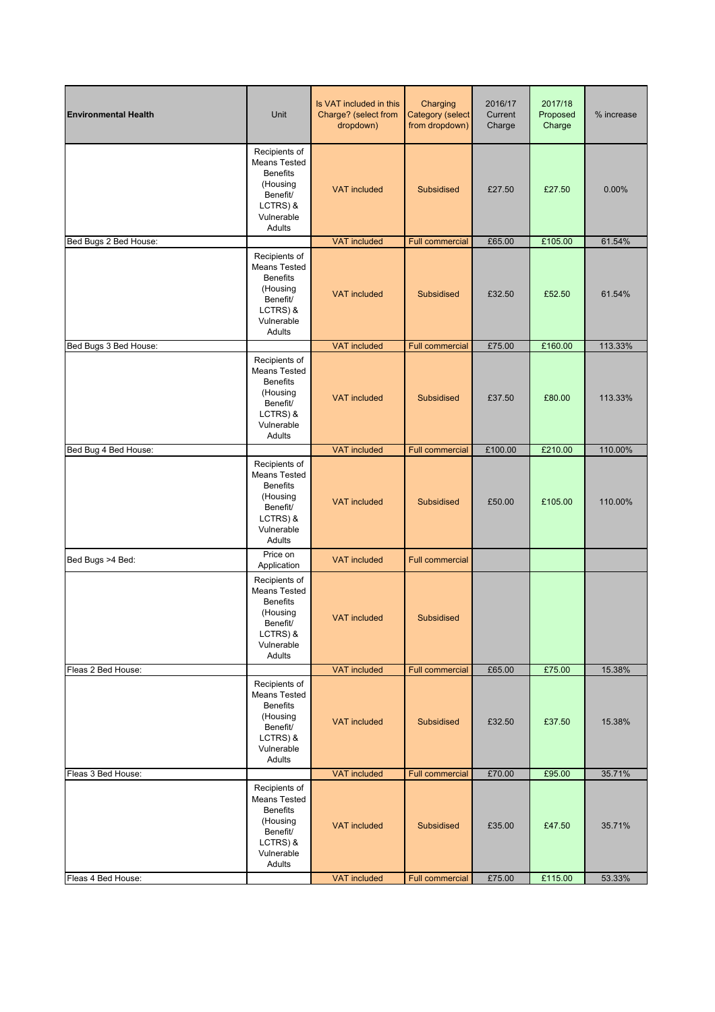| <b>Environmental Health</b> | Unit                                                                                                                | Is VAT included in this<br>Charge? (select from<br>dropdown) | Charging<br>Category (select<br>from dropdown) | 2016/17<br>Current<br>Charge | 2017/18<br>Proposed<br>Charge | % increase       |
|-----------------------------|---------------------------------------------------------------------------------------------------------------------|--------------------------------------------------------------|------------------------------------------------|------------------------------|-------------------------------|------------------|
|                             | Recipients of<br><b>Means Tested</b><br><b>Benefits</b><br>(Housing<br>Benefit/<br>LCTRS) &<br>Vulnerable<br>Adults | <b>VAT included</b>                                          | Subsidised                                     | £27.50                       | £27.50                        | 0.00%            |
| Bed Bugs 2 Bed House:       |                                                                                                                     | <b>VAT included</b>                                          | <b>Full commercial</b>                         | £65.00                       | £105.00                       | 61.54%           |
|                             | Recipients of<br><b>Means Tested</b><br><b>Benefits</b><br>(Housing<br>Benefit/<br>LCTRS) &<br>Vulnerable<br>Adults | <b>VAT included</b>                                          | Subsidised                                     | £32.50                       | £52.50                        | 61.54%           |
| Bed Bugs 3 Bed House:       |                                                                                                                     | <b>VAT included</b>                                          | <b>Full commercial</b>                         | £75.00                       | £160.00                       | 113.33%          |
|                             | Recipients of<br><b>Means Tested</b><br><b>Benefits</b><br>(Housing<br>Benefit/<br>LCTRS) &<br>Vulnerable<br>Adults | <b>VAT included</b>                                          | Subsidised                                     | £37.50                       | £80.00                        | 113.33%          |
| Bed Bug 4 Bed House:        |                                                                                                                     | <b>VAT</b> included                                          | <b>Full commercial</b>                         | £100.00                      | £210.00                       | 110.00%          |
|                             | Recipients of<br><b>Means Tested</b><br><b>Benefits</b><br>(Housing<br>Benefit/<br>LCTRS) &<br>Vulnerable<br>Adults | <b>VAT included</b>                                          | Subsidised                                     | £50.00                       | £105.00                       | 110.00%          |
| Bed Bugs >4 Bed:            | Price on<br>Application                                                                                             | <b>VAT included</b>                                          | <b>Full commercial</b>                         |                              |                               |                  |
|                             | Recipients of<br><b>Means Tested</b><br><b>Benefits</b><br>(Housing<br>Benefit/<br>LCTRS) &<br>Vulnerable<br>Adults | <b>VAT</b> included                                          | Subsidised                                     |                              |                               |                  |
| Fleas 2 Bed House:          |                                                                                                                     | <b>VAT included</b>                                          | <b>Full commercial</b>                         | £65.00                       | £75.00                        | 15.38%           |
|                             | Recipients of<br><b>Means Tested</b><br><b>Benefits</b><br>(Housing<br>Benefit/<br>LCTRS) &<br>Vulnerable<br>Adults | <b>VAT included</b>                                          | Subsidised                                     | £32.50                       | £37.50                        | 15.38%           |
| Fleas 3 Bed House:          |                                                                                                                     | <b>VAT</b> included                                          | <b>Full commercial</b>                         | £70.00                       | £95.00                        | 35.71%           |
|                             | Recipients of<br>Means Tested<br><b>Benefits</b><br>(Housing<br>Benefit/<br>LCTRS) &<br>Vulnerable<br>Adults        | <b>VAT included</b><br><b>VAT included</b>                   | Subsidised                                     | £35.00                       | £47.50                        | 35.71%<br>53.33% |
| Fleas 4 Bed House:          |                                                                                                                     |                                                              | <b>Full commercial</b>                         | £75.00                       | £115.00                       |                  |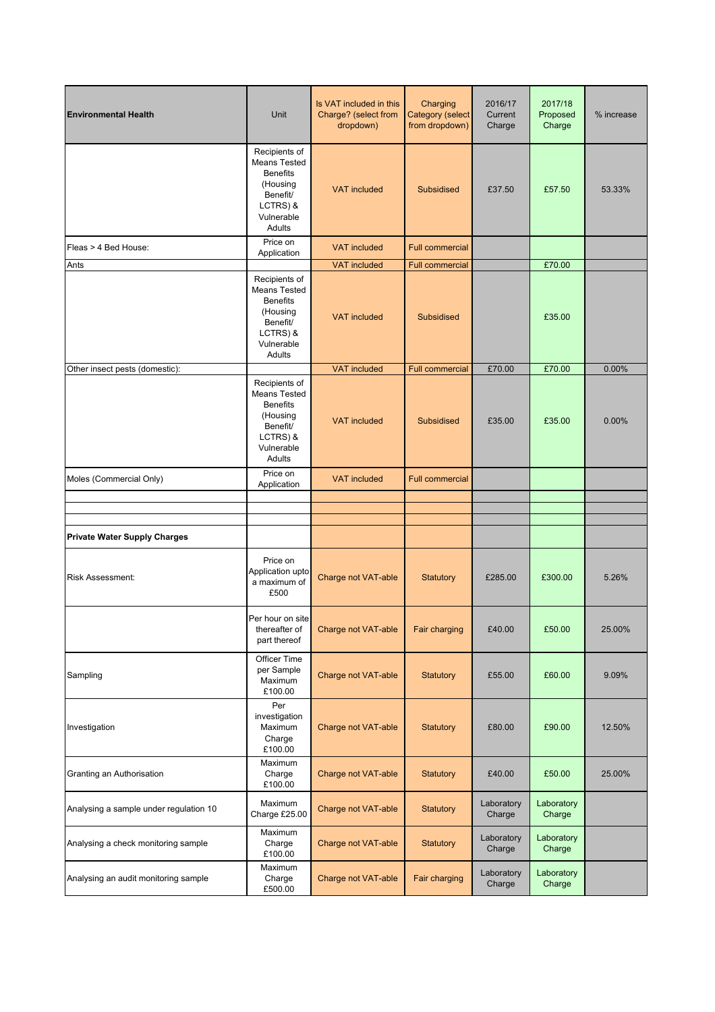| <b>Environmental Health</b>            | Unit                                                                                                                       | Is VAT included in this<br>Charge? (select from<br>dropdown) | Charging<br>Category (select<br>from dropdown) | 2016/17<br>Current<br>Charge | 2017/18<br>Proposed<br>Charge | % increase |
|----------------------------------------|----------------------------------------------------------------------------------------------------------------------------|--------------------------------------------------------------|------------------------------------------------|------------------------------|-------------------------------|------------|
|                                        | Recipients of<br><b>Means Tested</b><br><b>Benefits</b><br>(Housing<br>Benefit/<br>LCTRS) &<br>Vulnerable<br>Adults        | <b>VAT included</b>                                          | Subsidised                                     | £37.50                       | £57.50                        | 53.33%     |
| Fleas > 4 Bed House:                   | Price on<br>Application                                                                                                    | <b>VAT included</b>                                          | <b>Full commercial</b>                         |                              |                               |            |
| Ants                                   |                                                                                                                            | <b>VAT</b> included                                          | <b>Full commercial</b>                         |                              | £70.00                        |            |
|                                        | Recipients of<br><b>Means Tested</b><br><b>Benefits</b><br>(Housing<br>Benefit/<br>LCTRS) &<br>Vulnerable<br>Adults        | <b>VAT</b> included                                          | Subsidised                                     |                              | £35.00                        |            |
| Other insect pests (domestic):         |                                                                                                                            | <b>VAT</b> included                                          | <b>Full commercial</b>                         | £70.00                       | £70.00                        | 0.00%      |
|                                        | Recipients of<br><b>Means Tested</b><br><b>Benefits</b><br>(Housing<br><b>Benefit/</b><br>LCTRS) &<br>Vulnerable<br>Adults | <b>VAT included</b>                                          | Subsidised                                     | £35.00                       | £35.00                        | 0.00%      |
| Moles (Commercial Only)                | Price on<br>Application                                                                                                    | <b>VAT</b> included                                          | <b>Full commercial</b>                         |                              |                               |            |
|                                        |                                                                                                                            |                                                              |                                                |                              |                               |            |
|                                        |                                                                                                                            |                                                              |                                                |                              |                               |            |
| <b>Private Water Supply Charges</b>    |                                                                                                                            |                                                              |                                                |                              |                               |            |
| Risk Assessment:                       | Price on<br>Application upto<br>a maximum of<br>£500                                                                       | Charge not VAT-able                                          | <b>Statutory</b>                               | £285.00                      | £300.00                       | 5.26%      |
|                                        | Per hour on site<br>thereafter of<br>part thereof                                                                          | Charge not VAT-able                                          | Fair charging                                  | £40.00                       | £50.00                        | 25.00%     |
| Sampling                               | <b>Officer Time</b><br>per Sample<br>Maximum<br>£100.00                                                                    | Charge not VAT-able                                          | Statutory                                      | £55.00                       | £60.00                        | 9.09%      |
| Investigation                          | Per<br>investigation<br>Maximum<br>Charge<br>£100.00                                                                       | Charge not VAT-able                                          | <b>Statutory</b>                               | £80.00                       | £90.00                        | 12.50%     |
| Granting an Authorisation              | Maximum<br>Charge<br>£100.00                                                                                               | Charge not VAT-able                                          | Statutory                                      | £40.00                       | £50.00                        | 25.00%     |
| Analysing a sample under regulation 10 | Maximum<br>Charge £25.00                                                                                                   | Charge not VAT-able                                          | Statutory                                      | Laboratory<br>Charge         | Laboratory<br>Charge          |            |
| Analysing a check monitoring sample    | Maximum<br>Charge<br>£100.00                                                                                               | Charge not VAT-able                                          | Statutory                                      | Laboratory<br>Charge         | Laboratory<br>Charge          |            |
| Analysing an audit monitoring sample   | Maximum<br>Charge<br>£500.00                                                                                               | Charge not VAT-able                                          | Fair charging                                  | Laboratory<br>Charge         | Laboratory<br>Charge          |            |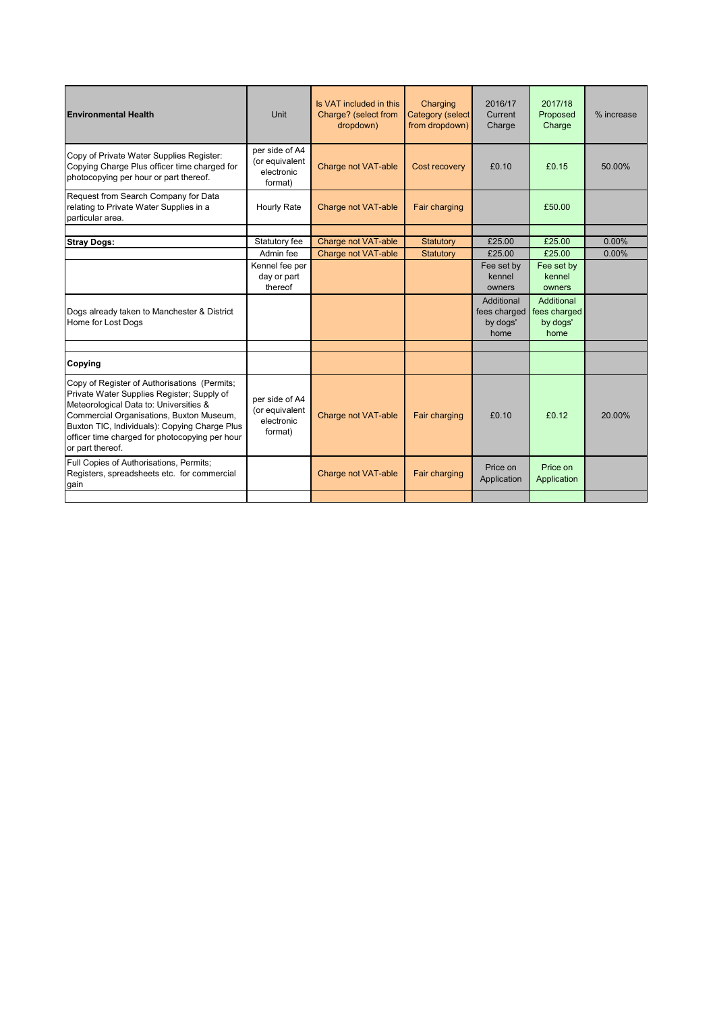| <b>Environmental Health</b>                                                                                                                                                                                                                                                                             | Unit                                                      | Is VAT included in this<br>Charge? (select from<br>dropdown) | Charging<br><b>Category (select</b><br>from dropdown) | 2016/17<br>Current<br>Charge                   | 2017/18<br>Proposed<br>Charge                  | % increase |
|---------------------------------------------------------------------------------------------------------------------------------------------------------------------------------------------------------------------------------------------------------------------------------------------------------|-----------------------------------------------------------|--------------------------------------------------------------|-------------------------------------------------------|------------------------------------------------|------------------------------------------------|------------|
| Copy of Private Water Supplies Register:<br>Copying Charge Plus officer time charged for<br>photocopying per hour or part thereof.                                                                                                                                                                      | per side of A4<br>(or equivalent<br>electronic<br>format) | Charge not VAT-able                                          | Cost recovery                                         | £0.10                                          | £0.15                                          | 50.00%     |
| Request from Search Company for Data<br>relating to Private Water Supplies in a<br>particular area.                                                                                                                                                                                                     | Hourly Rate                                               | Charge not VAT-able                                          | Fair charging                                         |                                                | £50.00                                         |            |
|                                                                                                                                                                                                                                                                                                         |                                                           |                                                              |                                                       |                                                |                                                |            |
| <b>Stray Dogs:</b>                                                                                                                                                                                                                                                                                      | Statutory fee                                             | Charge not VAT-able                                          | Statutory                                             | £25.00                                         | £25.00                                         | $0.00\%$   |
|                                                                                                                                                                                                                                                                                                         | Admin fee                                                 | Charge not VAT-able                                          | Statutory                                             | £25.00                                         | £25.00                                         | $0.00\%$   |
|                                                                                                                                                                                                                                                                                                         | Kennel fee per<br>day or part<br>thereof                  |                                                              |                                                       | Fee set by<br>kennel<br>owners                 | Fee set by<br>kennel<br>owners                 |            |
| Dogs already taken to Manchester & District<br>Home for Lost Dogs                                                                                                                                                                                                                                       |                                                           |                                                              |                                                       | Additional<br>fees charged<br>by dogs'<br>home | Additional<br>fees charged<br>by dogs'<br>home |            |
|                                                                                                                                                                                                                                                                                                         |                                                           |                                                              |                                                       |                                                |                                                |            |
| Copying                                                                                                                                                                                                                                                                                                 |                                                           |                                                              |                                                       |                                                |                                                |            |
| Copy of Register of Authorisations (Permits;<br>Private Water Supplies Register; Supply of<br>Meteorological Data to: Universities &<br>Commercial Organisations, Buxton Museum,<br>Buxton TIC, Individuals): Copying Charge Plus<br>officer time charged for photocopying per hour<br>or part thereof. | per side of A4<br>(or equivalent<br>electronic<br>format) | Charge not VAT-able                                          | Fair charging                                         | £0.10                                          | £0.12                                          | 20.00%     |
| Full Copies of Authorisations, Permits;<br>Registers, spreadsheets etc. for commercial<br>gain                                                                                                                                                                                                          |                                                           | Charge not VAT-able                                          | Fair charging                                         | Price on<br>Application                        | Price on<br>Application                        |            |
|                                                                                                                                                                                                                                                                                                         |                                                           |                                                              |                                                       |                                                |                                                |            |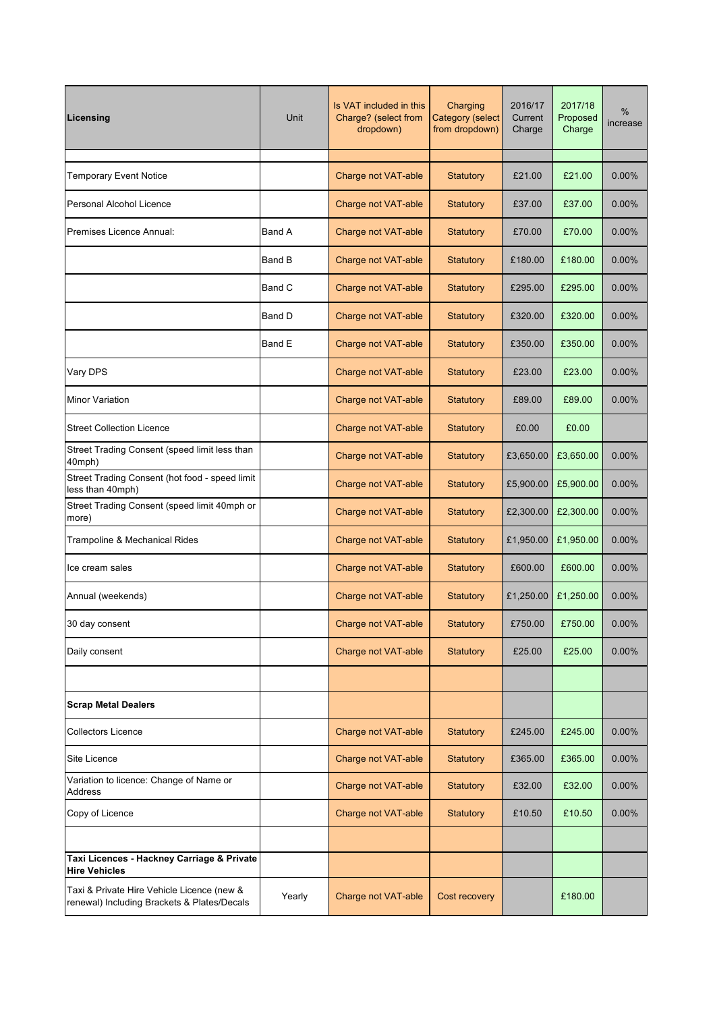| Licensing                                                                                 | Unit          | Is VAT included in this<br>Charge? (select from<br>dropdown) | Charging<br><b>Category (select</b><br>from dropdown) | 2016/17<br>Current<br>Charge | 2017/18<br>Proposed<br>Charge | %<br>increase |
|-------------------------------------------------------------------------------------------|---------------|--------------------------------------------------------------|-------------------------------------------------------|------------------------------|-------------------------------|---------------|
| <b>Temporary Event Notice</b>                                                             |               | Charge not VAT-able                                          | <b>Statutory</b>                                      | £21.00                       | £21.00                        | 0.00%         |
| Personal Alcohol Licence                                                                  |               | Charge not VAT-able                                          | <b>Statutory</b>                                      | £37.00                       | £37.00                        | 0.00%         |
| Premises Licence Annual:                                                                  | Band A        | <b>Charge not VAT-able</b>                                   | <b>Statutory</b>                                      | £70.00                       | £70.00                        | 0.00%         |
|                                                                                           | <b>Band B</b> | Charge not VAT-able                                          | <b>Statutory</b>                                      | £180.00                      | £180.00                       | 0.00%         |
|                                                                                           | Band C        | Charge not VAT-able                                          | <b>Statutory</b>                                      | £295.00                      | £295.00                       | 0.00%         |
|                                                                                           | Band D        | Charge not VAT-able                                          | <b>Statutory</b>                                      | £320.00                      | £320.00                       | $0.00\%$      |
|                                                                                           | Band E        | Charge not VAT-able                                          | <b>Statutory</b>                                      | £350.00                      | £350.00                       | 0.00%         |
| Vary DPS                                                                                  |               | Charge not VAT-able                                          | <b>Statutory</b>                                      | £23.00                       | £23.00                        | 0.00%         |
| <b>Minor Variation</b>                                                                    |               | Charge not VAT-able                                          | <b>Statutory</b>                                      | £89.00                       | £89.00                        | 0.00%         |
| <b>Street Collection Licence</b>                                                          |               | Charge not VAT-able                                          | <b>Statutory</b>                                      | £0.00                        | £0.00                         |               |
| Street Trading Consent (speed limit less than<br>40mph)                                   |               | Charge not VAT-able                                          | <b>Statutory</b>                                      | £3,650.00                    | £3,650.00                     | 0.00%         |
| Street Trading Consent (hot food - speed limit<br>less than 40mph)                        |               | Charge not VAT-able                                          | <b>Statutory</b>                                      | £5,900.00                    | £5,900.00                     | $0.00\%$      |
| Street Trading Consent (speed limit 40mph or<br>more)                                     |               | Charge not VAT-able                                          | <b>Statutory</b>                                      | £2,300.00                    | £2,300.00                     | 0.00%         |
| Trampoline & Mechanical Rides                                                             |               | Charge not VAT-able                                          | <b>Statutory</b>                                      | £1,950.00                    | £1,950.00                     | $0.00\%$      |
| Ice cream sales                                                                           |               | Charge not VAT-able                                          | <b>Statutory</b>                                      | £600.00                      | £600.00                       | $0.00\%$      |
| Annual (weekends)                                                                         |               | Charge not VAT-able                                          | <b>Statutory</b>                                      | £1,250.00                    | £1,250.00                     | $0.00\%$      |
| 30 day consent                                                                            |               | Charge not VAT-able                                          | Statutory                                             | £750.00                      | £750.00                       | 0.00%         |
| Daily consent                                                                             |               | Charge not VAT-able                                          | <b>Statutory</b>                                      | £25.00                       | £25.00                        | $0.00\%$      |
|                                                                                           |               |                                                              |                                                       |                              |                               |               |
| <b>Scrap Metal Dealers</b>                                                                |               |                                                              |                                                       |                              |                               |               |
| <b>Collectors Licence</b>                                                                 |               | Charge not VAT-able                                          | <b>Statutory</b>                                      | £245.00                      | £245.00                       | $0.00\%$      |
| Site Licence                                                                              |               | Charge not VAT-able                                          | <b>Statutory</b>                                      | £365.00                      | £365.00                       | 0.00%         |
| Variation to licence: Change of Name or<br>Address                                        |               | Charge not VAT-able                                          | <b>Statutory</b>                                      | £32.00                       | £32.00                        | 0.00%         |
| Copy of Licence                                                                           |               | Charge not VAT-able                                          | <b>Statutory</b>                                      | £10.50                       | £10.50                        | 0.00%         |
|                                                                                           |               |                                                              |                                                       |                              |                               |               |
| Taxi Licences - Hackney Carriage & Private<br><b>Hire Vehicles</b>                        |               |                                                              |                                                       |                              |                               |               |
| Taxi & Private Hire Vehicle Licence (new &<br>renewal) Including Brackets & Plates/Decals | Yearly        | Charge not VAT-able                                          | Cost recovery                                         |                              | £180.00                       |               |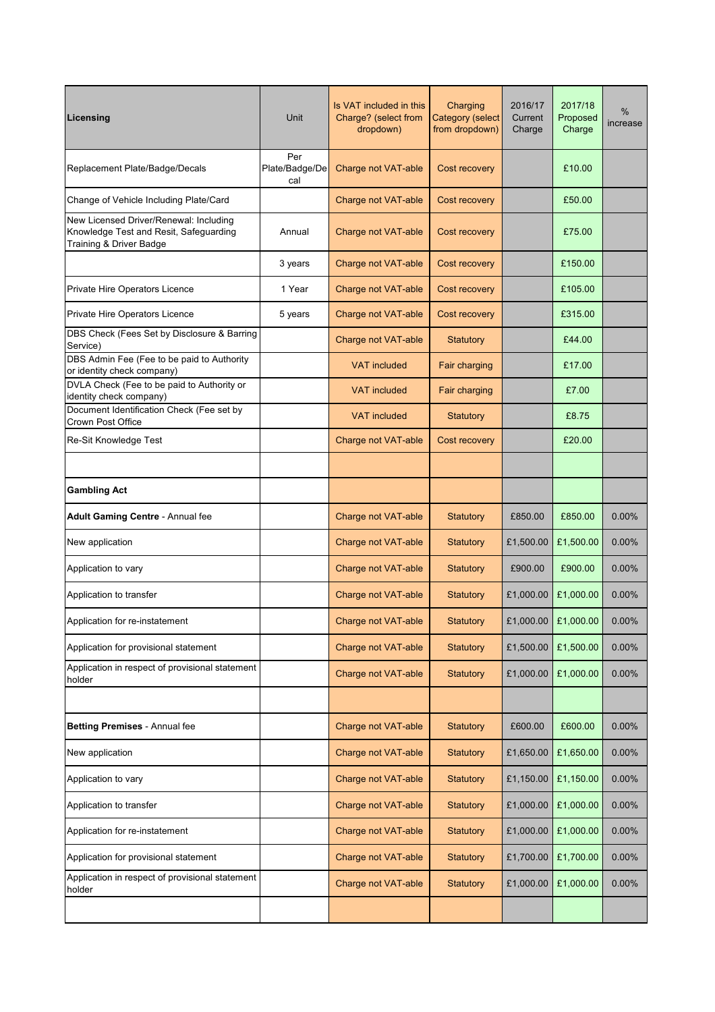| Licensing                                                                                                   | Unit                         | Is VAT included in this<br>Charge? (select from<br>dropdown) | Charging<br><b>Category</b> (select<br>from dropdown) | 2016/17<br>Current<br>Charge | 2017/18<br>Proposed<br>Charge | %<br>increase |
|-------------------------------------------------------------------------------------------------------------|------------------------------|--------------------------------------------------------------|-------------------------------------------------------|------------------------------|-------------------------------|---------------|
| Replacement Plate/Badge/Decals                                                                              | Per<br>Plate/Badge/De<br>cal | Charge not VAT-able                                          | Cost recovery                                         |                              | £10.00                        |               |
| Change of Vehicle Including Plate/Card                                                                      |                              | Charge not VAT-able                                          | Cost recovery                                         |                              | £50.00                        |               |
| New Licensed Driver/Renewal: Including<br>Knowledge Test and Resit, Safeguarding<br>Training & Driver Badge | Annual                       | Charge not VAT-able                                          | Cost recovery                                         |                              | £75.00                        |               |
|                                                                                                             | 3 years                      | Charge not VAT-able                                          | Cost recovery                                         |                              | £150.00                       |               |
| Private Hire Operators Licence                                                                              | 1 Year                       | Charge not VAT-able                                          | Cost recovery                                         |                              | £105.00                       |               |
| Private Hire Operators Licence                                                                              | 5 years                      | Charge not VAT-able                                          | Cost recovery                                         |                              | £315.00                       |               |
| DBS Check (Fees Set by Disclosure & Barring<br>Service)                                                     |                              | Charge not VAT-able                                          | <b>Statutory</b>                                      |                              | £44.00                        |               |
| DBS Admin Fee (Fee to be paid to Authority<br>or identity check company)                                    |                              | <b>VAT</b> included                                          | Fair charging                                         |                              | £17.00                        |               |
| DVLA Check (Fee to be paid to Authority or<br>identity check company)                                       |                              | <b>VAT</b> included                                          | Fair charging                                         |                              | £7.00                         |               |
| Document Identification Check (Fee set by<br>Crown Post Office                                              |                              | <b>VAT included</b>                                          | <b>Statutory</b>                                      |                              | £8.75                         |               |
| Re-Sit Knowledge Test                                                                                       |                              | Charge not VAT-able                                          | Cost recovery                                         |                              | £20.00                        |               |
|                                                                                                             |                              |                                                              |                                                       |                              |                               |               |
| <b>Gambling Act</b>                                                                                         |                              |                                                              |                                                       |                              |                               |               |
| Adult Gaming Centre - Annual fee                                                                            |                              | Charge not VAT-able                                          | <b>Statutory</b>                                      | £850.00                      | £850.00                       | 0.00%         |
| New application                                                                                             |                              | Charge not VAT-able                                          | <b>Statutory</b>                                      | £1,500.00                    | £1,500.00                     | 0.00%         |
| Application to vary                                                                                         |                              | Charge not VAT-able                                          | <b>Statutory</b>                                      | £900.00                      | £900.00                       | 0.00%         |
| Application to transfer                                                                                     |                              | Charge not VAT-able                                          | <b>Statutory</b>                                      | £1,000.00                    | £1,000.00                     | 0.00%         |
| Application for re-instatement                                                                              |                              | Charge not VAT-able                                          | <b>Statutory</b>                                      |                              | £1,000.00 £1,000.00           | 0.00%         |
| Application for provisional statement                                                                       |                              | Charge not VAT-able                                          | <b>Statutory</b>                                      | £1,500.00                    | £1,500.00                     | 0.00%         |
| Application in respect of provisional statement<br>holder                                                   |                              | Charge not VAT-able                                          | <b>Statutory</b>                                      | £1,000.00                    | £1,000.00                     | 0.00%         |
|                                                                                                             |                              |                                                              |                                                       |                              |                               |               |
| Betting Premises - Annual fee                                                                               |                              | Charge not VAT-able                                          | <b>Statutory</b>                                      | £600.00                      | £600.00                       | $0.00\%$      |
| New application                                                                                             |                              | Charge not VAT-able                                          | <b>Statutory</b>                                      | £1,650.00                    | £1,650.00                     | 0.00%         |
| Application to vary                                                                                         |                              | Charge not VAT-able                                          | <b>Statutory</b>                                      | £1,150.00                    | £1,150.00                     | 0.00%         |
| Application to transfer                                                                                     |                              | Charge not VAT-able                                          | <b>Statutory</b>                                      | £1,000.00                    | £1,000.00                     | 0.00%         |
| Application for re-instatement                                                                              |                              | Charge not VAT-able                                          | <b>Statutory</b>                                      | £1,000.00                    | £1,000.00                     | 0.00%         |
| Application for provisional statement                                                                       |                              | Charge not VAT-able                                          | <b>Statutory</b>                                      | £1,700.00                    | £1,700.00                     | 0.00%         |
| Application in respect of provisional statement<br>holder                                                   |                              | Charge not VAT-able                                          | <b>Statutory</b>                                      | £1,000.00                    | £1,000.00                     | 0.00%         |
|                                                                                                             |                              |                                                              |                                                       |                              |                               |               |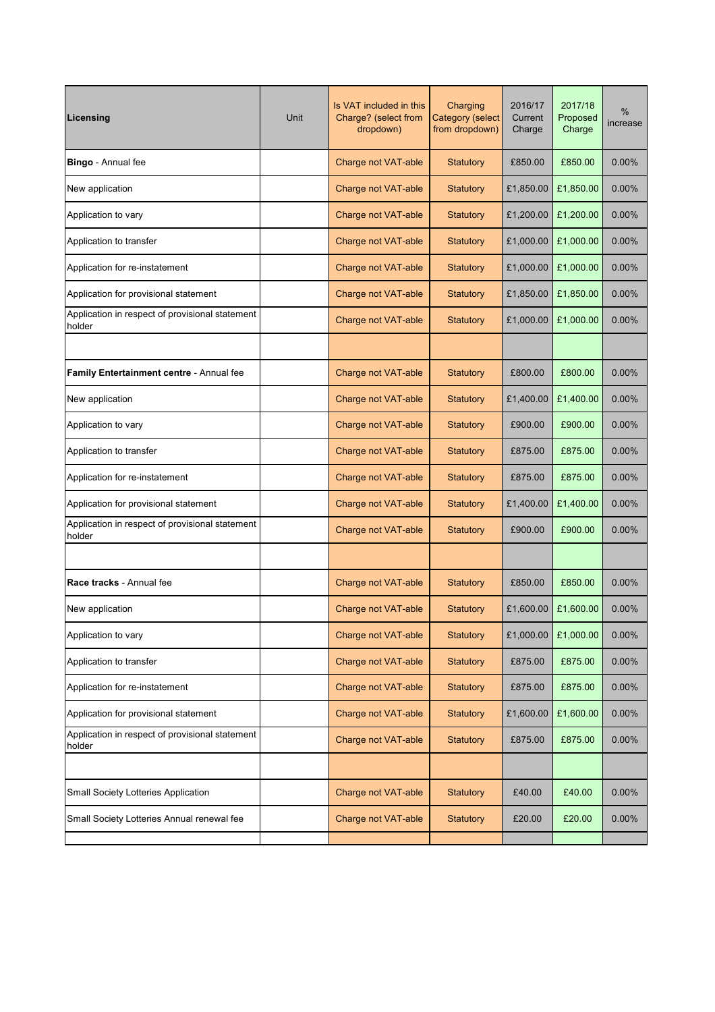| Licensing                                                 | Unit | Is VAT included in this<br>Charge? (select from<br>dropdown) | Charging<br><b>Category (select</b><br>from dropdown) | 2016/17<br>Current<br>Charge | 2017/18<br>Proposed<br>Charge | $\%$<br>increase |
|-----------------------------------------------------------|------|--------------------------------------------------------------|-------------------------------------------------------|------------------------------|-------------------------------|------------------|
| Bingo - Annual fee                                        |      | <b>Charge not VAT-able</b>                                   | <b>Statutory</b>                                      | £850.00                      | £850.00                       | 0.00%            |
| New application                                           |      | Charge not VAT-able                                          | <b>Statutory</b>                                      | £1,850.00                    | £1,850.00                     | $0.00\%$         |
| Application to vary                                       |      | Charge not VAT-able                                          | <b>Statutory</b>                                      | £1,200.00                    | £1,200.00                     | 0.00%            |
| Application to transfer                                   |      | Charge not VAT-able                                          | Statutory                                             | £1,000.00                    | £1,000.00                     | 0.00%            |
| Application for re-instatement                            |      | Charge not VAT-able                                          | <b>Statutory</b>                                      | £1,000.00                    | £1,000.00                     | 0.00%            |
| Application for provisional statement                     |      | Charge not VAT-able                                          | <b>Statutory</b>                                      | £1,850.00                    | £1,850.00                     | $0.00\%$         |
| Application in respect of provisional statement<br>holder |      | Charge not VAT-able                                          | Statutory                                             | £1,000.00                    | £1,000.00                     | $0.00\%$         |
|                                                           |      |                                                              |                                                       |                              |                               |                  |
| Family Entertainment centre - Annual fee                  |      | Charge not VAT-able                                          | <b>Statutory</b>                                      | £800.00                      | £800.00                       | $0.00\%$         |
| New application                                           |      | Charge not VAT-able                                          | <b>Statutory</b>                                      | £1,400.00                    | £1,400.00                     | 0.00%            |
| Application to vary                                       |      | Charge not VAT-able                                          | <b>Statutory</b>                                      | £900.00                      | £900.00                       | $0.00\%$         |
| Application to transfer                                   |      | Charge not VAT-able                                          | <b>Statutory</b>                                      | £875.00                      | £875.00                       | $0.00\%$         |
| Application for re-instatement                            |      | Charge not VAT-able                                          | <b>Statutory</b>                                      | £875.00                      | £875.00                       | $0.00\%$         |
| Application for provisional statement                     |      | Charge not VAT-able                                          | <b>Statutory</b>                                      | £1,400.00                    | £1,400.00                     | 0.00%            |
| Application in respect of provisional statement<br>holder |      | Charge not VAT-able                                          | <b>Statutory</b>                                      | £900.00                      | £900.00                       | 0.00%            |
|                                                           |      |                                                              |                                                       |                              |                               |                  |
| Race tracks - Annual fee                                  |      | Charge not VAT-able                                          | <b>Statutory</b>                                      | £850.00                      | £850.00                       | $0.00\%$         |
| New application                                           |      | Charge not VAT-able                                          | <b>Statutory</b>                                      | £1,600.00                    | £1,600.00                     | $0.00\%$         |
| Application to vary                                       |      | Charge not VAT-able                                          | <b>Statutory</b>                                      | £1,000.00                    | £1,000.00                     | 0.00%            |
| Application to transfer                                   |      | Charge not VAT-able                                          | <b>Statutory</b>                                      | £875.00                      | £875.00                       | 0.00%            |
| Application for re-instatement                            |      | Charge not VAT-able                                          | <b>Statutory</b>                                      | £875.00                      | £875.00                       | 0.00%            |
| Application for provisional statement                     |      | Charge not VAT-able                                          | <b>Statutory</b>                                      | £1,600.00                    | £1,600.00                     | 0.00%            |
| Application in respect of provisional statement<br>holder |      | Charge not VAT-able                                          | <b>Statutory</b>                                      | £875.00                      | £875.00                       | $0.00\%$         |
|                                                           |      |                                                              |                                                       |                              |                               |                  |
| Small Society Lotteries Application                       |      | Charge not VAT-able                                          | <b>Statutory</b>                                      | £40.00                       | £40.00                        | 0.00%            |
| Small Society Lotteries Annual renewal fee                |      | Charge not VAT-able                                          | Statutory                                             | £20.00                       | £20.00                        | $0.00\%$         |
|                                                           |      |                                                              |                                                       |                              |                               |                  |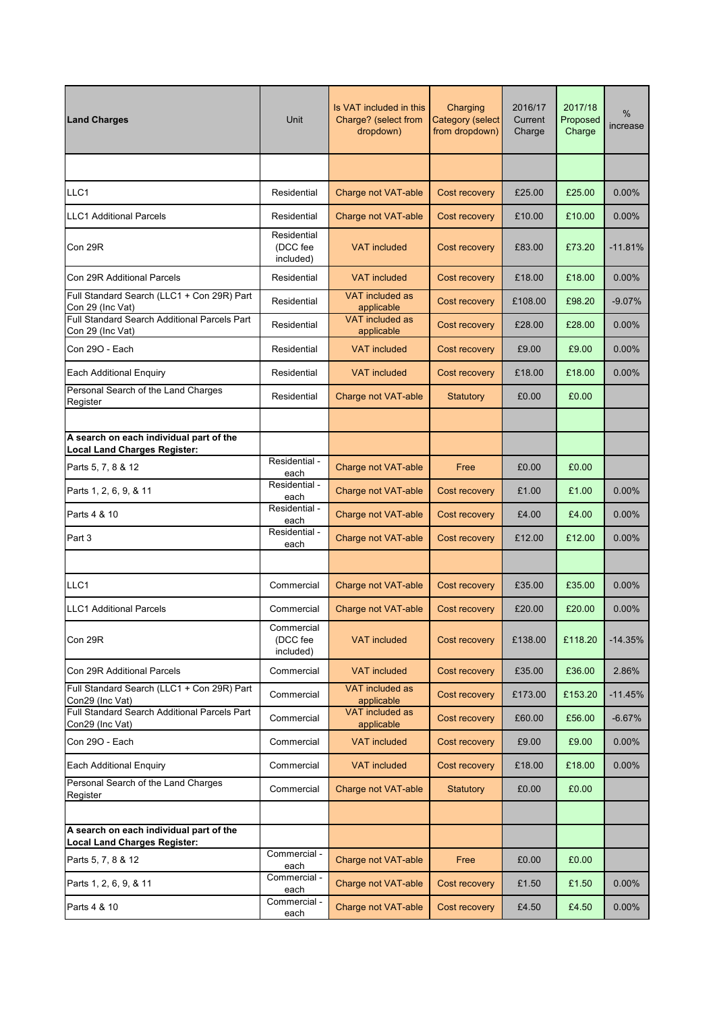| <b>Land Charges</b>                                                            | Unit                                 | Is VAT included in this<br>Charge? (select from<br>dropdown) | Charging<br>Category (select<br>from dropdown) | 2016/17<br>Current<br>Charge | 2017/18<br>Proposed<br>Charge | %<br>increase |
|--------------------------------------------------------------------------------|--------------------------------------|--------------------------------------------------------------|------------------------------------------------|------------------------------|-------------------------------|---------------|
|                                                                                |                                      |                                                              |                                                |                              |                               |               |
| LLC1                                                                           | Residential                          | Charge not VAT-able                                          | Cost recovery                                  | £25.00                       | £25.00                        | $0.00\%$      |
| <b>LLC1</b> Additional Parcels                                                 | Residential                          | Charge not VAT-able                                          | Cost recovery                                  | £10.00                       | £10.00                        | 0.00%         |
| Con 29R                                                                        | Residential<br>(DCC fee<br>included) | <b>VAT</b> included                                          | Cost recovery                                  | £83.00                       | £73.20                        | $-11.81%$     |
| Con 29R Additional Parcels                                                     | Residential                          | <b>VAT</b> included                                          | Cost recovery                                  | £18.00                       | £18.00                        | $0.00\%$      |
| Full Standard Search (LLC1 + Con 29R) Part<br>Con 29 (Inc Vat)                 | Residential                          | VAT included as<br>applicable                                | Cost recovery                                  | £108.00                      | £98.20                        | $-9.07%$      |
| Full Standard Search Additional Parcels Part<br>Con 29 (Inc Vat)               | Residential                          | VAT included as<br>applicable                                | Cost recovery                                  | £28.00                       | £28.00                        | $0.00\%$      |
| Con 290 - Each                                                                 | Residential                          | <b>VAT</b> included                                          | Cost recovery                                  | £9.00                        | £9.00                         | $0.00\%$      |
| <b>Each Additional Enquiry</b>                                                 | Residential                          | <b>VAT included</b>                                          | Cost recovery                                  | £18.00                       | £18.00                        | $0.00\%$      |
| Personal Search of the Land Charges<br>Register                                | Residential                          | Charge not VAT-able                                          | <b>Statutory</b>                               | £0.00                        | £0.00                         |               |
|                                                                                |                                      |                                                              |                                                |                              |                               |               |
| A search on each individual part of the<br><b>Local Land Charges Register:</b> |                                      |                                                              |                                                |                              |                               |               |
| Parts 5, 7, 8 & 12                                                             | Residential -<br>each                | Charge not VAT-able                                          | Free                                           | £0.00                        | £0.00                         |               |
| Parts 1, 2, 6, 9, & 11                                                         | Residential -<br>each                | Charge not VAT-able                                          | Cost recovery                                  | £1.00                        | £1.00                         | 0.00%         |
| Parts 4 & 10                                                                   | Residential -<br>each                | Charge not VAT-able                                          | Cost recovery                                  | £4.00                        | £4.00                         | 0.00%         |
| Part 3                                                                         | Residential -<br>each                | Charge not VAT-able                                          | Cost recovery                                  | £12.00                       | £12.00                        | $0.00\%$      |
|                                                                                |                                      |                                                              |                                                |                              |                               |               |
| LLC1                                                                           | Commercial                           | Charge not VAT-able                                          | Cost recovery                                  | £35.00                       | £35.00                        | 0.00%         |
| <b>LLC1</b> Additional Parcels                                                 | Commercial                           | Charge not VAT-able                                          | Cost recovery                                  | £20.00                       | £20.00                        | 0.00%         |
| Con 29R                                                                        | Commercial<br>(DCC fee<br>included)  | <b>VAT included</b>                                          | Cost recovery                                  | £138.00                      | £118.20                       | $-14.35%$     |
| Con 29R Additional Parcels                                                     | Commercial                           | <b>VAT included</b>                                          | Cost recovery                                  | £35.00                       | £36.00                        | 2.86%         |
| Full Standard Search (LLC1 + Con 29R) Part<br>Con29 (Inc Vat)                  | Commercial                           | VAT included as<br>applicable                                | Cost recovery                                  | £173.00                      | £153.20                       | $-11.45%$     |
| Full Standard Search Additional Parcels Part<br>Con29 (Inc Vat)                | Commercial                           | VAT included as<br>applicable                                | Cost recovery                                  | £60.00                       | £56.00                        | $-6.67%$      |
| Con 290 - Each                                                                 | Commercial                           | <b>VAT included</b>                                          | Cost recovery                                  | £9.00                        | £9.00                         | $0.00\%$      |
| <b>Each Additional Enguiry</b>                                                 | Commercial                           | <b>VAT included</b>                                          | Cost recovery                                  | £18.00                       | £18.00                        | $0.00\%$      |
| Personal Search of the Land Charges<br>Register                                | Commercial                           | Charge not VAT-able                                          | Statutory                                      | £0.00                        | £0.00                         |               |
|                                                                                |                                      |                                                              |                                                |                              |                               |               |
| A search on each individual part of the<br><b>Local Land Charges Register:</b> |                                      |                                                              |                                                |                              |                               |               |
| Parts 5, 7, 8 & 12                                                             | Commercial -<br>each                 | Charge not VAT-able                                          | Free                                           | £0.00                        | £0.00                         |               |
| Parts 1, 2, 6, 9, & 11                                                         | Commercial -<br>each                 | Charge not VAT-able                                          | Cost recovery                                  | £1.50                        | £1.50                         | $0.00\%$      |
| Parts 4 & 10                                                                   | Commercial -<br>each                 | Charge not VAT-able                                          | Cost recovery                                  | £4.50                        | £4.50                         | $0.00\%$      |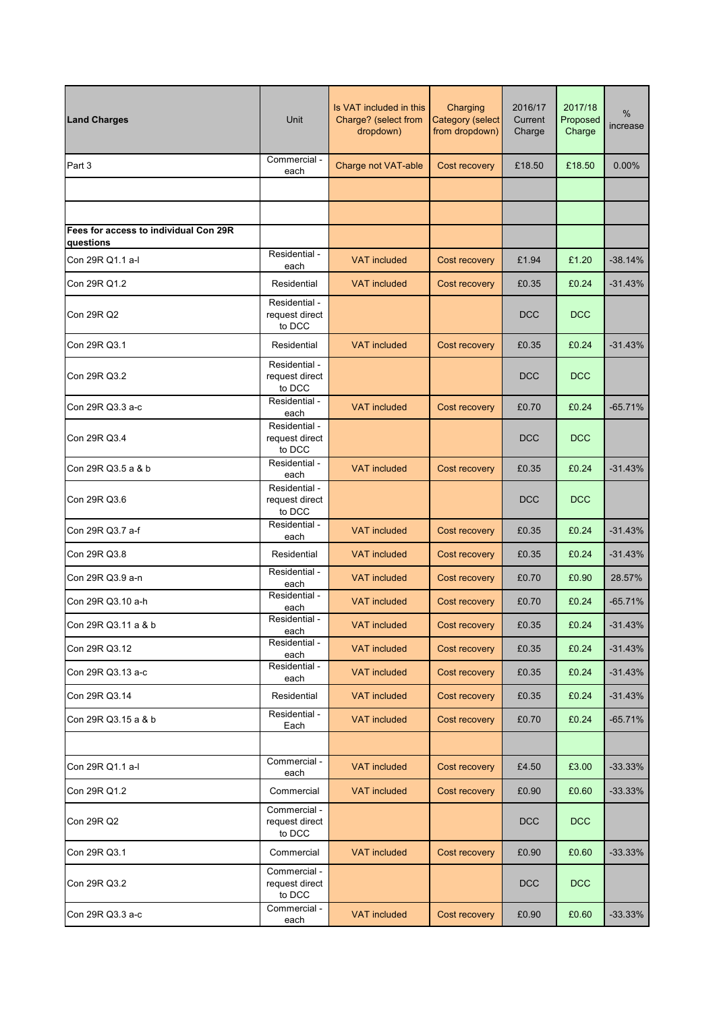| <b>Land Charges</b>                                | Unit                                      | Is VAT included in this<br>Charge? (select from<br>dropdown) | Charging<br>Category (select<br>from dropdown) | 2016/17<br>Current<br>Charge | 2017/18<br>Proposed<br>Charge | $\frac{0}{0}$<br>increase |
|----------------------------------------------------|-------------------------------------------|--------------------------------------------------------------|------------------------------------------------|------------------------------|-------------------------------|---------------------------|
| Part 3                                             | Commercial -<br>each                      | Charge not VAT-able                                          | Cost recovery                                  | £18.50                       | £18.50                        | $0.00\%$                  |
|                                                    |                                           |                                                              |                                                |                              |                               |                           |
|                                                    |                                           |                                                              |                                                |                              |                               |                           |
| Fees for access to individual Con 29R<br>questions |                                           |                                                              |                                                |                              |                               |                           |
| Con 29R Q1.1 a-l                                   | Residential -<br>each                     | <b>VAT included</b>                                          | Cost recovery                                  | £1.94                        | £1.20                         | $-38.14%$                 |
| Con 29R Q1.2                                       | Residential                               | <b>VAT included</b>                                          | Cost recovery                                  | £0.35                        | £0.24                         | $-31.43%$                 |
| Con 29R Q2                                         | Residential -<br>request direct<br>to DCC |                                                              |                                                | <b>DCC</b>                   | <b>DCC</b>                    |                           |
| Con 29R Q3.1                                       | Residential                               | <b>VAT</b> included                                          | Cost recovery                                  | £0.35                        | £0.24                         | $-31.43%$                 |
| Con 29R Q3.2                                       | Residential -<br>request direct<br>to DCC |                                                              |                                                | <b>DCC</b>                   | <b>DCC</b>                    |                           |
| Con 29R Q3.3 a-c                                   | Residential -<br>each                     | <b>VAT included</b>                                          | Cost recovery                                  | £0.70                        | £0.24                         | $-65.71%$                 |
| Con 29R Q3.4                                       | Residential -<br>request direct<br>to DCC |                                                              |                                                | <b>DCC</b>                   | <b>DCC</b>                    |                           |
| Con 29R Q3.5 a & b                                 | Residential -<br>each                     | <b>VAT included</b>                                          | Cost recovery                                  | £0.35                        | £0.24                         | $-31.43%$                 |
| Con 29R Q3.6                                       | Residential -<br>request direct<br>to DCC |                                                              |                                                | <b>DCC</b>                   | <b>DCC</b>                    |                           |
| Con 29R Q3.7 a-f                                   | Residential -<br>each                     | <b>VAT included</b>                                          | Cost recovery                                  | £0.35                        | £0.24                         | $-31.43%$                 |
| Con 29R Q3.8                                       | Residential                               | <b>VAT</b> included                                          | Cost recovery                                  | £0.35                        | £0.24                         | $-31.43%$                 |
| Con 29R Q3.9 a-n                                   | Residential -<br>each                     | <b>VAT</b> included                                          | Cost recovery                                  | £0.70                        | £0.90                         | 28.57%                    |
| Con 29R Q3.10 a-h                                  | Residential -<br>each                     | <b>VAT</b> included                                          | Cost recovery                                  | £0.70                        | £0.24                         | $-65.71%$                 |
| Con 29R Q3.11 a & b                                | Residential -<br>each                     | VAT included                                                 | Cost recovery                                  | £0.35                        | £0.24                         | $-31.43%$                 |
| Con 29R Q3.12                                      | Residential -<br>each                     | <b>VAT</b> included                                          | Cost recovery                                  | £0.35                        | £0.24                         | $-31.43%$                 |
| Con 29R Q3.13 a-c                                  | Residential -<br>each                     | <b>VAT included</b>                                          | Cost recovery                                  | £0.35                        | £0.24                         | $-31.43%$                 |
| Con 29R Q3.14                                      | Residential                               | <b>VAT included</b>                                          | Cost recovery                                  | £0.35                        | £0.24                         | $-31.43%$                 |
| Con 29R Q3.15 a & b                                | Residential -<br>Each                     | <b>VAT included</b>                                          | Cost recovery                                  | £0.70                        | £0.24                         | $-65.71%$                 |
|                                                    |                                           |                                                              |                                                |                              |                               |                           |
| Con 29R Q1.1 a-l                                   | Commercial -<br>each                      | <b>VAT included</b>                                          | Cost recovery                                  | £4.50                        | £3.00                         | $-33.33%$                 |
| Con 29R Q1.2                                       | Commercial                                | <b>VAT included</b>                                          | Cost recovery                                  | £0.90                        | £0.60                         | $-33.33%$                 |
| Con 29R Q2                                         | Commercial -<br>request direct<br>to DCC  |                                                              |                                                | <b>DCC</b>                   | <b>DCC</b>                    |                           |
| Con 29R Q3.1                                       | Commercial                                | <b>VAT included</b>                                          | Cost recovery                                  | £0.90                        | £0.60                         | $-33.33%$                 |
| Con 29R Q3.2                                       | Commercial -<br>request direct<br>to DCC  |                                                              |                                                | <b>DCC</b>                   | <b>DCC</b>                    |                           |
| Con 29R Q3.3 a-c                                   | Commercial -<br>each                      | <b>VAT included</b>                                          | Cost recovery                                  | £0.90                        | £0.60                         | $-33.33%$                 |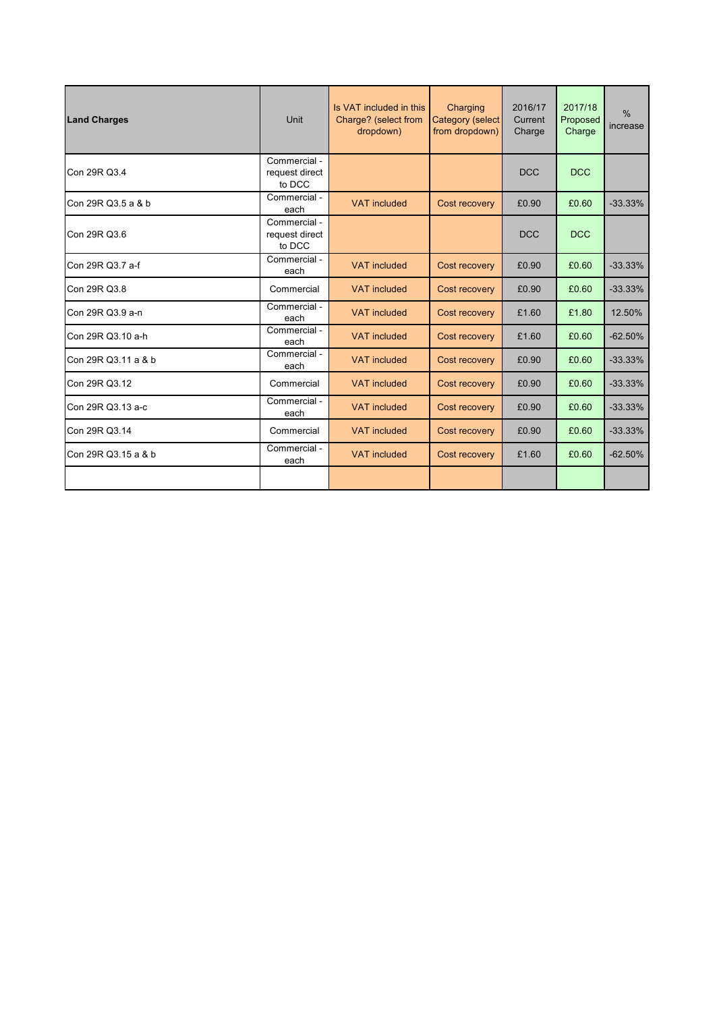| <b>Land Charges</b> | Unit                                     | Is VAT included in this<br>Charge? (select from<br>dropdown) | Charging<br><b>Category (select</b><br>from dropdown) | 2016/17<br>Current<br>Charge | 2017/18<br>Proposed<br>Charge | $\frac{0}{0}$<br>increase |
|---------------------|------------------------------------------|--------------------------------------------------------------|-------------------------------------------------------|------------------------------|-------------------------------|---------------------------|
| Con 29R Q3.4        | Commercial -<br>request direct<br>to DCC |                                                              |                                                       | <b>DCC</b>                   | <b>DCC</b>                    |                           |
| Con 29R Q3.5 a & b  | Commercial -<br>each                     | <b>VAT</b> included                                          | Cost recovery                                         | £0.90                        | £0.60                         | $-33.33%$                 |
| Con 29R Q3.6        | Commercial -<br>request direct<br>to DCC |                                                              |                                                       | <b>DCC</b>                   | <b>DCC</b>                    |                           |
| Con 29R Q3.7 a-f    | Commercial -<br>each                     | <b>VAT included</b>                                          | Cost recovery                                         | £0.90                        | £0.60                         | $-33.33%$                 |
| Con 29R Q3.8        | Commercial                               | <b>VAT</b> included                                          | Cost recovery                                         | £0.90                        | £0.60                         | $-33.33%$                 |
| Con 29R Q3.9 a-n    | Commercial -<br>each                     | <b>VAT</b> included                                          | Cost recovery                                         | £1.60                        | £1.80                         | 12.50%                    |
| Con 29R Q3.10 a-h   | Commercial -<br>each                     | <b>VAT</b> included                                          | Cost recovery                                         | £1.60                        | £0.60                         | $-62.50%$                 |
| Con 29R Q3.11 a & b | Commercial -<br>each                     | <b>VAT</b> included                                          | Cost recovery                                         | £0.90                        | £0.60                         | $-33.33%$                 |
| Con 29R Q3.12       | Commercial                               | <b>VAT</b> included                                          | Cost recovery                                         | £0.90                        | £0.60                         | $-33.33\%$                |
| Con 29R Q3.13 a-c   | Commercial -<br>each                     | <b>VAT included</b>                                          | Cost recovery                                         | £0.90                        | £0.60                         | $-33.33%$                 |
| Con 29R Q3.14       | Commercial                               | <b>VAT</b> included                                          | Cost recovery                                         | £0.90                        | £0.60                         | $-33.33%$                 |
| Con 29R Q3.15 a & b | Commercial -<br>each                     | <b>VAT</b> included                                          | Cost recovery                                         | £1.60                        | £0.60                         | $-62.50%$                 |
|                     |                                          |                                                              |                                                       |                              |                               |                           |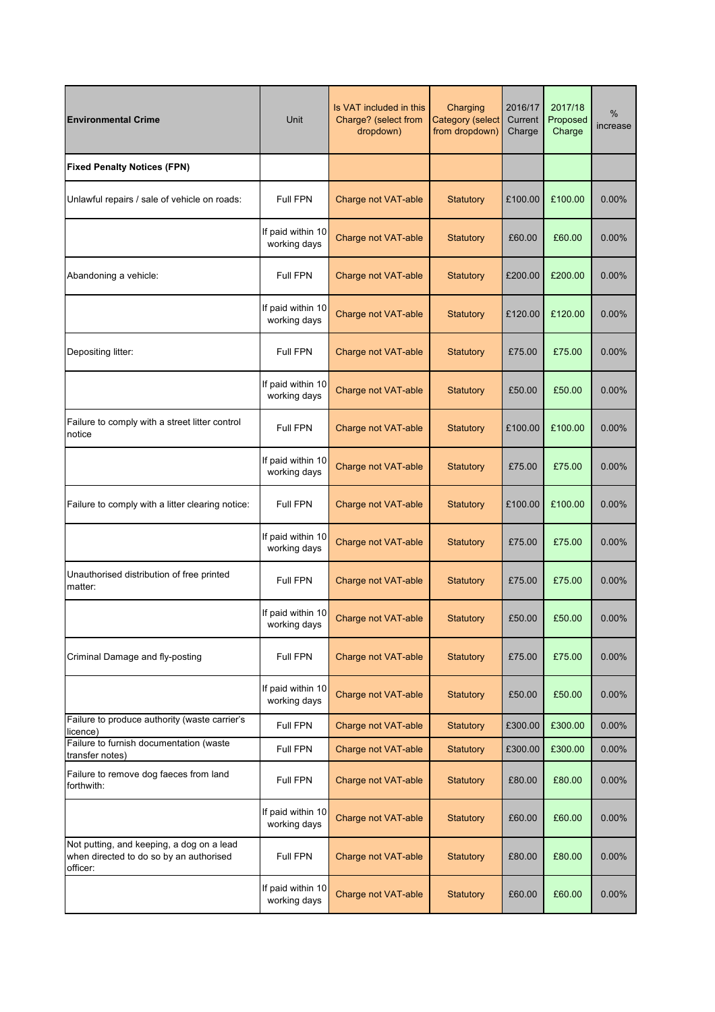| <b>Environmental Crime</b>                                                                       | Unit                              | Is VAT included in this<br>Charge? (select from<br>dropdown) | Charging<br><b>Category (select</b><br>from dropdown) | 2016/17<br>Current<br>Charge | 2017/18<br>Proposed<br>Charge | %<br>increase |
|--------------------------------------------------------------------------------------------------|-----------------------------------|--------------------------------------------------------------|-------------------------------------------------------|------------------------------|-------------------------------|---------------|
| <b>Fixed Penalty Notices (FPN)</b>                                                               |                                   |                                                              |                                                       |                              |                               |               |
| Unlawful repairs / sale of vehicle on roads:                                                     | Full FPN                          | Charge not VAT-able                                          | <b>Statutory</b>                                      | £100.00                      | £100.00                       | 0.00%         |
|                                                                                                  | If paid within 10<br>working days | Charge not VAT-able                                          | <b>Statutory</b>                                      | £60.00                       | £60.00                        | 0.00%         |
| Abandoning a vehicle:                                                                            | Full FPN                          | Charge not VAT-able                                          | <b>Statutory</b>                                      | £200.00                      | £200.00                       | 0.00%         |
|                                                                                                  | If paid within 10<br>working days | Charge not VAT-able                                          | <b>Statutory</b>                                      | £120.00                      | £120.00                       | 0.00%         |
| Depositing litter:                                                                               | Full FPN                          | Charge not VAT-able                                          | Statutory                                             | £75.00                       | £75.00                        | 0.00%         |
|                                                                                                  | If paid within 10<br>working days | Charge not VAT-able                                          | <b>Statutory</b>                                      | £50.00                       | £50.00                        | 0.00%         |
| Failure to comply with a street litter control<br>notice                                         | Full FPN                          | Charge not VAT-able                                          | <b>Statutory</b>                                      | £100.00                      | £100.00                       | 0.00%         |
|                                                                                                  | If paid within 10<br>working days | Charge not VAT-able                                          | <b>Statutory</b>                                      | £75.00                       | £75.00                        | 0.00%         |
| Failure to comply with a litter clearing notice:                                                 | <b>Full FPN</b>                   | Charge not VAT-able                                          | <b>Statutory</b>                                      | £100.00                      | £100.00                       | 0.00%         |
|                                                                                                  | If paid within 10<br>working days | Charge not VAT-able                                          | <b>Statutory</b>                                      | £75.00                       | £75.00                        | 0.00%         |
| Unauthorised distribution of free printed<br>matter:                                             | Full FPN                          | Charge not VAT-able                                          | <b>Statutory</b>                                      | £75.00                       | £75.00                        | 0.00%         |
|                                                                                                  | If paid within 10<br>working days | Charge not VAT-able                                          | <b>Statutory</b>                                      | £50.00                       | £50.00                        | 0.00%         |
| Criminal Damage and fly-posting                                                                  | Full FPN                          | Charge not VAT-able                                          | Statutory                                             | £75.00                       | £75.00                        | 0.00%         |
|                                                                                                  | If paid within 10<br>working days | Charge not VAT-able                                          | <b>Statutory</b>                                      | £50.00                       | £50.00                        | 0.00%         |
| Failure to produce authority (waste carrier's<br>licence)                                        | Full FPN                          | Charge not VAT-able                                          | <b>Statutory</b>                                      | £300.00                      | £300.00                       | 0.00%         |
| Failure to furnish documentation (waste<br>transfer notes)                                       | Full FPN                          | Charge not VAT-able                                          | <b>Statutory</b>                                      | £300.00                      | £300.00                       | 0.00%         |
| Failure to remove dog faeces from land<br>forthwith:                                             | Full FPN                          | Charge not VAT-able                                          | <b>Statutory</b>                                      | £80.00                       | £80.00                        | 0.00%         |
|                                                                                                  | If paid within 10<br>working days | Charge not VAT-able                                          | <b>Statutory</b>                                      | £60.00                       | £60.00                        | 0.00%         |
| Not putting, and keeping, a dog on a lead<br>when directed to do so by an authorised<br>officer: | Full FPN                          | Charge not VAT-able                                          | <b>Statutory</b>                                      | £80.00                       | £80.00                        | 0.00%         |
|                                                                                                  | If paid within 10<br>working days | Charge not VAT-able                                          | <b>Statutory</b>                                      | £60.00                       | £60.00                        | 0.00%         |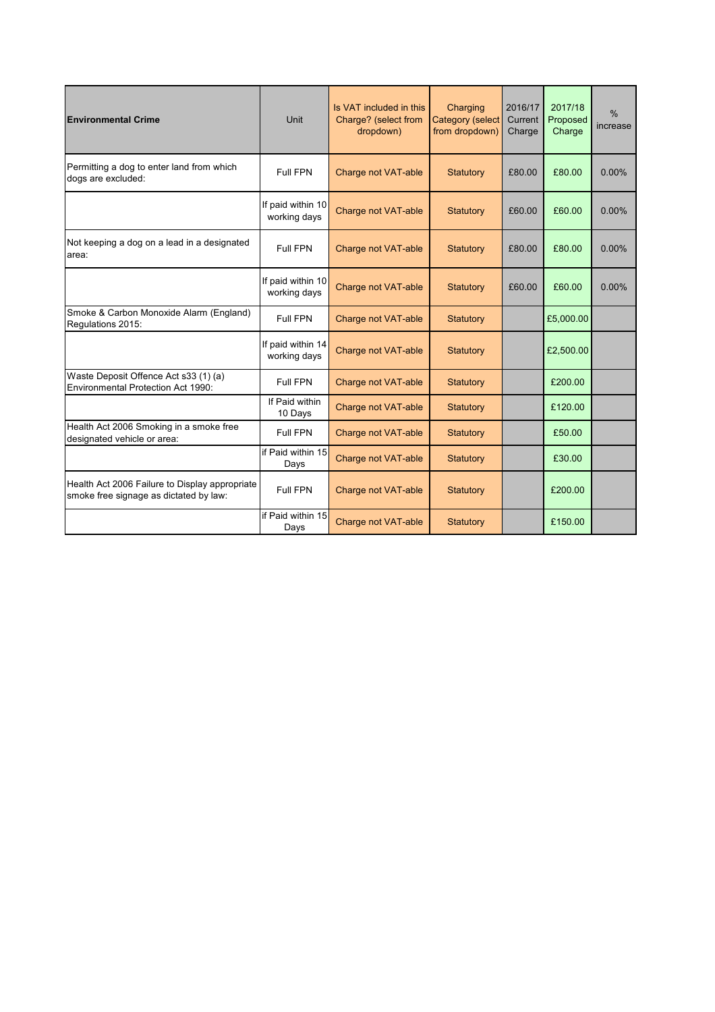| <b>Environmental Crime</b>                                                               | Unit                              | Is VAT included in this<br>Charge? (select from<br>dropdown) | Charging<br><b>Category (select</b><br>from dropdown) | 2016/17<br>Current<br>Charge | 2017/18<br>Proposed<br>Charge | $\%$<br>increase |
|------------------------------------------------------------------------------------------|-----------------------------------|--------------------------------------------------------------|-------------------------------------------------------|------------------------------|-------------------------------|------------------|
| Permitting a dog to enter land from which<br>dogs are excluded:                          | Full FPN                          | <b>Charge not VAT-able</b>                                   | Statutory                                             | £80.00                       | £80.00                        | 0.00%            |
|                                                                                          | If paid within 10<br>working days | Charge not VAT-able                                          | Statutory                                             | £60.00                       | £60.00                        | $0.00\%$         |
| Not keeping a dog on a lead in a designated<br>area:                                     | <b>Full FPN</b>                   | Charge not VAT-able                                          | <b>Statutory</b>                                      | £80.00                       | £80.00                        | 0.00%            |
|                                                                                          | If paid within 10<br>working days | Charge not VAT-able                                          | Statutory                                             | £60.00                       | £60.00                        | 0.00%            |
| Smoke & Carbon Monoxide Alarm (England)<br>Regulations 2015:                             | Full FPN                          | Charge not VAT-able                                          | <b>Statutory</b>                                      |                              | £5,000.00                     |                  |
|                                                                                          | If paid within 14<br>working days | <b>Charge not VAT-able</b>                                   | Statutory                                             |                              | £2,500.00                     |                  |
| Waste Deposit Offence Act s33 (1) (a)<br>Environmental Protection Act 1990:              | Full FPN                          | Charge not VAT-able                                          | <b>Statutory</b>                                      |                              | £200.00                       |                  |
|                                                                                          | If Paid within<br>10 Days         | Charge not VAT-able                                          | Statutory                                             |                              | £120.00                       |                  |
| Health Act 2006 Smoking in a smoke free<br>designated vehicle or area:                   | Full FPN                          | Charge not VAT-able                                          | Statutory                                             |                              | £50.00                        |                  |
|                                                                                          | if Paid within 15<br>Days         | Charge not VAT-able                                          | Statutory                                             |                              | £30.00                        |                  |
| Health Act 2006 Failure to Display appropriate<br>smoke free signage as dictated by law: | <b>Full FPN</b>                   | Charge not VAT-able                                          | <b>Statutory</b>                                      |                              | £200.00                       |                  |
|                                                                                          | if Paid within 15<br>Days         | <b>Charge not VAT-able</b>                                   | Statutory                                             |                              | £150.00                       |                  |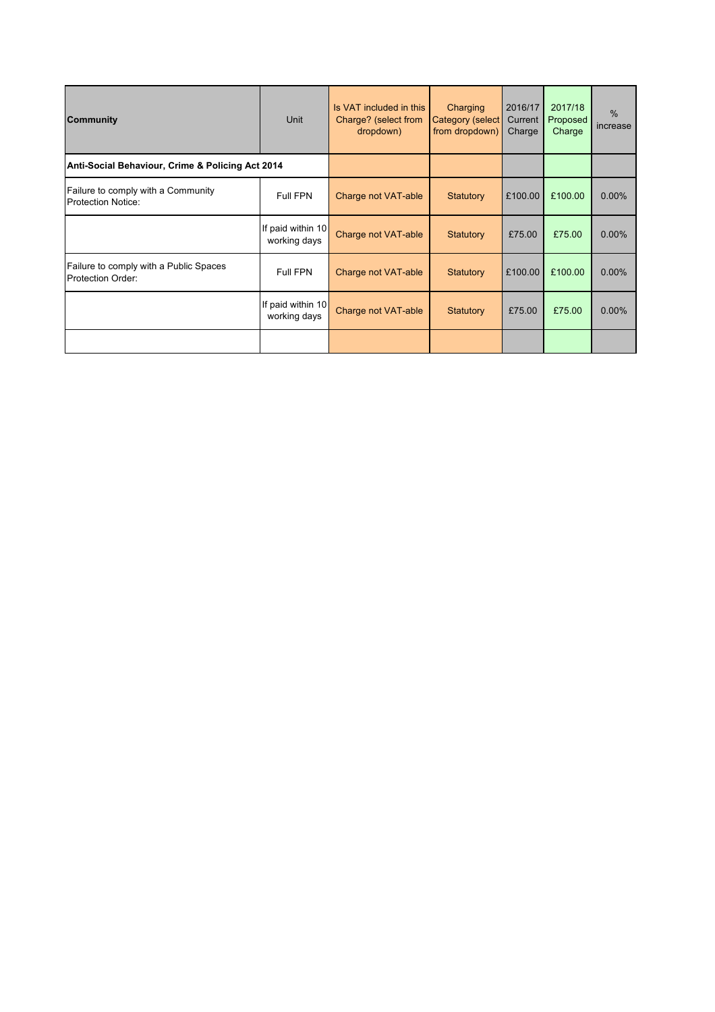| <b>Community</b>                                                | Unit                              | Is VAT included in this<br>Charge? (select from<br>dropdown) | Charging<br>Category (select<br>from dropdown) | 2016/17<br>Current<br>Charge | 2017/18<br>Proposed<br>Charge | $\%$<br>increase |
|-----------------------------------------------------------------|-----------------------------------|--------------------------------------------------------------|------------------------------------------------|------------------------------|-------------------------------|------------------|
| Anti-Social Behaviour, Crime & Policing Act 2014                |                                   |                                                              |                                                |                              |                               |                  |
| Failure to comply with a Community<br><b>Protection Notice:</b> | Full FPN                          | Charge not VAT-able                                          | Statutory                                      | £100.00                      | £100.00                       | 0.00%            |
|                                                                 | If paid within 10<br>working days | Charge not VAT-able                                          | Statutory                                      | £75.00                       | £75.00                        | 0.00%            |
| Failure to comply with a Public Spaces<br>Protection Order:     | Full FPN                          | Charge not VAT-able                                          | Statutory                                      | £100.00                      | £100.00                       | $0.00\%$         |
|                                                                 | If paid within 10<br>working days | Charge not VAT-able                                          | <b>Statutory</b>                               | £75.00                       | £75.00                        | 0.00%            |
|                                                                 |                                   |                                                              |                                                |                              |                               |                  |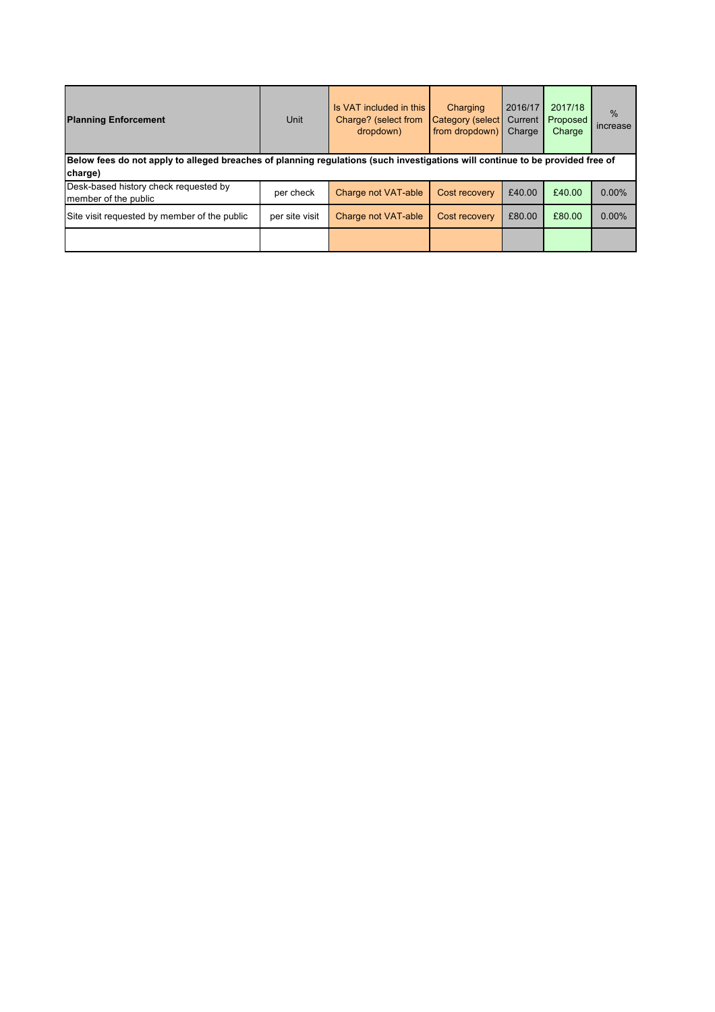| <b>Planning Enforcement</b>                                                                                                              | <b>Unit</b>    | Is VAT included in this<br>Charge? (select from<br>dropdown) | Charging<br>Category (select<br>from dropdown) | 2016/17<br>Current<br>Charge | 2017/18<br>Proposed<br>Charge | $\%$<br>increase |  |
|------------------------------------------------------------------------------------------------------------------------------------------|----------------|--------------------------------------------------------------|------------------------------------------------|------------------------------|-------------------------------|------------------|--|
| Below fees do not apply to alleged breaches of planning regulations (such investigations will continue to be provided free of<br>charge) |                |                                                              |                                                |                              |                               |                  |  |
| Desk-based history check requested by<br>member of the public                                                                            | per check      | Charge not VAT-able                                          | Cost recovery                                  | £40.00                       | £40.00                        | 0.00%            |  |
| Site visit requested by member of the public                                                                                             | per site visit | Charge not VAT-able                                          | Cost recovery                                  | £80.00                       | £80.00                        | 0.00%            |  |
|                                                                                                                                          |                |                                                              |                                                |                              |                               |                  |  |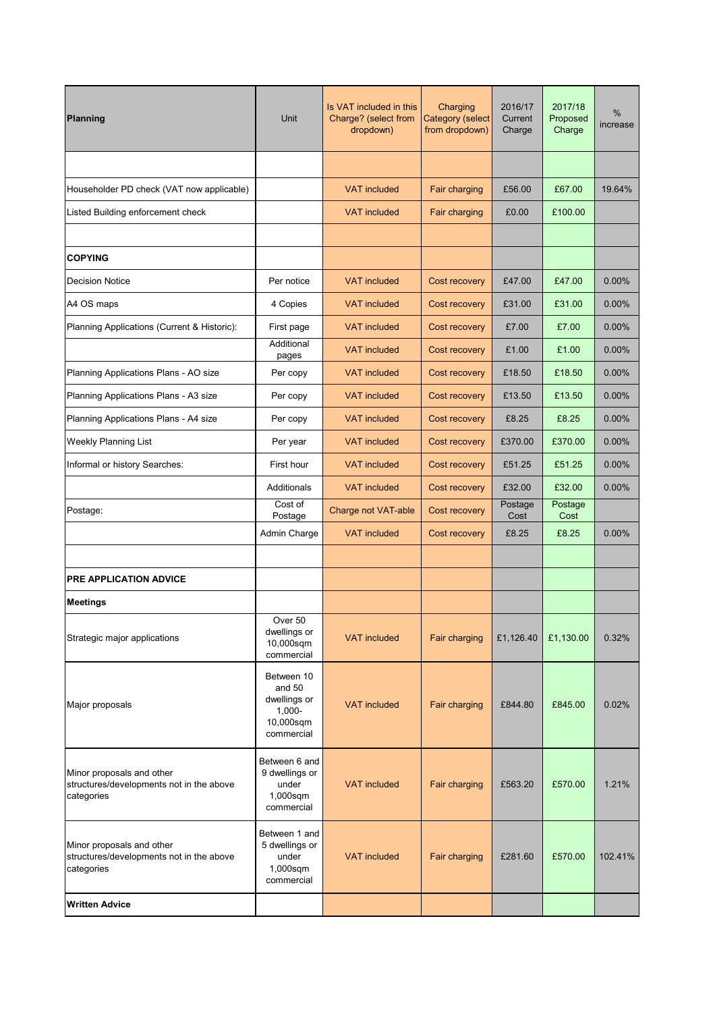| Planning                                                                            | <b>Unit</b>                                                                    | Is VAT included in this<br>Charge? (select from<br>dropdown) | Charging<br>Category (select<br>from dropdown) | 2016/17<br>Current<br>Charge | 2017/18<br>Proposed<br>Charge | %<br>increase |
|-------------------------------------------------------------------------------------|--------------------------------------------------------------------------------|--------------------------------------------------------------|------------------------------------------------|------------------------------|-------------------------------|---------------|
|                                                                                     |                                                                                |                                                              |                                                |                              |                               |               |
| Householder PD check (VAT now applicable)                                           |                                                                                | <b>VAT included</b>                                          | Fair charging                                  | £56.00                       | £67.00                        | 19.64%        |
| Listed Building enforcement check                                                   |                                                                                | <b>VAT included</b>                                          | Fair charging                                  | £0.00                        | £100.00                       |               |
|                                                                                     |                                                                                |                                                              |                                                |                              |                               |               |
| <b>COPYING</b>                                                                      |                                                                                |                                                              |                                                |                              |                               |               |
| <b>Decision Notice</b>                                                              | Per notice                                                                     | <b>VAT</b> included                                          | Cost recovery                                  | £47.00                       | £47.00                        | 0.00%         |
| A4 OS maps                                                                          | 4 Copies                                                                       | <b>VAT</b> included                                          | Cost recovery                                  | £31.00                       | £31.00                        | 0.00%         |
| Planning Applications (Current & Historic):                                         | First page                                                                     | <b>VAT included</b>                                          | Cost recovery                                  | £7.00                        | £7.00                         | 0.00%         |
|                                                                                     | Additional<br>pages                                                            | <b>VAT</b> included                                          | Cost recovery                                  | £1.00                        | £1.00                         | $0.00\%$      |
| Planning Applications Plans - AO size                                               | Per copy                                                                       | <b>VAT included</b>                                          | Cost recovery                                  | £18.50                       | £18.50                        | $0.00\%$      |
| Planning Applications Plans - A3 size                                               | Per copy                                                                       | <b>VAT included</b>                                          | Cost recovery                                  | £13.50                       | £13.50                        | 0.00%         |
| Planning Applications Plans - A4 size                                               | Per copy                                                                       | <b>VAT included</b>                                          | Cost recovery                                  | £8.25                        | £8.25                         | 0.00%         |
| <b>Weekly Planning List</b>                                                         | Per year                                                                       | <b>VAT included</b>                                          | Cost recovery                                  | £370.00                      | £370.00                       | 0.00%         |
| Informal or history Searches:                                                       | First hour                                                                     | <b>VAT</b> included                                          | Cost recovery                                  | £51.25                       | £51.25                        | 0.00%         |
|                                                                                     | Additionals                                                                    | <b>VAT included</b>                                          | Cost recovery                                  | £32.00                       | £32.00                        | 0.00%         |
| Postage:                                                                            | Cost of<br>Postage                                                             | Charge not VAT-able                                          | Cost recovery                                  | Postage<br>Cost              | Postage<br>Cost               |               |
|                                                                                     | Admin Charge                                                                   | <b>VAT included</b>                                          | Cost recovery                                  | £8.25                        | £8.25                         | 0.00%         |
|                                                                                     |                                                                                |                                                              |                                                |                              |                               |               |
| PRE APPLICATION ADVICE                                                              |                                                                                |                                                              |                                                |                              |                               |               |
| <b>Meetings</b>                                                                     |                                                                                |                                                              |                                                |                              |                               |               |
| Strategic major applications                                                        | Over 50<br>dwellings or<br>10,000sqm<br>commercial                             | <b>VAT</b> included                                          | Fair charging                                  | £1,126.40                    | £1,130.00                     | 0.32%         |
| Major proposals                                                                     | Between 10<br>and $50$<br>dwellings or<br>$1,000 -$<br>10,000sqm<br>commercial | <b>VAT</b> included                                          | Fair charging                                  | £844.80                      | £845.00                       | 0.02%         |
| Minor proposals and other<br>structures/developments not in the above<br>categories | Between 6 and<br>9 dwellings or<br>under<br>1,000sqm<br>commercial             | <b>VAT included</b>                                          | Fair charging                                  | £563.20                      | £570.00                       | 1.21%         |
| Minor proposals and other<br>structures/developments not in the above<br>categories | Between 1 and<br>5 dwellings or<br>under<br>1,000sqm<br>commercial             | <b>VAT included</b>                                          | Fair charging                                  | £281.60                      | £570.00                       | 102.41%       |
| <b>Written Advice</b>                                                               |                                                                                |                                                              |                                                |                              |                               |               |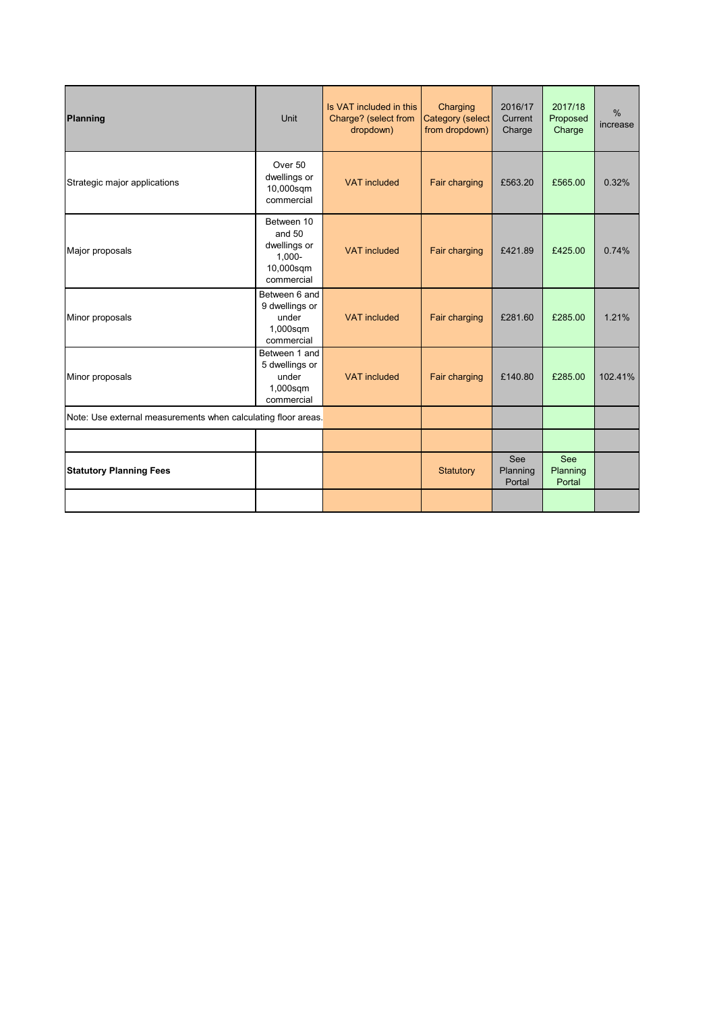| <b>Planning</b>                                               | Unit                                                                         | Is VAT included in this<br>Charge? (select from<br>dropdown) | Charging<br>Category (select<br>from dropdown) | 2016/17<br>Current<br>Charge | 2017/18<br>Proposed<br>Charge    | $\frac{0}{0}$<br>increase |
|---------------------------------------------------------------|------------------------------------------------------------------------------|--------------------------------------------------------------|------------------------------------------------|------------------------------|----------------------------------|---------------------------|
| Strategic major applications                                  | Over 50<br>dwellings or<br>10,000sqm<br>commercial                           | <b>VAT</b> included                                          | Fair charging                                  | £563.20                      | £565.00                          | 0.32%                     |
| Major proposals                                               | Between 10<br>and 50<br>dwellings or<br>$1.000 -$<br>10,000sqm<br>commercial | <b>VAT</b> included                                          | Fair charging                                  | £421.89                      | £425.00                          | 0.74%                     |
| Minor proposals                                               | Between 6 and<br>9 dwellings or<br>under<br>1,000sqm<br>commercial           | <b>VAT</b> included                                          | Fair charging                                  | £281.60                      | £285.00                          | 1.21%                     |
| Minor proposals                                               | Between 1 and<br>5 dwellings or<br>under<br>1,000sqm<br>commercial           | <b>VAT</b> included                                          | Fair charging                                  | £140.80                      | £285.00                          | 102.41%                   |
| Note: Use external measurements when calculating floor areas. |                                                                              |                                                              |                                                |                              |                                  |                           |
|                                                               |                                                                              |                                                              |                                                |                              |                                  |                           |
| <b>Statutory Planning Fees</b>                                |                                                                              |                                                              | Statutory                                      | See<br>Planning<br>Portal    | <b>See</b><br>Planning<br>Portal |                           |
|                                                               |                                                                              |                                                              |                                                |                              |                                  |                           |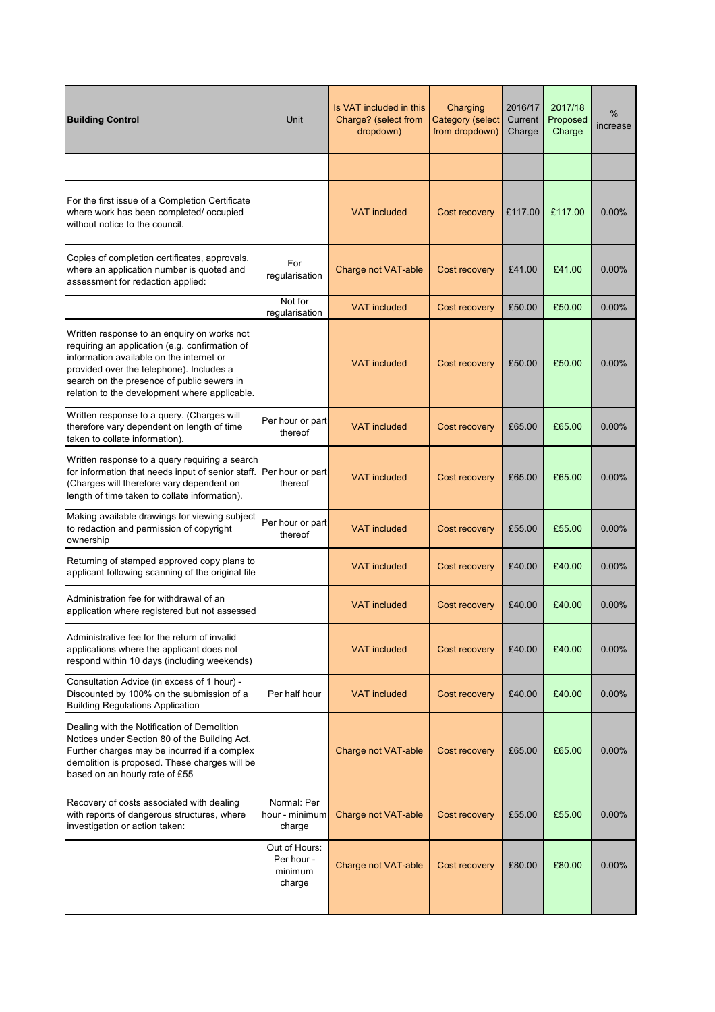| <b>Building Control</b>                                                                                                                                                                                                                                                              | Unit                                             | Is VAT included in this<br>Charge? (select from<br>dropdown) | Charging<br><b>Category (select</b><br>from dropdown) | 2016/17<br>Current<br>Charge | 2017/18<br>Proposed<br>Charge | %<br>increase |
|--------------------------------------------------------------------------------------------------------------------------------------------------------------------------------------------------------------------------------------------------------------------------------------|--------------------------------------------------|--------------------------------------------------------------|-------------------------------------------------------|------------------------------|-------------------------------|---------------|
|                                                                                                                                                                                                                                                                                      |                                                  |                                                              |                                                       |                              |                               |               |
| For the first issue of a Completion Certificate<br>where work has been completed/ occupied<br>without notice to the council.                                                                                                                                                         |                                                  | <b>VAT</b> included                                          | Cost recovery                                         | £117.00                      | £117.00                       | 0.00%         |
| Copies of completion certificates, approvals,<br>where an application number is quoted and<br>assessment for redaction applied:                                                                                                                                                      | For<br>regularisation                            | Charge not VAT-able                                          | Cost recovery                                         | £41.00                       | £41.00                        | 0.00%         |
|                                                                                                                                                                                                                                                                                      | Not for<br>regularisation                        | <b>VAT</b> included                                          | Cost recovery                                         | £50.00                       | £50.00                        | 0.00%         |
| Written response to an enguiry on works not<br>requiring an application (e.g. confirmation of<br>information available on the internet or<br>provided over the telephone). Includes a<br>search on the presence of public sewers in<br>relation to the development where applicable. |                                                  | <b>VAT</b> included                                          | Cost recovery                                         | £50.00                       | £50.00                        | 0.00%         |
| Written response to a query. (Charges will<br>therefore vary dependent on length of time<br>taken to collate information).                                                                                                                                                           | Per hour or part<br>thereof                      | <b>VAT</b> included                                          | Cost recovery                                         | £65.00                       | £65.00                        | 0.00%         |
| Written response to a query requiring a search<br>for information that needs input of senior staff.<br>(Charges will therefore vary dependent on<br>length of time taken to collate information).                                                                                    | Per hour or part<br>thereof                      | <b>VAT</b> included                                          | Cost recovery                                         | £65.00                       | £65.00                        | 0.00%         |
| Making available drawings for viewing subject<br>to redaction and permission of copyright<br>ownership                                                                                                                                                                               | Per hour or part<br>thereof                      | <b>VAT</b> included                                          | Cost recovery                                         | £55.00                       | £55.00                        | 0.00%         |
| Returning of stamped approved copy plans to<br>applicant following scanning of the original file                                                                                                                                                                                     |                                                  | <b>VAT included</b>                                          | Cost recovery                                         | £40.00                       | £40.00                        | 0.00%         |
| Administration fee for withdrawal of an<br>application where registered but not assessed                                                                                                                                                                                             |                                                  | <b>VAT included</b>                                          | <b>Cost recovery</b>                                  | £40.00                       | £40.00                        | 0.00%         |
| Administrative fee for the return of invalid<br>applications where the applicant does not<br>respond within 10 days (including weekends)                                                                                                                                             |                                                  | <b>VAT included</b>                                          | Cost recovery                                         | £40.00                       | £40.00                        | 0.00%         |
| Consultation Advice (in excess of 1 hour) -<br>Discounted by 100% on the submission of a<br><b>Building Regulations Application</b>                                                                                                                                                  | Per half hour                                    | <b>VAT included</b>                                          | Cost recovery                                         | £40.00                       | £40.00                        | 0.00%         |
| Dealing with the Notification of Demolition<br>Notices under Section 80 of the Building Act.<br>Further charges may be incurred if a complex<br>demolition is proposed. These charges will be<br>based on an hourly rate of £55                                                      |                                                  | Charge not VAT-able                                          | Cost recovery                                         | £65.00                       | £65.00                        | 0.00%         |
| Recovery of costs associated with dealing<br>with reports of dangerous structures, where<br>investigation or action taken:                                                                                                                                                           | Normal: Per<br>hour - minimum<br>charge          | Charge not VAT-able                                          | Cost recovery                                         | £55.00                       | £55.00                        | 0.00%         |
|                                                                                                                                                                                                                                                                                      | Out of Hours:<br>Per hour -<br>minimum<br>charge | Charge not VAT-able                                          | Cost recovery                                         | £80.00                       | £80.00                        | 0.00%         |
|                                                                                                                                                                                                                                                                                      |                                                  |                                                              |                                                       |                              |                               |               |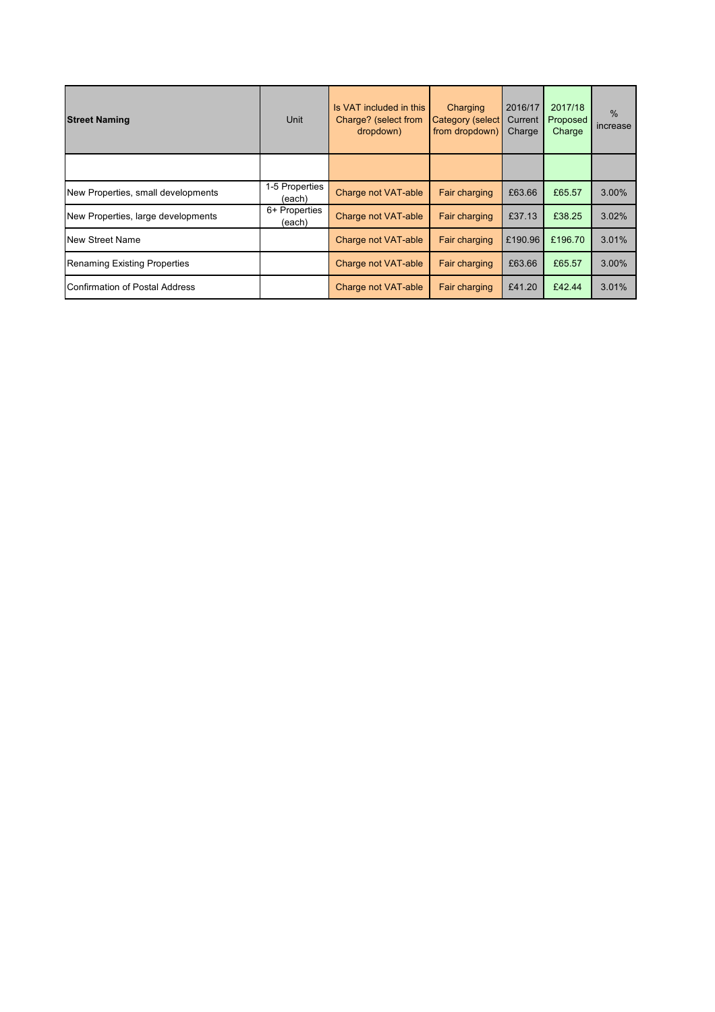| <b>Street Naming</b>                  | Unit                     | Is VAT included in this<br>Charge? (select from<br>dropdown) | Charging<br>Category (select<br>from dropdown) | 2016/17<br>Current<br>Charge | 2017/18<br>Proposed<br>Charge | $\%$<br>increase |
|---------------------------------------|--------------------------|--------------------------------------------------------------|------------------------------------------------|------------------------------|-------------------------------|------------------|
|                                       |                          |                                                              |                                                |                              |                               |                  |
| New Properties, small developments    | 1-5 Properties<br>(each) | Charge not VAT-able                                          | Fair charging                                  | £63.66                       | £65.57                        | 3.00%            |
| New Properties, large developments    | 6+ Properties<br>(each)  | Charge not VAT-able                                          | Fair charging                                  | £37.13                       | £38.25                        | 3.02%            |
| <b>New Street Name</b>                |                          | Charge not VAT-able                                          | Fair charging                                  | £190.96                      | £196.70                       | 3.01%            |
| Renaming Existing Properties          |                          | Charge not VAT-able                                          | Fair charging                                  | £63.66                       | £65.57                        | 3.00%            |
| <b>Confirmation of Postal Address</b> |                          | Charge not VAT-able                                          | Fair charging                                  | £41.20                       | £42.44                        | 3.01%            |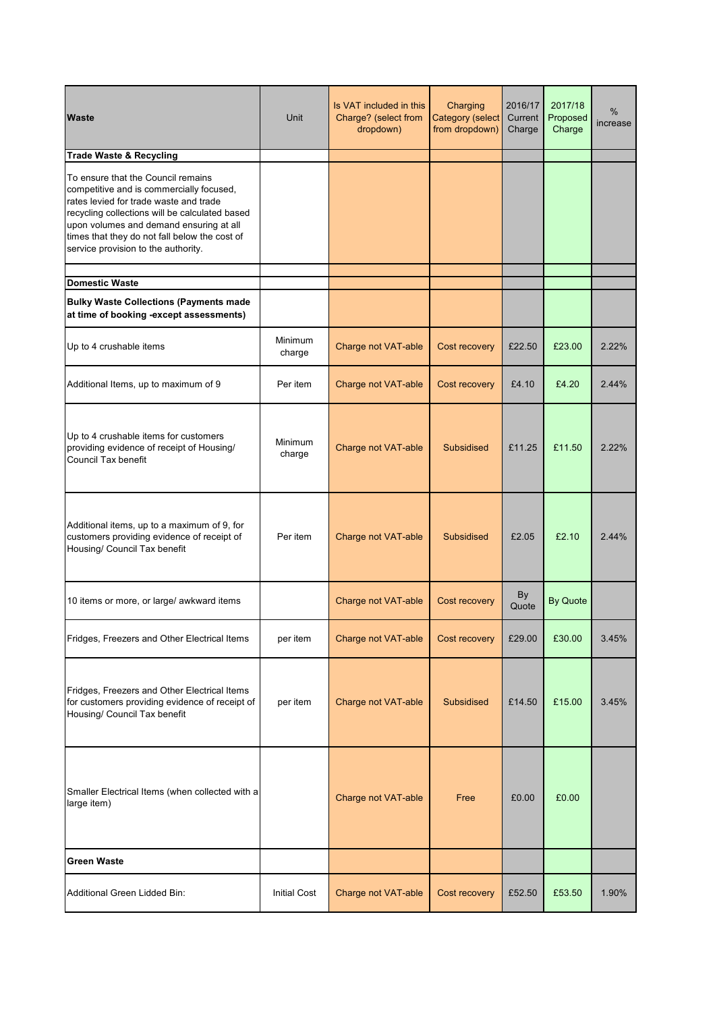| <b>Waste</b>                                                                                                                                                                                                                                                                                                  | <b>Unit</b>         | Is VAT included in this<br>Charge? (select from<br>dropdown) | Charging<br><b>Category (select</b><br>from dropdown) | 2016/17<br>Current<br>Charge | 2017/18<br>Proposed<br>Charge | %<br>increase |
|---------------------------------------------------------------------------------------------------------------------------------------------------------------------------------------------------------------------------------------------------------------------------------------------------------------|---------------------|--------------------------------------------------------------|-------------------------------------------------------|------------------------------|-------------------------------|---------------|
| <b>Trade Waste &amp; Recycling</b>                                                                                                                                                                                                                                                                            |                     |                                                              |                                                       |                              |                               |               |
| To ensure that the Council remains<br>competitive and is commercially focused,<br>rates levied for trade waste and trade<br>recycling collections will be calculated based<br>upon volumes and demand ensuring at all<br>times that they do not fall below the cost of<br>service provision to the authority. |                     |                                                              |                                                       |                              |                               |               |
| <b>Domestic Waste</b>                                                                                                                                                                                                                                                                                         |                     |                                                              |                                                       |                              |                               |               |
| <b>Bulky Waste Collections (Payments made</b><br>at time of booking -except assessments)                                                                                                                                                                                                                      |                     |                                                              |                                                       |                              |                               |               |
| Up to 4 crushable items                                                                                                                                                                                                                                                                                       | Minimum<br>charge   | Charge not VAT-able                                          | Cost recovery                                         | £22.50                       | £23.00                        | 2.22%         |
| Additional Items, up to maximum of 9                                                                                                                                                                                                                                                                          | Per item            | Charge not VAT-able                                          | Cost recovery                                         | £4.10                        | £4.20                         | 2.44%         |
| Up to 4 crushable items for customers<br>providing evidence of receipt of Housing/<br>Council Tax benefit                                                                                                                                                                                                     | Minimum<br>charge   | Charge not VAT-able                                          | <b>Subsidised</b>                                     | £11.25                       | £11.50                        | 2.22%         |
| Additional items, up to a maximum of 9, for<br>customers providing evidence of receipt of<br>Housing/ Council Tax benefit                                                                                                                                                                                     | Per item            | Charge not VAT-able                                          | <b>Subsidised</b>                                     | £2.05                        | £2.10                         | 2.44%         |
| 10 items or more, or large/ awkward items                                                                                                                                                                                                                                                                     |                     | Charge not VAT-able                                          | Cost recovery                                         | By<br>Quote                  | <b>By Quote</b>               |               |
| Fridges, Freezers and Other Electrical Items                                                                                                                                                                                                                                                                  | per item            | Charge not VAT-able                                          | Cost recovery                                         | £29.00                       | £30.00                        | 3.45%         |
| Fridges, Freezers and Other Electrical Items<br>for customers providing evidence of receipt of<br>Housing/ Council Tax benefit                                                                                                                                                                                | per item            | Charge not VAT-able                                          | <b>Subsidised</b>                                     | £14.50                       | £15.00                        | 3.45%         |
| Smaller Electrical Items (when collected with a<br>large item)                                                                                                                                                                                                                                                |                     | Charge not VAT-able                                          | Free                                                  | £0.00                        | £0.00                         |               |
| <b>Green Waste</b>                                                                                                                                                                                                                                                                                            |                     |                                                              |                                                       |                              |                               |               |
| Additional Green Lidded Bin:                                                                                                                                                                                                                                                                                  | <b>Initial Cost</b> | Charge not VAT-able                                          | Cost recovery                                         | £52.50                       | £53.50                        | 1.90%         |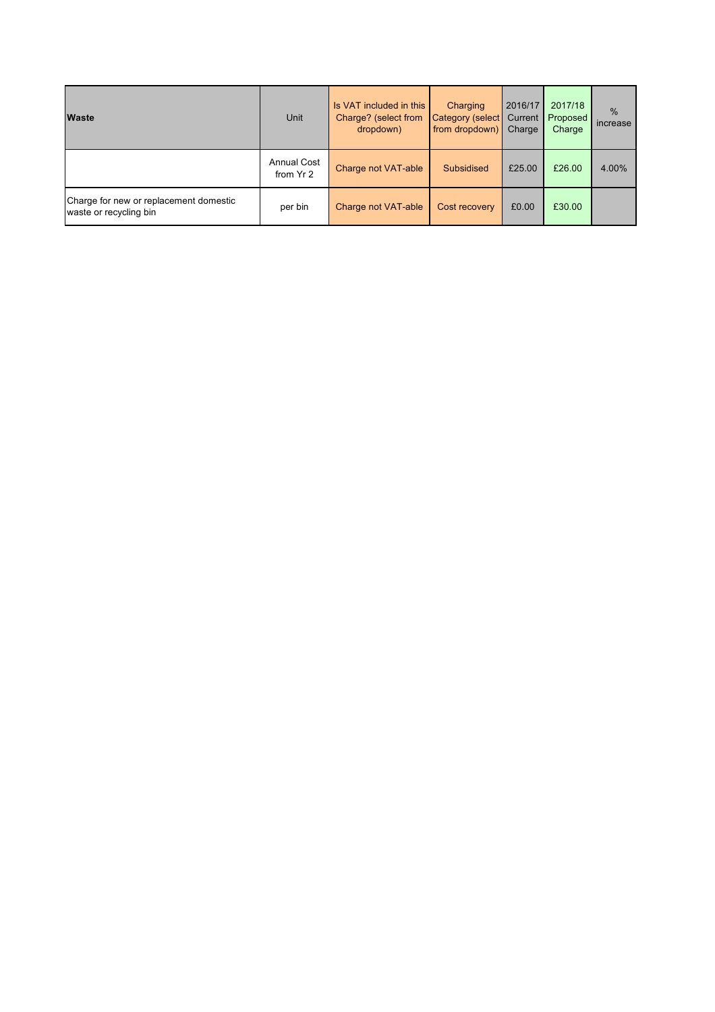| <b>Waste</b>                                                     | <b>Unit</b>                     | Is VAT included in this<br>Charge? (select from<br>dropdown) | Charging<br>Category (select<br>from dropdown) | 2016/17<br>Current<br>Charge | 2017/18<br>Proposed<br>Charge | $\frac{9}{6}$<br>increase |
|------------------------------------------------------------------|---------------------------------|--------------------------------------------------------------|------------------------------------------------|------------------------------|-------------------------------|---------------------------|
|                                                                  | <b>Annual Cost</b><br>from Yr 2 | Charge not VAT-able                                          | <b>Subsidised</b>                              | £25.00                       | £26.00                        | 4.00%                     |
| Charge for new or replacement domestic<br>waste or recycling bin | per bin                         | Charge not VAT-able                                          | Cost recovery                                  | £0.00                        | £30.00                        |                           |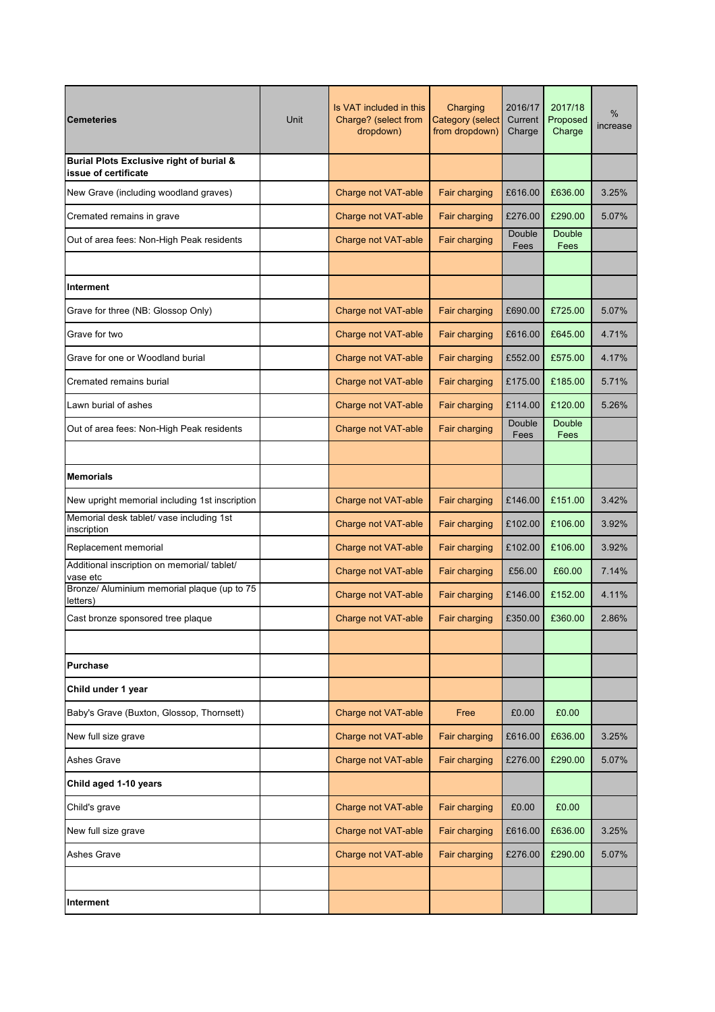| <b>Cemeteries</b>                                                | Unit | Is VAT included in this<br>Charge? (select from<br>dropdown) | Charging<br>Category (select<br>from dropdown) | 2016/17<br>Current<br>Charge | 2017/18<br>Proposed<br>Charge | %<br>increase |
|------------------------------------------------------------------|------|--------------------------------------------------------------|------------------------------------------------|------------------------------|-------------------------------|---------------|
| Burial Plots Exclusive right of burial &<br>issue of certificate |      |                                                              |                                                |                              |                               |               |
| New Grave (including woodland graves)                            |      | Charge not VAT-able                                          | Fair charging                                  | £616.00                      | £636.00                       | 3.25%         |
| Cremated remains in grave                                        |      | Charge not VAT-able                                          | Fair charging                                  | £276.00                      | £290.00                       | 5.07%         |
| Out of area fees: Non-High Peak residents                        |      | Charge not VAT-able                                          | Fair charging                                  | Double<br>Fees               | <b>Double</b><br>Fees         |               |
| Interment                                                        |      |                                                              |                                                |                              |                               |               |
| Grave for three (NB: Glossop Only)                               |      | Charge not VAT-able                                          | Fair charging                                  | £690.00                      | £725.00                       | 5.07%         |
| Grave for two                                                    |      | Charge not VAT-able                                          | Fair charging                                  | £616.00                      | £645.00                       | 4.71%         |
| Grave for one or Woodland burial                                 |      | Charge not VAT-able                                          | Fair charging                                  | £552.00                      | £575.00                       | 4.17%         |
| Cremated remains burial                                          |      | Charge not VAT-able                                          | Fair charging                                  | £175.00                      | £185.00                       | 5.71%         |
| Lawn burial of ashes                                             |      | Charge not VAT-able                                          | Fair charging                                  | £114.00                      | £120.00                       | 5.26%         |
| Out of area fees: Non-High Peak residents                        |      | Charge not VAT-able                                          | Fair charging                                  | Double<br>Fees               | <b>Double</b><br>Fees         |               |
| <b>Memorials</b>                                                 |      |                                                              |                                                |                              |                               |               |
| New upright memorial including 1st inscription                   |      | Charge not VAT-able                                          | Fair charging                                  | £146.00                      | £151.00                       | 3.42%         |
| Memorial desk tablet/ vase including 1st<br>inscription          |      | Charge not VAT-able                                          | Fair charging                                  | £102.00                      | £106.00                       | 3.92%         |
| Replacement memorial                                             |      | Charge not VAT-able                                          | Fair charging                                  | £102.00                      | £106.00                       | 3.92%         |
| Additional inscription on memorial/ tablet/<br>vase etc          |      | Charge not VAT-able                                          | Fair charging                                  | £56.00                       | £60.00                        | 7.14%         |
| Bronze/ Aluminium memorial plaque (up to 75<br>letters)          |      | Charge not VAT-able                                          | Fair charging                                  | £146.00                      | £152.00                       | 4.11%         |
| Cast bronze sponsored tree plaque                                |      | Charge not VAT-able                                          | Fair charging                                  | £350.00                      | £360.00                       | 2.86%         |
| <b>Purchase</b>                                                  |      |                                                              |                                                |                              |                               |               |
| Child under 1 year                                               |      |                                                              |                                                |                              |                               |               |
| Baby's Grave (Buxton, Glossop, Thornsett)                        |      | Charge not VAT-able                                          | Free                                           | £0.00                        | £0.00                         |               |
| New full size grave                                              |      | Charge not VAT-able                                          | Fair charging                                  | £616.00                      | £636.00                       | 3.25%         |
| <b>Ashes Grave</b>                                               |      | Charge not VAT-able                                          | Fair charging                                  | £276.00                      | £290.00                       | 5.07%         |
| Child aged 1-10 years                                            |      |                                                              |                                                |                              |                               |               |
| Child's grave                                                    |      | Charge not VAT-able                                          | Fair charging                                  | £0.00                        | £0.00                         |               |
| New full size grave                                              |      | Charge not VAT-able                                          | Fair charging                                  | £616.00                      | £636.00                       | 3.25%         |
| Ashes Grave                                                      |      | Charge not VAT-able                                          | Fair charging                                  | £276.00                      | £290.00                       | 5.07%         |
| Interment                                                        |      |                                                              |                                                |                              |                               |               |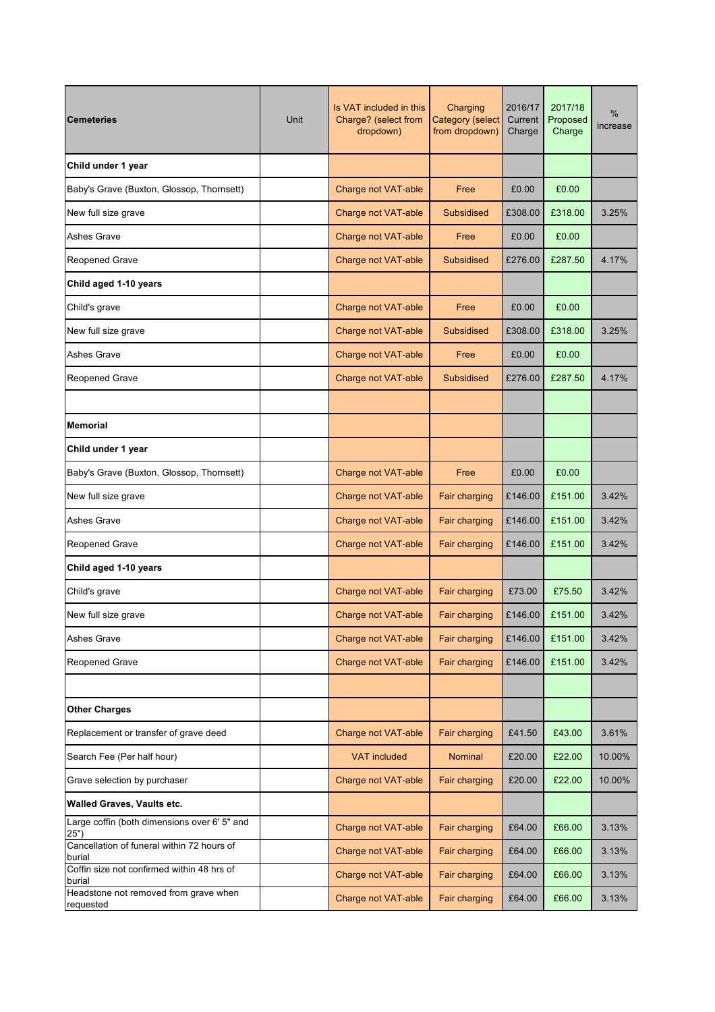| <b>Cemeteries</b>                                    | Unit | Is VAT included in this<br>Charge? (select from<br>dropdown) | Charging<br>Category (select<br>from dropdown) | 2016/17<br>Current<br>Charge | 2017/18<br>Proposed<br>Charge | %<br>increase |
|------------------------------------------------------|------|--------------------------------------------------------------|------------------------------------------------|------------------------------|-------------------------------|---------------|
| Child under 1 year                                   |      |                                                              |                                                |                              |                               |               |
| Baby's Grave (Buxton, Glossop, Thornsett)            |      | Charge not VAT-able                                          | Free                                           | £0.00                        | £0.00                         |               |
| New full size grave                                  |      | Charge not VAT-able                                          | Subsidised                                     | £308.00                      | £318.00                       | 3.25%         |
| <b>Ashes Grave</b>                                   |      | Charge not VAT-able                                          | Free                                           | £0.00                        | £0.00                         |               |
| <b>Reopened Grave</b>                                |      | Charge not VAT-able                                          | <b>Subsidised</b>                              | £276.00                      | £287.50                       | 4.17%         |
| Child aged 1-10 years                                |      |                                                              |                                                |                              |                               |               |
| Child's grave                                        |      | Charge not VAT-able                                          | Free                                           | £0.00                        | £0.00                         |               |
| New full size grave                                  |      | Charge not VAT-able                                          | <b>Subsidised</b>                              | £308.00                      | £318.00                       | 3.25%         |
| Ashes Grave                                          |      | Charge not VAT-able                                          | Free                                           | £0.00                        | £0.00                         |               |
| <b>Reopened Grave</b>                                |      | Charge not VAT-able                                          | <b>Subsidised</b>                              | £276.00                      | £287.50                       | 4.17%         |
|                                                      |      |                                                              |                                                |                              |                               |               |
| <b>Memorial</b>                                      |      |                                                              |                                                |                              |                               |               |
| Child under 1 year                                   |      |                                                              |                                                |                              |                               |               |
| Baby's Grave (Buxton, Glossop, Thornsett)            |      | Charge not VAT-able                                          | Free                                           | £0.00                        | £0.00                         |               |
| New full size grave                                  |      | Charge not VAT-able                                          | Fair charging                                  | £146.00                      | £151.00                       | 3.42%         |
| Ashes Grave                                          |      | Charge not VAT-able                                          | Fair charging                                  | £146.00                      | £151.00                       | 3.42%         |
| <b>Reopened Grave</b>                                |      | Charge not VAT-able                                          | Fair charging                                  | £146.00                      | £151.00                       | 3.42%         |
| Child aged 1-10 years                                |      |                                                              |                                                |                              |                               |               |
| Child's grave                                        |      | Charge not VAT-able                                          | Fair charging                                  | £73.00                       | £75.50                        | 3.42%         |
| New full size grave                                  |      | Charge not VAT-able                                          | Fair charging                                  | £146.00                      | £151.00                       | 3.42%         |
| <b>Ashes Grave</b>                                   |      | Charge not VAT-able                                          | Fair charging                                  | £146.00                      | £151.00                       | 3.42%         |
| <b>Reopened Grave</b>                                |      | Charge not VAT-able                                          | Fair charging                                  | £146.00                      | £151.00                       | 3.42%         |
|                                                      |      |                                                              |                                                |                              |                               |               |
| <b>Other Charges</b>                                 |      |                                                              |                                                |                              |                               |               |
| Replacement or transfer of grave deed                |      | Charge not VAT-able                                          | Fair charging                                  | £41.50                       | £43.00                        | 3.61%         |
| Search Fee (Per half hour)                           |      | <b>VAT included</b>                                          | Nominal                                        | £20.00                       | £22.00                        | 10.00%        |
| Grave selection by purchaser                         |      | Charge not VAT-able                                          | Fair charging                                  | £20.00                       | £22.00                        | 10.00%        |
| Walled Graves, Vaults etc.                           |      |                                                              |                                                |                              |                               |               |
| Large coffin (both dimensions over 6' 5" and<br>25") |      | Charge not VAT-able                                          | Fair charging                                  | £64.00                       | £66.00                        | 3.13%         |
| Cancellation of funeral within 72 hours of<br>burial |      | Charge not VAT-able                                          | Fair charging                                  | £64.00                       | £66.00                        | 3.13%         |
| Coffin size not confirmed within 48 hrs of<br>burial |      | Charge not VAT-able                                          | Fair charging                                  | £64.00                       | £66.00                        | 3.13%         |
| Headstone not removed from grave when<br>requested   |      | Charge not VAT-able                                          | Fair charging                                  | £64.00                       | £66.00                        | 3.13%         |
|                                                      |      |                                                              |                                                |                              |                               |               |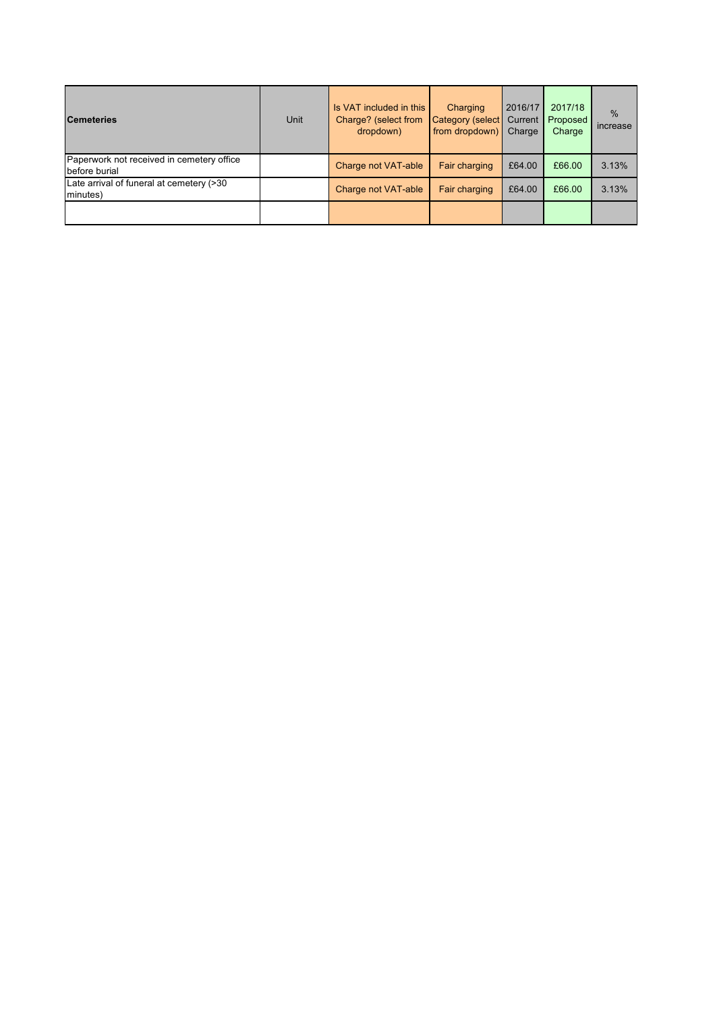| <b>Cemeteries</b>                                          | Unit | Is VAT included in this<br>Charge? (select from<br>dropdown) | Charging<br>Category (select<br>from dropdown) | 2016/17<br>Current<br>Charge | 2017/18<br>Proposed<br>Charge | $\%$<br>increase |
|------------------------------------------------------------|------|--------------------------------------------------------------|------------------------------------------------|------------------------------|-------------------------------|------------------|
| Paperwork not received in cemetery office<br>before burial |      | Charge not VAT-able                                          | Fair charging                                  | £64.00                       | £66.00                        | 3.13%            |
| Late arrival of funeral at cemetery (>30<br>minutes)       |      | Charge not VAT-able                                          | Fair charging                                  | £64.00                       | £66.00                        | 3.13%            |
|                                                            |      |                                                              |                                                |                              |                               |                  |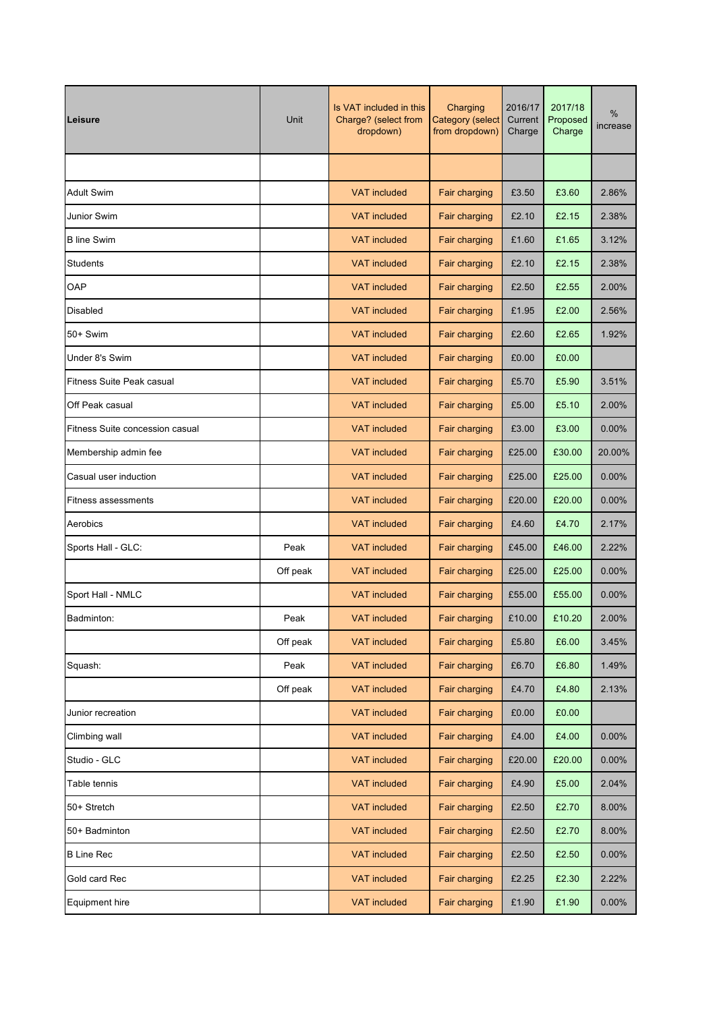| Leisure                          | Unit     | Is VAT included in this<br>Charge? (select from<br>dropdown) | Charging<br><b>Category (select</b><br>from dropdown) | 2016/17<br>Current<br>Charge | 2017/18<br>Proposed<br>Charge | %<br>increase |
|----------------------------------|----------|--------------------------------------------------------------|-------------------------------------------------------|------------------------------|-------------------------------|---------------|
|                                  |          |                                                              |                                                       |                              |                               |               |
| <b>Adult Swim</b>                |          | <b>VAT included</b>                                          | Fair charging                                         | £3.50                        | £3.60                         | 2.86%         |
| Junior Swim                      |          | <b>VAT included</b>                                          | Fair charging                                         | £2.10                        | £2.15                         | 2.38%         |
| <b>B</b> line Swim               |          | <b>VAT</b> included                                          | Fair charging                                         | £1.60                        | £1.65                         | 3.12%         |
| <b>Students</b>                  |          | <b>VAT</b> included                                          | Fair charging                                         | £2.10                        | £2.15                         | 2.38%         |
| OAP                              |          | <b>VAT</b> included                                          | Fair charging                                         | £2.50                        | £2.55                         | 2.00%         |
| Disabled                         |          | <b>VAT included</b>                                          | Fair charging                                         | £1.95                        | £2.00                         | 2.56%         |
| 50+ Swim                         |          | <b>VAT</b> included                                          | Fair charging                                         | £2.60                        | £2.65                         | 1.92%         |
| Under 8's Swim                   |          | <b>VAT</b> included                                          | Fair charging                                         | £0.00                        | £0.00                         |               |
| <b>Fitness Suite Peak casual</b> |          | <b>VAT included</b>                                          | Fair charging                                         | £5.70                        | £5.90                         | 3.51%         |
| Off Peak casual                  |          | <b>VAT included</b>                                          | Fair charging                                         | £5.00                        | £5.10                         | 2.00%         |
| Fitness Suite concession casual  |          | <b>VAT</b> included                                          | Fair charging                                         | £3.00                        | £3.00                         | 0.00%         |
| Membership admin fee             |          | <b>VAT included</b>                                          | Fair charging                                         | £25.00                       | £30.00                        | 20.00%        |
| Casual user induction            |          | <b>VAT</b> included                                          | Fair charging                                         | £25.00                       | £25.00                        | 0.00%         |
| Fitness assessments              |          | <b>VAT</b> included                                          | Fair charging                                         | £20.00                       | £20.00                        | 0.00%         |
| Aerobics                         |          | <b>VAT</b> included                                          | Fair charging                                         | £4.60                        | £4.70                         | 2.17%         |
| Sports Hall - GLC:               | Peak     | <b>VAT included</b>                                          | Fair charging                                         | £45.00                       | £46.00                        | 2.22%         |
|                                  | Off peak | <b>VAT included</b>                                          | Fair charging                                         | £25.00                       | £25.00                        | 0.00%         |
| Sport Hall - NMLC                |          | <b>VAT</b> included                                          | Fair charging                                         | £55.00                       | £55.00                        | 0.00%         |
| Badminton:                       | Peak     | <b>VAT</b> included                                          | Fair charging                                         | £10.00                       | £10.20                        | 2.00%         |
|                                  | Off peak | <b>VAT included</b>                                          | Fair charging                                         | £5.80                        | £6.00                         | 3.45%         |
| Squash:                          | Peak     | <b>VAT included</b>                                          | Fair charging                                         | £6.70                        | £6.80                         | 1.49%         |
|                                  | Off peak | <b>VAT</b> included                                          | Fair charging                                         | £4.70                        | £4.80                         | 2.13%         |
| Junior recreation                |          | <b>VAT included</b>                                          | Fair charging                                         | £0.00                        | £0.00                         |               |
| Climbing wall                    |          | <b>VAT included</b>                                          | Fair charging                                         | £4.00                        | £4.00                         | 0.00%         |
| Studio - GLC                     |          | <b>VAT included</b>                                          | Fair charging                                         | £20.00                       | £20.00                        | 0.00%         |
| Table tennis                     |          | <b>VAT included</b>                                          | Fair charging                                         | £4.90                        | £5.00                         | 2.04%         |
| 50+ Stretch                      |          | <b>VAT</b> included                                          | Fair charging                                         | £2.50                        | £2.70                         | 8.00%         |
| 50+ Badminton                    |          | <b>VAT included</b>                                          | Fair charging                                         | £2.50                        | £2.70                         | 8.00%         |
| <b>B Line Rec</b>                |          | <b>VAT included</b>                                          | Fair charging                                         | £2.50                        | £2.50                         | $0.00\%$      |
| Gold card Rec                    |          | <b>VAT included</b>                                          | Fair charging                                         | £2.25                        | £2.30                         | 2.22%         |
| Equipment hire                   |          | <b>VAT included</b>                                          | Fair charging                                         | £1.90                        | £1.90                         | $0.00\%$      |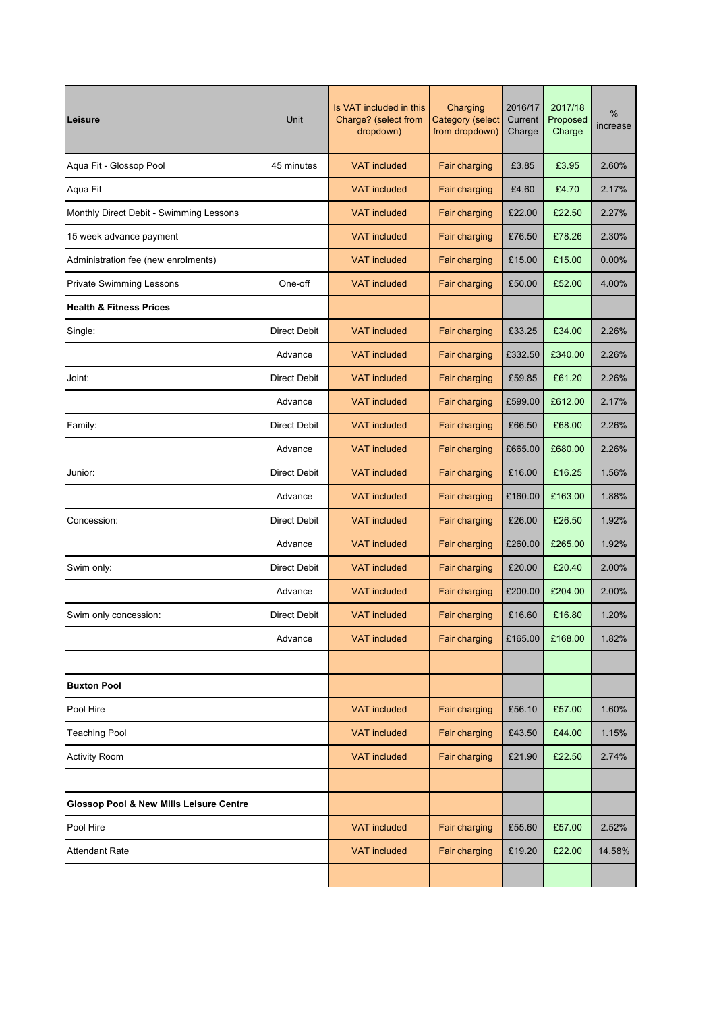| Leisure                                 | Unit                | Is VAT included in this<br>Charging<br>Charge? (select from<br>Category (select<br>from dropdown)<br>dropdown) |               | 2016/17<br>Current<br>Charge | 2017/18<br>Proposed<br>Charge | %<br>increase |
|-----------------------------------------|---------------------|----------------------------------------------------------------------------------------------------------------|---------------|------------------------------|-------------------------------|---------------|
| Aqua Fit - Glossop Pool                 | 45 minutes          | <b>VAT included</b>                                                                                            | Fair charging | £3.85                        | £3.95                         | 2.60%         |
| Aqua Fit                                |                     | <b>VAT included</b>                                                                                            | Fair charging | £4.60                        | £4.70                         | 2.17%         |
| Monthly Direct Debit - Swimming Lessons |                     | <b>VAT included</b>                                                                                            | Fair charging | £22.00                       | £22.50                        | 2.27%         |
| 15 week advance payment                 |                     | <b>VAT included</b>                                                                                            | Fair charging | £76.50                       | £78.26                        | 2.30%         |
| Administration fee (new enrolments)     |                     | <b>VAT included</b>                                                                                            | Fair charging | £15.00                       | £15.00                        | 0.00%         |
| <b>Private Swimming Lessons</b>         | One-off             | <b>VAT included</b>                                                                                            | Fair charging | £50.00                       | £52.00                        | 4.00%         |
| <b>Health &amp; Fitness Prices</b>      |                     |                                                                                                                |               |                              |                               |               |
| Single:                                 | <b>Direct Debit</b> | <b>VAT</b> included                                                                                            | Fair charging | £33.25                       | £34.00                        | 2.26%         |
|                                         | Advance             | <b>VAT included</b>                                                                                            | Fair charging | £332.50                      | £340.00                       | 2.26%         |
| Joint:                                  | Direct Debit        | <b>VAT included</b>                                                                                            | Fair charging | £59.85                       | £61.20                        | 2.26%         |
|                                         | Advance             | <b>VAT included</b>                                                                                            | Fair charging | £599.00                      | £612.00                       | 2.17%         |
| Family:                                 | Direct Debit        | <b>VAT included</b>                                                                                            | Fair charging | £66.50                       | £68.00                        | 2.26%         |
|                                         | Advance             | <b>VAT included</b>                                                                                            | Fair charging | £665.00                      | £680.00                       | 2.26%         |
| Junior:                                 | <b>Direct Debit</b> | <b>VAT included</b>                                                                                            | Fair charging | £16.00                       | £16.25                        | 1.56%         |
|                                         | Advance             | <b>VAT included</b>                                                                                            | Fair charging | £160.00                      | £163.00                       | 1.88%         |
| Concession:                             | Direct Debit        | <b>VAT included</b>                                                                                            | Fair charging | £26.00                       | £26.50                        | 1.92%         |
|                                         | Advance             | <b>VAT included</b>                                                                                            | Fair charging | £260.00                      | £265.00                       | 1.92%         |
| Swim only:                              | <b>Direct Debit</b> | <b>VAT included</b>                                                                                            | Fair charging | £20.00                       | £20.40                        | 2.00%         |
|                                         | Advance             | <b>VAT</b> included                                                                                            | Fair charging | £200.00                      | £204.00                       | 2.00%         |
| Swim only concession:                   | Direct Debit        | <b>VAT</b> included                                                                                            | Fair charging | £16.60                       | £16.80                        | 1.20%         |
|                                         | Advance             | <b>VAT included</b>                                                                                            | Fair charging | £165.00                      | £168.00                       | 1.82%         |
|                                         |                     |                                                                                                                |               |                              |                               |               |
| <b>Buxton Pool</b>                      |                     |                                                                                                                |               |                              |                               |               |
| Pool Hire                               |                     | <b>VAT included</b>                                                                                            | Fair charging | £56.10                       | £57.00                        | 1.60%         |
| <b>Teaching Pool</b>                    |                     | <b>VAT included</b>                                                                                            | Fair charging | £43.50                       | £44.00                        | 1.15%         |
| <b>Activity Room</b>                    |                     | <b>VAT included</b>                                                                                            | Fair charging | £21.90                       | £22.50                        | 2.74%         |
|                                         |                     |                                                                                                                |               |                              |                               |               |
| Glossop Pool & New Mills Leisure Centre |                     |                                                                                                                |               |                              |                               |               |
| Pool Hire                               |                     | <b>VAT</b> included                                                                                            | Fair charging | £55.60                       | £57.00                        | 2.52%         |
| <b>Attendant Rate</b>                   |                     | <b>VAT included</b>                                                                                            | Fair charging | £19.20                       | £22.00                        | 14.58%        |
|                                         |                     |                                                                                                                |               |                              |                               |               |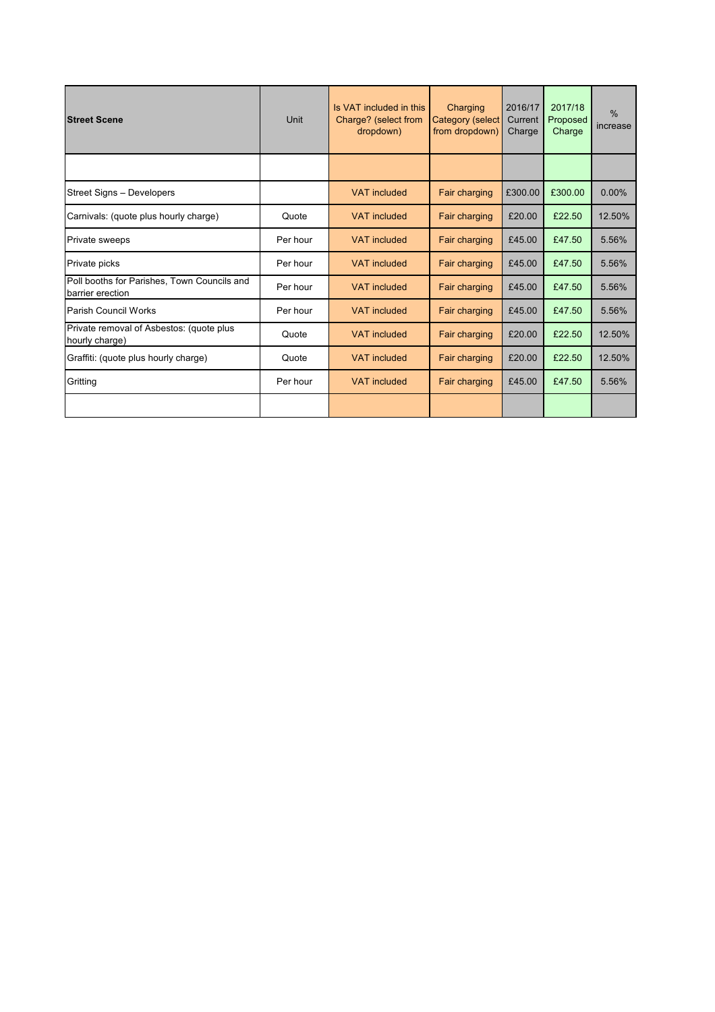| <b>Street Scene</b>                                             | Unit     | Is VAT included in this<br>Charge? (select from<br>dropdown) | Charging<br>Category (select<br>from dropdown) | 2016/17<br>Current<br>Charge | 2017/18<br>Proposed<br>Charge | $\frac{0}{0}$<br>increase |
|-----------------------------------------------------------------|----------|--------------------------------------------------------------|------------------------------------------------|------------------------------|-------------------------------|---------------------------|
|                                                                 |          |                                                              |                                                |                              |                               |                           |
| Street Signs - Developers                                       |          | <b>VAT</b> included                                          | Fair charging                                  | £300.00                      | £300.00                       | $0.00\%$                  |
| Carnivals: (quote plus hourly charge)                           | Quote    | <b>VAT included</b><br>Fair charging                         |                                                | £20.00                       | £22.50                        | 12.50%                    |
| Private sweeps                                                  | Per hour | <b>VAT</b> included                                          | Fair charging                                  | £45.00                       | £47.50                        | 5.56%                     |
| Private picks                                                   | Per hour | <b>VAT</b> included                                          | Fair charging                                  | £45.00                       | £47.50                        | 5.56%                     |
| Poll booths for Parishes, Town Councils and<br>barrier erection | Per hour | <b>VAT</b> included                                          | Fair charging                                  | £45.00                       | £47.50                        | 5.56%                     |
| Parish Council Works                                            | Per hour | <b>VAT</b> included                                          | Fair charging                                  | £45.00                       | £47.50                        | 5.56%                     |
| Private removal of Asbestos: (quote plus<br>hourly charge)      | Quote    | <b>VAT included</b>                                          | <b>Fair charging</b>                           | £20.00                       | £22.50                        | 12.50%                    |
| Graffiti: (quote plus hourly charge)                            | Quote    | <b>VAT included</b>                                          | Fair charging                                  | £20.00                       | £22.50                        | 12.50%                    |
| Gritting                                                        | Per hour | <b>VAT</b> included                                          | <b>Fair charging</b>                           | £45.00                       | £47.50                        | 5.56%                     |
|                                                                 |          |                                                              |                                                |                              |                               |                           |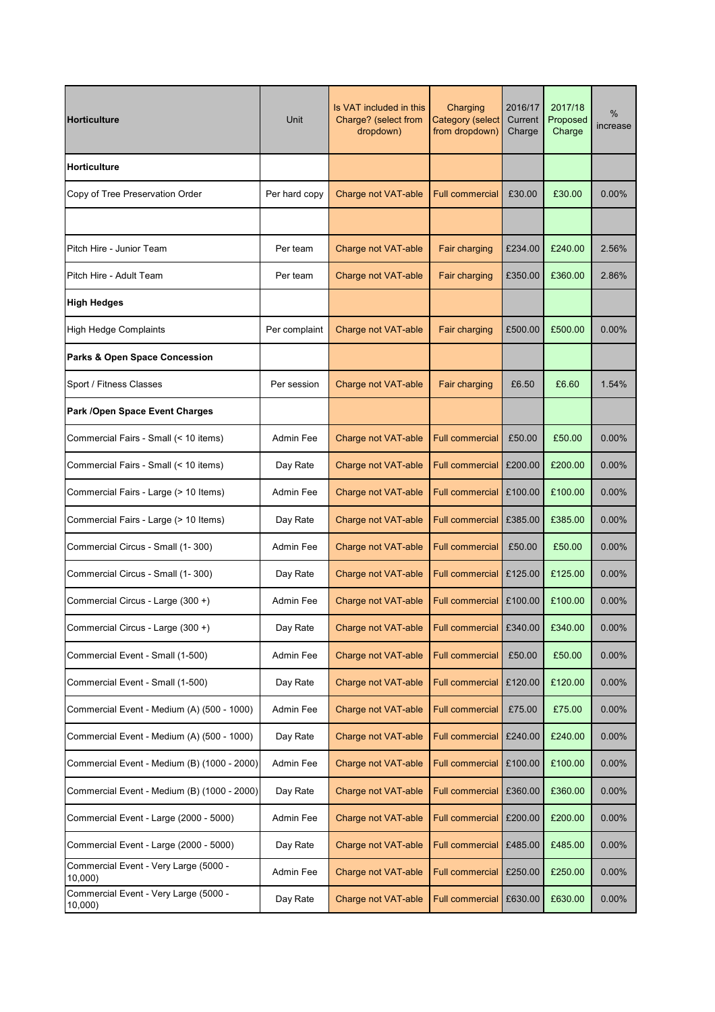| <b>Horticulture</b>                              | Unit          | Is VAT included in this<br>Charging<br>Charge? (select from<br><b>Category (select</b><br>from dropdown)<br>dropdown) |                        | 2016/17<br>Current<br>Charge | 2017/18<br>Proposed<br>Charge | %<br>increase |
|--------------------------------------------------|---------------|-----------------------------------------------------------------------------------------------------------------------|------------------------|------------------------------|-------------------------------|---------------|
| Horticulture                                     |               |                                                                                                                       |                        |                              |                               |               |
| Copy of Tree Preservation Order                  | Per hard copy | Charge not VAT-able                                                                                                   | <b>Full commercial</b> | £30.00                       | £30.00                        | $0.00\%$      |
|                                                  |               |                                                                                                                       |                        |                              |                               |               |
| Pitch Hire - Junior Team                         | Per team      | Charge not VAT-able                                                                                                   | Fair charging          | £234.00                      | £240.00                       | 2.56%         |
| Pitch Hire - Adult Team                          | Per team      | Charge not VAT-able                                                                                                   | Fair charging          | £350.00                      | £360.00                       | 2.86%         |
| <b>High Hedges</b>                               |               |                                                                                                                       |                        |                              |                               |               |
| <b>High Hedge Complaints</b>                     | Per complaint | Charge not VAT-able                                                                                                   | Fair charging          | £500.00                      | £500.00                       | 0.00%         |
| <b>Parks &amp; Open Space Concession</b>         |               |                                                                                                                       |                        |                              |                               |               |
| Sport / Fitness Classes                          | Per session   | Charge not VAT-able                                                                                                   | Fair charging          | £6.50                        | £6.60                         | 1.54%         |
| Park /Open Space Event Charges                   |               |                                                                                                                       |                        |                              |                               |               |
| Commercial Fairs - Small (< 10 items)            | Admin Fee     | Charge not VAT-able                                                                                                   | <b>Full commercial</b> | £50.00                       | £50.00                        | $0.00\%$      |
| Commercial Fairs - Small (< 10 items)            | Day Rate      | Charge not VAT-able                                                                                                   | <b>Full commercial</b> | £200.00                      | £200.00                       | 0.00%         |
| Commercial Fairs - Large (> 10 Items)            | Admin Fee     | Charge not VAT-able                                                                                                   | <b>Full commercial</b> | £100.00                      | £100.00                       | 0.00%         |
| Commercial Fairs - Large (> 10 Items)            | Day Rate      | Charge not VAT-able                                                                                                   | <b>Full commercial</b> | £385.00                      | £385.00                       | 0.00%         |
| Commercial Circus - Small (1-300)                | Admin Fee     | Charge not VAT-able                                                                                                   | <b>Full commercial</b> | £50.00                       | £50.00                        | 0.00%         |
| Commercial Circus - Small (1-300)                | Day Rate      | Charge not VAT-able                                                                                                   | <b>Full commercial</b> | £125.00                      | £125.00                       | 0.00%         |
| Commercial Circus - Large (300 +)                | Admin Fee     | Charge not VAT-able                                                                                                   | <b>Full commercial</b> | £100.00                      | £100.00                       | 0.00%         |
| Commercial Circus - Large (300 +)                | Day Rate      | Charge not VAT-able                                                                                                   | Full commercial        | £340.00                      | £340.00                       | $0.00\%$      |
| Commercial Event - Small (1-500)                 | Admin Fee     | Charge not VAT-able                                                                                                   | <b>Full commercial</b> | £50.00                       | £50.00                        | 0.00%         |
| Commercial Event - Small (1-500)                 | Day Rate      | Charge not VAT-able                                                                                                   | <b>Full commercial</b> | £120.00                      | £120.00                       | $0.00\%$      |
| Commercial Event - Medium (A) (500 - 1000)       | Admin Fee     | Charge not VAT-able                                                                                                   | <b>Full commercial</b> | £75.00                       | £75.00                        | 0.00%         |
| Commercial Event - Medium (A) (500 - 1000)       | Day Rate      | Charge not VAT-able                                                                                                   | <b>Full commercial</b> | £240.00                      | £240.00                       | 0.00%         |
| Commercial Event - Medium (B) (1000 - 2000)      | Admin Fee     | Charge not VAT-able                                                                                                   | Full commercial        | £100.00                      | £100.00                       | 0.00%         |
| Commercial Event - Medium (B) (1000 - 2000)      | Day Rate      | Charge not VAT-able                                                                                                   | Full commercial        | £360.00                      | £360.00                       | $0.00\%$      |
| Commercial Event - Large (2000 - 5000)           | Admin Fee     | Charge not VAT-able                                                                                                   | <b>Full commercial</b> | £200.00                      | £200.00                       | $0.00\%$      |
| Commercial Event - Large (2000 - 5000)           | Day Rate      | Charge not VAT-able                                                                                                   | <b>Full commercial</b> | £485.00                      | £485.00                       | 0.00%         |
| Commercial Event - Very Large (5000 -<br>10,000) | Admin Fee     | Charge not VAT-able                                                                                                   | <b>Full commercial</b> | £250.00                      | £250.00                       | $0.00\%$      |
| Commercial Event - Very Large (5000 -<br>10,000  | Day Rate      | Charge not VAT-able                                                                                                   | <b>Full commercial</b> | £630.00                      | £630.00                       | 0.00%         |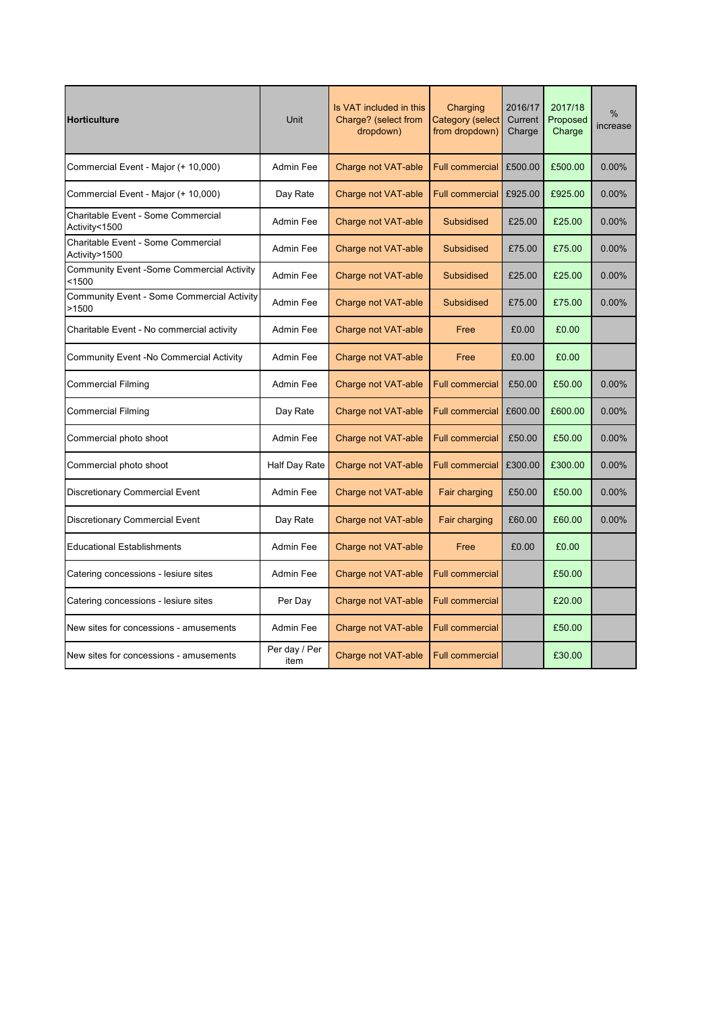| <b>Horticulture</b>                                       | Unit                  | Is VAT included in this<br>Charging<br>Charge? (select from<br><b>Category (select</b><br>from dropdown)<br>dropdown) |                        | 2016/17<br>Current<br>Charge | 2017/18<br>Proposed<br>Charge | %<br>increase |
|-----------------------------------------------------------|-----------------------|-----------------------------------------------------------------------------------------------------------------------|------------------------|------------------------------|-------------------------------|---------------|
| Commercial Event - Major (+ 10,000)                       | Admin Fee             | <b>Charge not VAT-able</b>                                                                                            | <b>Full commercial</b> | £500.00                      | £500.00                       | 0.00%         |
| Commercial Event - Major (+ 10,000)                       | Day Rate              | Charge not VAT-able                                                                                                   | <b>Full commercial</b> | £925.00                      | £925.00                       | $0.00\%$      |
| Charitable Event - Some Commercial<br>Activity<1500       | Admin Fee             | Charge not VAT-able                                                                                                   | <b>Subsidised</b>      | £25.00                       | £25.00                        | 0.00%         |
| Charitable Event - Some Commercial<br>Activity>1500       | Admin Fee             | Charge not VAT-able                                                                                                   | <b>Subsidised</b>      | £75.00                       | £75.00                        | 0.00%         |
| <b>Community Event -Some Commercial Activity</b><br><1500 | Admin Fee             | Charge not VAT-able                                                                                                   | <b>Subsidised</b>      | £25.00                       | £25.00                        | 0.00%         |
| Community Event - Some Commercial Activity<br>>1500       | Admin Fee             | Charge not VAT-able<br><b>Subsidised</b>                                                                              |                        | £75.00                       | £75.00                        | 0.00%         |
| Charitable Event - No commercial activity                 | Admin Fee             | Charge not VAT-able                                                                                                   | Free                   |                              | £0.00                         |               |
| Community Event -No Commercial Activity                   | Admin Fee             | Charge not VAT-able                                                                                                   | Free                   | £0.00                        | £0.00                         |               |
| <b>Commercial Filming</b>                                 | Admin Fee             | Charge not VAT-able                                                                                                   | <b>Full commercial</b> |                              | £50.00                        | 0.00%         |
| <b>Commercial Filming</b>                                 | Day Rate              | Charge not VAT-able                                                                                                   | <b>Full commercial</b> | £600.00                      | £600.00                       | $0.00\%$      |
| Commercial photo shoot                                    | Admin Fee             | Charge not VAT-able                                                                                                   | <b>Full commercial</b> | £50.00                       | £50.00                        | $0.00\%$      |
| Commercial photo shoot                                    | Half Day Rate         | Charge not VAT-able                                                                                                   | <b>Full commercial</b> | £300.00                      | £300.00                       | 0.00%         |
| <b>Discretionary Commercial Event</b>                     | Admin Fee             | <b>Charge not VAT-able</b>                                                                                            | Fair charging          | £50.00                       | £50.00                        | 0.00%         |
| <b>Discretionary Commercial Event</b>                     | Day Rate              | Charge not VAT-able                                                                                                   | Fair charging          | £60.00                       | £60.00                        | 0.00%         |
| <b>Educational Establishments</b>                         | Admin Fee             | Charge not VAT-able                                                                                                   | Free                   | £0.00                        | £0.00                         |               |
| Catering concessions - lesiure sites                      | Admin Fee             | Charge not VAT-able                                                                                                   | <b>Full commercial</b> |                              | £50.00                        |               |
| Catering concessions - lesiure sites                      | Per Day               | Charge not VAT-able                                                                                                   | <b>Full commercial</b> |                              | £20.00                        |               |
| New sites for concessions - amusements                    | Admin Fee             | Charge not VAT-able                                                                                                   | <b>Full commercial</b> |                              | £50.00                        |               |
| New sites for concessions - amusements                    | Per day / Per<br>item | Charge not VAT-able                                                                                                   | <b>Full commercial</b> |                              | £30.00                        |               |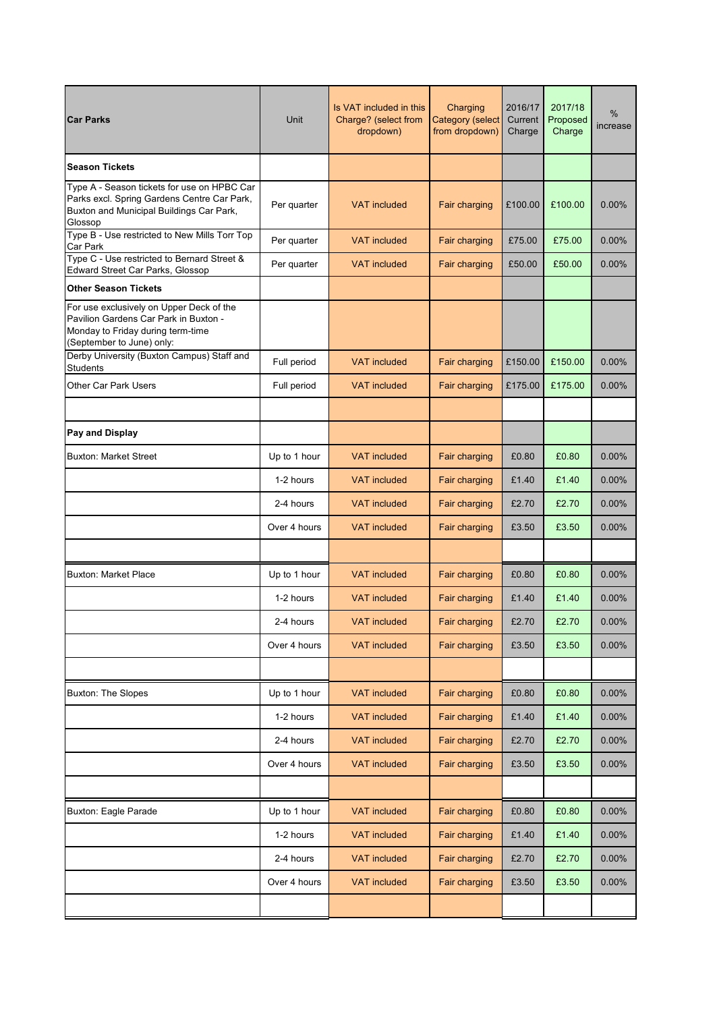| <b>Car Parks</b>                                                                                                                                    | Unit         | Is VAT included in this<br>Charging<br>Charge? (select from<br><b>Category</b> (select<br>from dropdown)<br>dropdown) |               | 2016/17<br>Current<br>Charge | 2017/18<br>Proposed<br>Charge | %<br>increase |
|-----------------------------------------------------------------------------------------------------------------------------------------------------|--------------|-----------------------------------------------------------------------------------------------------------------------|---------------|------------------------------|-------------------------------|---------------|
| <b>Season Tickets</b>                                                                                                                               |              |                                                                                                                       |               |                              |                               |               |
| Type A - Season tickets for use on HPBC Car<br>Parks excl. Spring Gardens Centre Car Park,<br>Buxton and Municipal Buildings Car Park,<br>Glossop   | Per quarter  | <b>VAT included</b>                                                                                                   | Fair charging | £100.00                      | £100.00                       | 0.00%         |
| Type B - Use restricted to New Mills Torr Top<br><b>Car Park</b>                                                                                    | Per quarter  | <b>VAT included</b>                                                                                                   | Fair charging | £75.00                       | £75.00                        | 0.00%         |
| Type C - Use restricted to Bernard Street &<br>Edward Street Car Parks, Glossop                                                                     | Per quarter  | <b>VAT</b> included                                                                                                   | Fair charging | £50.00                       | £50.00                        | 0.00%         |
| <b>Other Season Tickets</b>                                                                                                                         |              |                                                                                                                       |               |                              |                               |               |
| For use exclusively on Upper Deck of the<br>Pavilion Gardens Car Park in Buxton -<br>Monday to Friday during term-time<br>(September to June) only: |              |                                                                                                                       |               |                              |                               |               |
| Derby University (Buxton Campus) Staff and<br><b>Students</b>                                                                                       | Full period  | <b>VAT included</b>                                                                                                   | Fair charging | £150.00                      | £150.00                       | 0.00%         |
| <b>Other Car Park Users</b>                                                                                                                         | Full period  | <b>VAT</b> included                                                                                                   | Fair charging | £175.00                      | £175.00                       | 0.00%         |
|                                                                                                                                                     |              |                                                                                                                       |               |                              |                               |               |
| Pay and Display                                                                                                                                     |              |                                                                                                                       |               |                              |                               |               |
| <b>Buxton: Market Street</b>                                                                                                                        | Up to 1 hour | <b>VAT included</b>                                                                                                   | Fair charging | £0.80                        | £0.80                         | 0.00%         |
|                                                                                                                                                     | 1-2 hours    | <b>VAT</b> included                                                                                                   | Fair charging | £1.40                        | £1.40                         | 0.00%         |
|                                                                                                                                                     | 2-4 hours    | <b>VAT included</b>                                                                                                   | Fair charging | £2.70                        | £2.70                         | 0.00%         |
|                                                                                                                                                     | Over 4 hours | <b>VAT included</b>                                                                                                   | Fair charging | £3.50                        | £3.50                         | 0.00%         |
|                                                                                                                                                     |              |                                                                                                                       |               |                              |                               |               |
| <b>Buxton: Market Place</b>                                                                                                                         | Up to 1 hour | <b>VAT</b> included                                                                                                   | Fair charging | £0.80                        | £0.80                         | 0.00%         |
|                                                                                                                                                     | 1-2 hours    | <b>VAT</b> included                                                                                                   | Fair charging | £1.40                        | £1.40                         | 0.00%         |
|                                                                                                                                                     | 2-4 hours    | VAT included                                                                                                          | Fair charging | £2.70                        | £2.70                         | 0.00%         |
|                                                                                                                                                     | Over 4 hours | <b>VAT included</b>                                                                                                   | Fair charging | £3.50                        | £3.50                         | $0.00\%$      |
|                                                                                                                                                     |              |                                                                                                                       |               |                              |                               |               |
| <b>Buxton: The Slopes</b>                                                                                                                           | Up to 1 hour | <b>VAT included</b>                                                                                                   | Fair charging | £0.80                        | £0.80                         | 0.00%         |
|                                                                                                                                                     | 1-2 hours    | <b>VAT included</b>                                                                                                   | Fair charging | £1.40                        | £1.40                         | 0.00%         |
|                                                                                                                                                     | 2-4 hours    | <b>VAT</b> included                                                                                                   | Fair charging | £2.70                        | £2.70                         | 0.00%         |
|                                                                                                                                                     | Over 4 hours | <b>VAT</b> included                                                                                                   | Fair charging | £3.50                        | £3.50                         | 0.00%         |
|                                                                                                                                                     |              |                                                                                                                       |               |                              |                               |               |
| Buxton: Eagle Parade                                                                                                                                | Up to 1 hour | <b>VAT included</b>                                                                                                   | Fair charging | £0.80                        | £0.80                         | $0.00\%$      |
|                                                                                                                                                     | 1-2 hours    | <b>VAT</b> included                                                                                                   | Fair charging | £1.40                        | £1.40                         | 0.00%         |
|                                                                                                                                                     | 2-4 hours    | <b>VAT included</b>                                                                                                   | Fair charging | £2.70                        | £2.70                         | 0.00%         |
|                                                                                                                                                     | Over 4 hours | <b>VAT included</b>                                                                                                   | Fair charging | £3.50                        | £3.50                         | 0.00%         |
|                                                                                                                                                     |              |                                                                                                                       |               |                              |                               |               |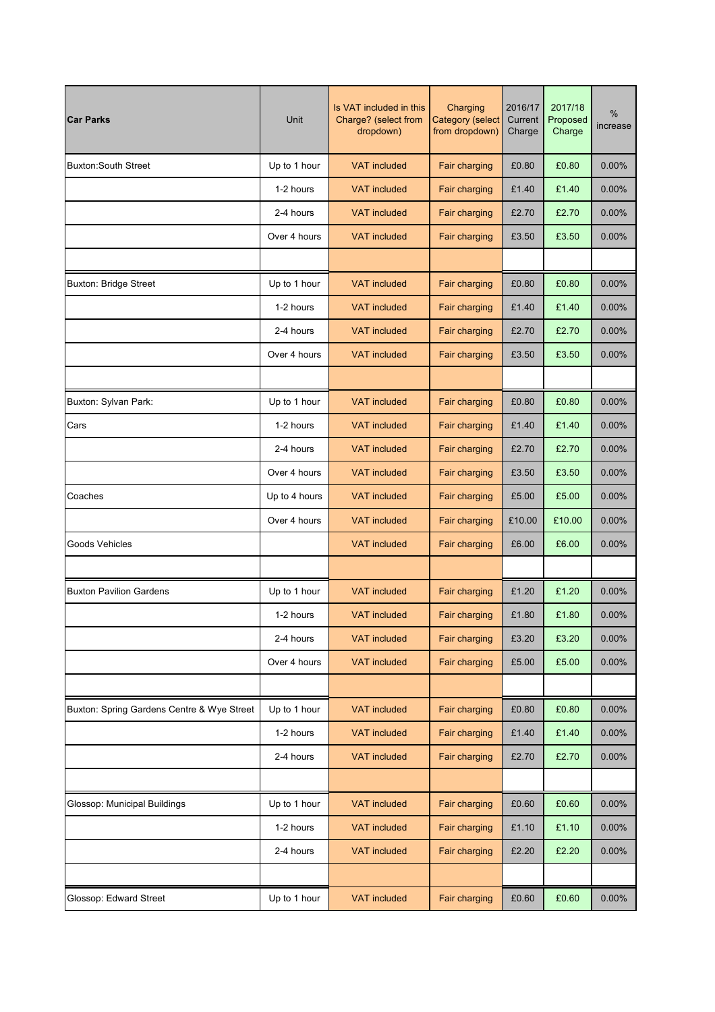| <b>Car Parks</b>                           | <b>Unit</b>   | Is VAT included in this<br>Charging<br>Charge? (select from<br><b>Category (select</b><br>from dropdown)<br>dropdown) |               | 2016/17<br>Current<br>Charge | 2017/18<br>Proposed<br>Charge | %<br>increase |
|--------------------------------------------|---------------|-----------------------------------------------------------------------------------------------------------------------|---------------|------------------------------|-------------------------------|---------------|
| <b>Buxton:South Street</b>                 | Up to 1 hour  | <b>VAT included</b>                                                                                                   | Fair charging | £0.80                        | £0.80                         | 0.00%         |
|                                            | 1-2 hours     | <b>VAT included</b>                                                                                                   | Fair charging | £1.40                        | £1.40                         | 0.00%         |
|                                            | 2-4 hours     | <b>VAT included</b>                                                                                                   | Fair charging | £2.70                        | £2.70                         | 0.00%         |
|                                            | Over 4 hours  | <b>VAT included</b>                                                                                                   | Fair charging | £3.50                        | £3.50                         | 0.00%         |
|                                            |               |                                                                                                                       |               |                              |                               |               |
| <b>Buxton: Bridge Street</b>               | Up to 1 hour  | <b>VAT included</b>                                                                                                   | Fair charging | £0.80                        | £0.80                         | 0.00%         |
|                                            | 1-2 hours     | <b>VAT included</b>                                                                                                   | Fair charging | £1.40                        | £1.40                         | $0.00\%$      |
|                                            | 2-4 hours     | <b>VAT included</b>                                                                                                   | Fair charging | £2.70                        | £2.70                         | 0.00%         |
|                                            | Over 4 hours  | <b>VAT</b> included                                                                                                   | Fair charging | £3.50                        | £3.50                         | 0.00%         |
|                                            |               |                                                                                                                       |               |                              |                               |               |
| Buxton: Sylvan Park:                       | Up to 1 hour  | <b>VAT included</b>                                                                                                   | Fair charging | £0.80                        | £0.80                         | 0.00%         |
| Cars                                       | 1-2 hours     | <b>VAT</b> included                                                                                                   | Fair charging | £1.40                        | £1.40                         | 0.00%         |
|                                            | 2-4 hours     | <b>VAT</b> included                                                                                                   | Fair charging | £2.70                        | £2.70                         | 0.00%         |
|                                            | Over 4 hours  | <b>VAT included</b>                                                                                                   | Fair charging | £3.50                        | £3.50                         | 0.00%         |
| Coaches                                    | Up to 4 hours | <b>VAT included</b>                                                                                                   | Fair charging | £5.00                        | £5.00                         | 0.00%         |
|                                            | Over 4 hours  | <b>VAT included</b>                                                                                                   | Fair charging | £10.00                       | £10.00                        | 0.00%         |
| Goods Vehicles                             |               | <b>VAT</b> included                                                                                                   | Fair charging | £6.00                        | £6.00                         | 0.00%         |
|                                            |               |                                                                                                                       |               |                              |                               |               |
| <b>Buxton Pavilion Gardens</b>             | Up to 1 hour  | <b>VAT included</b>                                                                                                   | Fair charging | £1.20                        | £1.20                         | 0.00%         |
|                                            | 1-2 hours     | <b>VAT</b> included                                                                                                   | Fair charging | £1.80                        | £1.80                         | 0.00%         |
|                                            | 2-4 hours     | <b>VAT included</b>                                                                                                   | Fair charging | £3.20                        | £3.20                         | 0.00%         |
|                                            | Over 4 hours  | <b>VAT included</b>                                                                                                   | Fair charging | £5.00                        | £5.00                         | $0.00\%$      |
|                                            |               |                                                                                                                       |               |                              |                               |               |
| Buxton: Spring Gardens Centre & Wye Street | Up to 1 hour  | <b>VAT included</b>                                                                                                   | Fair charging | £0.80                        | £0.80                         | 0.00%         |
|                                            | 1-2 hours     | <b>VAT included</b>                                                                                                   | Fair charging | £1.40                        | £1.40                         | 0.00%         |
|                                            | 2-4 hours     | <b>VAT included</b>                                                                                                   | Fair charging | £2.70                        | £2.70                         | $0.00\%$      |
|                                            |               |                                                                                                                       |               |                              |                               |               |
| Glossop: Municipal Buildings               | Up to 1 hour  | <b>VAT included</b>                                                                                                   | Fair charging | £0.60                        | £0.60                         | 0.00%         |
|                                            | 1-2 hours     | <b>VAT included</b>                                                                                                   | Fair charging | £1.10                        | £1.10                         | 0.00%         |
|                                            | 2-4 hours     | <b>VAT included</b>                                                                                                   | Fair charging | £2.20                        | £2.20                         | 0.00%         |
|                                            |               |                                                                                                                       |               |                              |                               |               |
| Glossop: Edward Street                     | Up to 1 hour  | <b>VAT included</b>                                                                                                   | Fair charging | £0.60                        | £0.60                         | 0.00%         |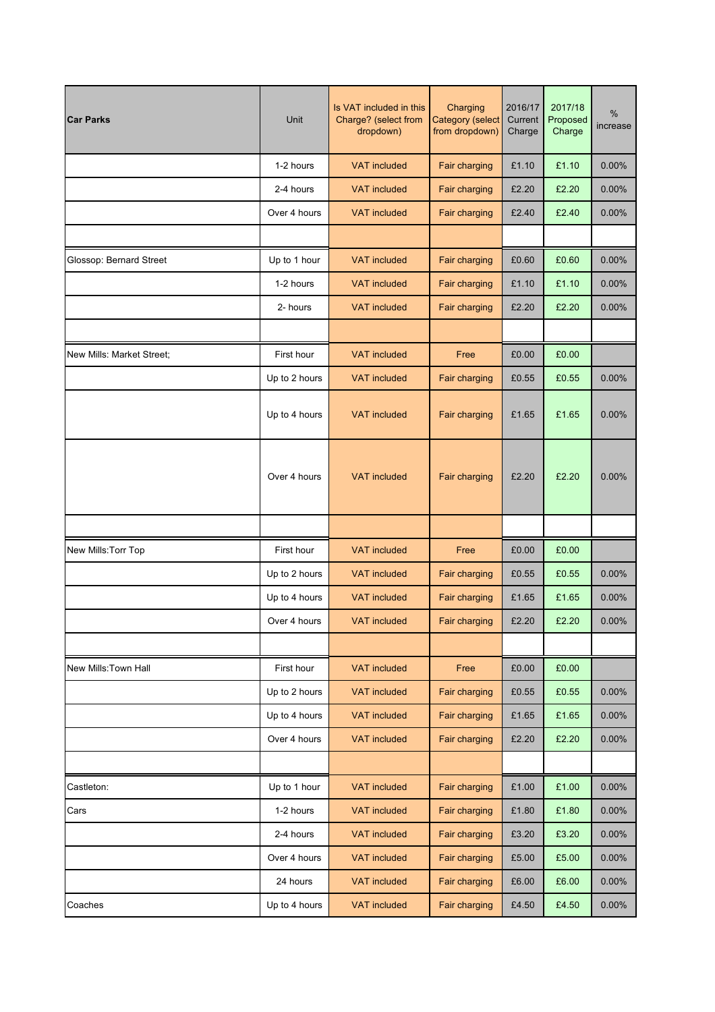| <b>Car Parks</b>          | <b>Unit</b>   | Is VAT included in this<br>Charge? (select from<br>dropdown) | Charging<br><b>Category (select</b><br>from dropdown) | 2016/17<br>Current<br>Charge | 2017/18<br>Proposed<br>Charge | %<br>increase |
|---------------------------|---------------|--------------------------------------------------------------|-------------------------------------------------------|------------------------------|-------------------------------|---------------|
|                           | 1-2 hours     | <b>VAT included</b>                                          | Fair charging                                         | £1.10                        | £1.10                         | 0.00%         |
|                           | 2-4 hours     | <b>VAT included</b>                                          | Fair charging                                         | £2.20                        | £2.20                         | 0.00%         |
|                           | Over 4 hours  | <b>VAT included</b>                                          | Fair charging                                         | £2.40                        | £2.40                         | 0.00%         |
|                           |               |                                                              |                                                       |                              |                               |               |
| Glossop: Bernard Street   | Up to 1 hour  | <b>VAT included</b>                                          | Fair charging                                         | £0.60                        | £0.60                         | 0.00%         |
|                           | 1-2 hours     | <b>VAT included</b>                                          | Fair charging                                         | £1.10                        | £1.10                         | 0.00%         |
|                           | 2- hours      | <b>VAT included</b>                                          | Fair charging                                         | £2.20                        | £2.20                         | 0.00%         |
|                           |               |                                                              |                                                       |                              |                               |               |
| New Mills: Market Street; | First hour    | <b>VAT included</b>                                          | Free                                                  | £0.00                        | £0.00                         |               |
|                           | Up to 2 hours | <b>VAT included</b>                                          | Fair charging                                         | £0.55                        | £0.55                         | 0.00%         |
|                           | Up to 4 hours | <b>VAT included</b>                                          | Fair charging                                         | £1.65                        | £1.65                         | 0.00%         |
|                           | Over 4 hours  | <b>VAT included</b>                                          | Fair charging                                         | £2.20                        | £2.20                         | 0.00%         |
|                           |               |                                                              |                                                       |                              |                               |               |
| New Mills: Torr Top       | First hour    | <b>VAT included</b><br>Free                                  |                                                       | £0.00                        | £0.00                         |               |
|                           | Up to 2 hours | <b>VAT included</b>                                          | Fair charging                                         | £0.55                        | £0.55                         | 0.00%         |
|                           | Up to 4 hours | <b>VAT</b> included                                          | Fair charging                                         | £1.65                        | £1.65                         | 0.00%         |
|                           | Over 4 hours  | <b>VAT</b> included                                          | Fair charging                                         | £2.20                        | £2.20                         | 0.00%         |
|                           |               |                                                              |                                                       |                              |                               |               |
| New Mills: Town Hall      | First hour    | <b>VAT included</b>                                          | Free                                                  | £0.00                        | £0.00                         |               |
|                           | Up to 2 hours | <b>VAT included</b>                                          | Fair charging                                         | £0.55                        | £0.55                         | 0.00%         |
|                           | Up to 4 hours | <b>VAT included</b>                                          | Fair charging                                         | £1.65                        | £1.65                         | 0.00%         |
|                           | Over 4 hours  | <b>VAT included</b>                                          | Fair charging                                         | £2.20                        | £2.20                         | 0.00%         |
|                           |               |                                                              |                                                       |                              |                               |               |
| Castleton:                | Up to 1 hour  | <b>VAT included</b>                                          | Fair charging                                         | £1.00                        | £1.00                         | 0.00%         |
| Cars                      | 1-2 hours     | <b>VAT included</b>                                          | Fair charging                                         | £1.80                        | £1.80                         | $0.00\%$      |
|                           | 2-4 hours     | <b>VAT included</b>                                          | Fair charging                                         | £3.20                        | £3.20                         | 0.00%         |
|                           | Over 4 hours  | <b>VAT included</b>                                          | Fair charging                                         | £5.00                        | £5.00                         | $0.00\%$      |
|                           | 24 hours      | <b>VAT included</b>                                          | Fair charging                                         | £6.00                        | £6.00                         | 0.00%         |
| Coaches                   | Up to 4 hours | <b>VAT included</b>                                          | Fair charging                                         | £4.50                        | £4.50                         | $0.00\%$      |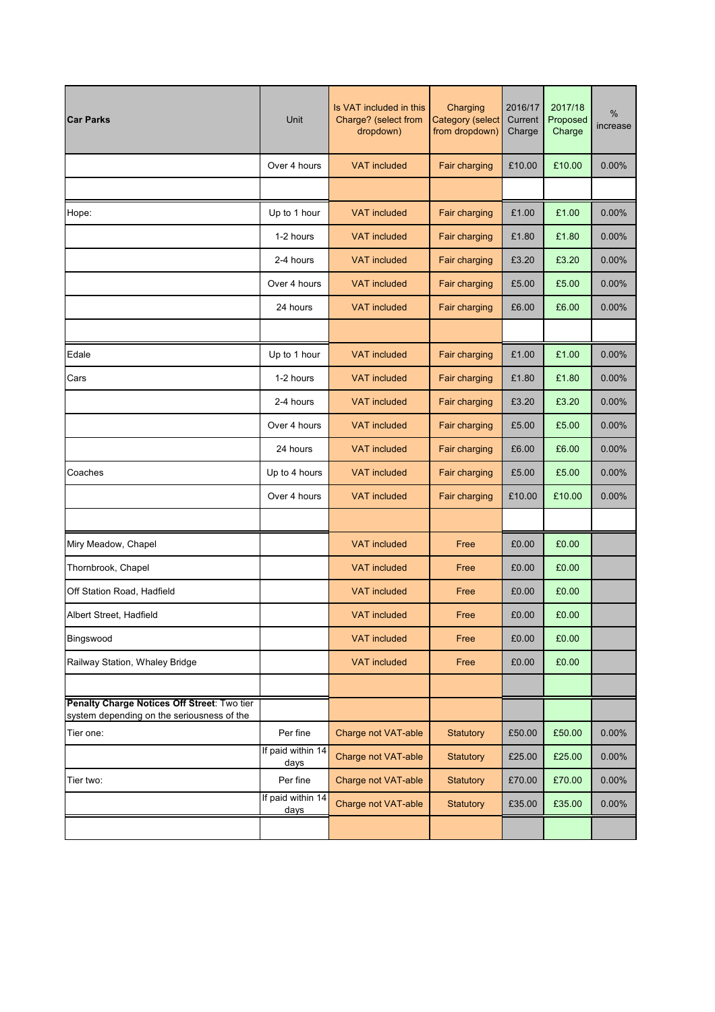| <b>Car Parks</b>                                                                          | <b>Unit</b>               | Is VAT included in this<br>Charging<br>Charge? (select from<br>Category (select<br>from dropdown)<br>dropdown) |                  | 2016/17<br>Current<br>Charge | 2017/18<br>Proposed<br>Charge | %<br>increase |
|-------------------------------------------------------------------------------------------|---------------------------|----------------------------------------------------------------------------------------------------------------|------------------|------------------------------|-------------------------------|---------------|
|                                                                                           | Over 4 hours              | <b>VAT included</b>                                                                                            | Fair charging    | £10.00                       | £10.00                        | 0.00%         |
|                                                                                           |                           |                                                                                                                |                  |                              |                               |               |
| Hope:                                                                                     | Up to 1 hour              | <b>VAT included</b>                                                                                            | Fair charging    | £1.00                        | £1.00                         | 0.00%         |
|                                                                                           | 1-2 hours                 | <b>VAT</b> included                                                                                            | Fair charging    | £1.80                        | £1.80                         | 0.00%         |
|                                                                                           | 2-4 hours                 | <b>VAT included</b>                                                                                            | Fair charging    | £3.20                        | £3.20                         | 0.00%         |
|                                                                                           | Over 4 hours              | <b>VAT included</b>                                                                                            | Fair charging    | £5.00                        | £5.00                         | 0.00%         |
|                                                                                           | 24 hours                  | <b>VAT included</b>                                                                                            | Fair charging    | £6.00                        | £6.00                         | 0.00%         |
|                                                                                           |                           |                                                                                                                |                  |                              |                               |               |
| Edale                                                                                     | Up to 1 hour              | <b>VAT</b> included                                                                                            | Fair charging    | £1.00                        | £1.00                         | 0.00%         |
| Cars                                                                                      | 1-2 hours                 | <b>VAT included</b>                                                                                            | Fair charging    | £1.80                        | £1.80                         | 0.00%         |
|                                                                                           | 2-4 hours                 | <b>VAT included</b>                                                                                            | Fair charging    | £3.20                        | £3.20                         | 0.00%         |
|                                                                                           | Over 4 hours              | <b>VAT included</b>                                                                                            | Fair charging    | £5.00                        | £5.00                         | 0.00%         |
|                                                                                           | 24 hours                  | <b>VAT included</b>                                                                                            | Fair charging    | £6.00                        | £6.00                         | 0.00%         |
| Coaches                                                                                   | Up to 4 hours             | <b>VAT included</b>                                                                                            | Fair charging    | £5.00                        | £5.00                         | 0.00%         |
|                                                                                           | Over 4 hours              | <b>VAT included</b>                                                                                            | Fair charging    | £10.00                       | £10.00                        | 0.00%         |
|                                                                                           |                           |                                                                                                                |                  |                              |                               |               |
| Miry Meadow, Chapel                                                                       |                           | <b>VAT</b> included                                                                                            | Free             | £0.00                        | £0.00                         |               |
| Thornbrook, Chapel                                                                        |                           | <b>VAT</b> included                                                                                            | Free             | £0.00                        | £0.00                         |               |
| Off Station Road, Hadfield                                                                |                           | <b>VAT included</b>                                                                                            | Free             | £0.00                        | £0.00                         |               |
| Albert Street, Hadfield                                                                   |                           | <b>VAT included</b>                                                                                            | Free             | £0.00                        | £0.00                         |               |
| Bingswood                                                                                 |                           | <b>VAT</b> included                                                                                            | Free             | £0.00                        | £0.00                         |               |
| Railway Station, Whaley Bridge                                                            |                           | <b>VAT included</b>                                                                                            | Free             | £0.00                        | £0.00                         |               |
|                                                                                           |                           |                                                                                                                |                  |                              |                               |               |
| Penalty Charge Notices Off Street: Two tier<br>system depending on the seriousness of the |                           |                                                                                                                |                  |                              |                               |               |
| Tier one:                                                                                 | Per fine                  | Charge not VAT-able                                                                                            | <b>Statutory</b> | £50.00                       | £50.00                        | 0.00%         |
|                                                                                           | If paid within 14<br>days | Charge not VAT-able                                                                                            | Statutory        | £25.00                       | £25.00                        | 0.00%         |
| Tier two:                                                                                 | Per fine                  | Charge not VAT-able                                                                                            | <b>Statutory</b> | £70.00                       | £70.00                        | 0.00%         |
|                                                                                           | If paid within 14<br>days | Charge not VAT-able                                                                                            | Statutory        | £35.00                       | £35.00                        | $0.00\%$      |
|                                                                                           |                           |                                                                                                                |                  |                              |                               |               |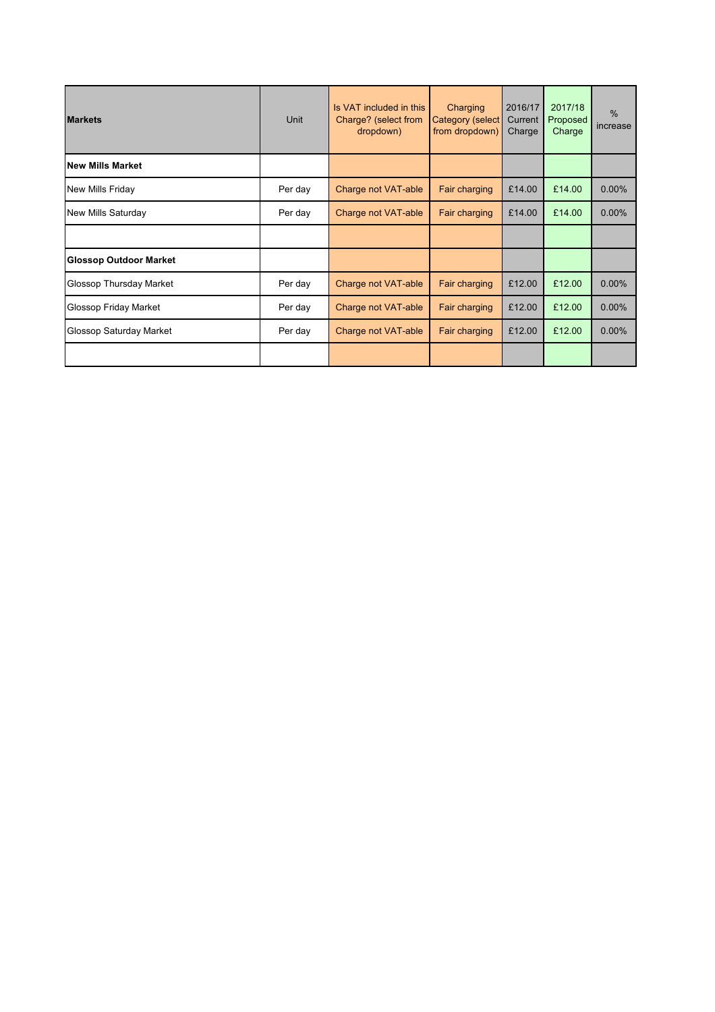| <b>Markets</b>                 | Unit    | Is VAT included in this<br>Charge? (select from<br>dropdown) | Charging<br><b>Category (select</b><br>from dropdown) | 2016/17<br>Current<br>Charge | 2017/18<br>Proposed<br>Charge | $\frac{0}{0}$<br>increase |
|--------------------------------|---------|--------------------------------------------------------------|-------------------------------------------------------|------------------------------|-------------------------------|---------------------------|
| <b>New Mills Market</b>        |         |                                                              |                                                       |                              |                               |                           |
| New Mills Friday               | Per day | Charge not VAT-able                                          | Fair charging                                         | £14.00                       | £14.00                        | 0.00%                     |
| <b>New Mills Saturday</b>      | Per day | Charge not VAT-able                                          | Fair charging                                         | £14.00                       | £14.00                        | 0.00%                     |
|                                |         |                                                              |                                                       |                              |                               |                           |
| <b>Glossop Outdoor Market</b>  |         |                                                              |                                                       |                              |                               |                           |
| Glossop Thursday Market        | Per day | Charge not VAT-able                                          | Fair charging                                         | £12.00                       | £12.00                        | $0.00\%$                  |
| Glossop Friday Market          | Per day | Charge not VAT-able                                          | Fair charging                                         | £12.00                       | £12.00                        | 0.00%                     |
| <b>Glossop Saturday Market</b> | Per day | Charge not VAT-able                                          | Fair charging                                         | £12.00                       | £12.00                        | 0.00%                     |
|                                |         |                                                              |                                                       |                              |                               |                           |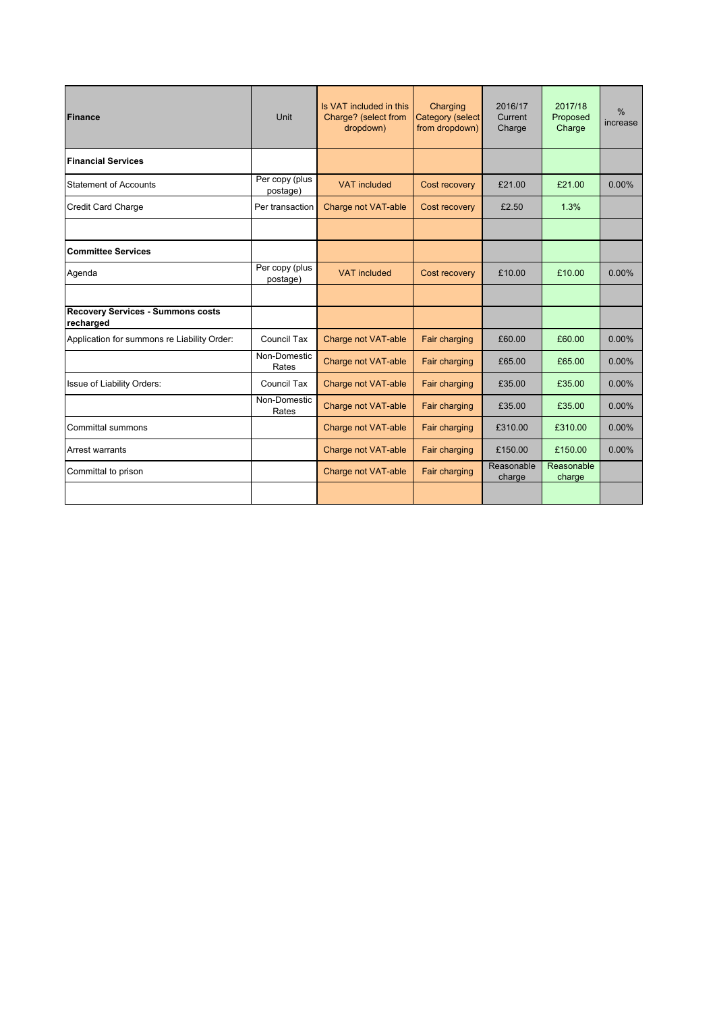| <b>Finance</b>                                        | Unit                       | Is VAT included in this<br>Charge? (select from<br>dropdown) | Charging<br>Category (select<br>from dropdown) | 2016/17<br>Current<br>Charge | 2017/18<br>Proposed<br>Charge | $\frac{0}{0}$<br>increase |
|-------------------------------------------------------|----------------------------|--------------------------------------------------------------|------------------------------------------------|------------------------------|-------------------------------|---------------------------|
| <b>Financial Services</b>                             |                            |                                                              |                                                |                              |                               |                           |
| <b>Statement of Accounts</b>                          | Per copy (plus<br>postage) | <b>VAT</b> included                                          | Cost recovery                                  | £21.00                       | £21.00                        | $0.00\%$                  |
| <b>Credit Card Charge</b>                             | Per transaction            | Charge not VAT-able                                          | Cost recovery                                  | £2.50                        | 1.3%                          |                           |
|                                                       |                            |                                                              |                                                |                              |                               |                           |
| <b>Committee Services</b>                             |                            |                                                              |                                                |                              |                               |                           |
| Agenda                                                | Per copy (plus<br>postage) | <b>VAT</b> included                                          | Cost recovery                                  | £10.00                       | £10.00                        | $0.00\%$                  |
|                                                       |                            |                                                              |                                                |                              |                               |                           |
| <b>Recovery Services - Summons costs</b><br>recharged |                            |                                                              |                                                |                              |                               |                           |
| Application for summons re Liability Order:           | Council Tax                | Charge not VAT-able                                          | Fair charging                                  | £60.00                       | £60.00                        | $0.00\%$                  |
|                                                       | Non-Domestic<br>Rates      | Charge not VAT-able                                          | Fair charging                                  | £65.00                       | £65.00                        | $0.00\%$                  |
| Issue of Liability Orders:                            | Council Tax                | Charge not VAT-able                                          | Fair charging                                  | £35.00                       | £35.00                        | $0.00\%$                  |
|                                                       | Non-Domestic<br>Rates      | Charge not VAT-able                                          | Fair charging                                  | £35.00                       | £35.00                        | $0.00\%$                  |
| <b>Committal summons</b>                              |                            | Charge not VAT-able                                          | Fair charging                                  | £310.00                      | £310.00                       | $0.00\%$                  |
| Arrest warrants                                       |                            | Charge not VAT-able                                          | Fair charging                                  | £150.00                      | £150.00                       | 0.00%                     |
| Committal to prison                                   |                            | Charge not VAT-able                                          | Fair charging                                  | Reasonable<br>charge         | Reasonable<br>charge          |                           |
|                                                       |                            |                                                              |                                                |                              |                               |                           |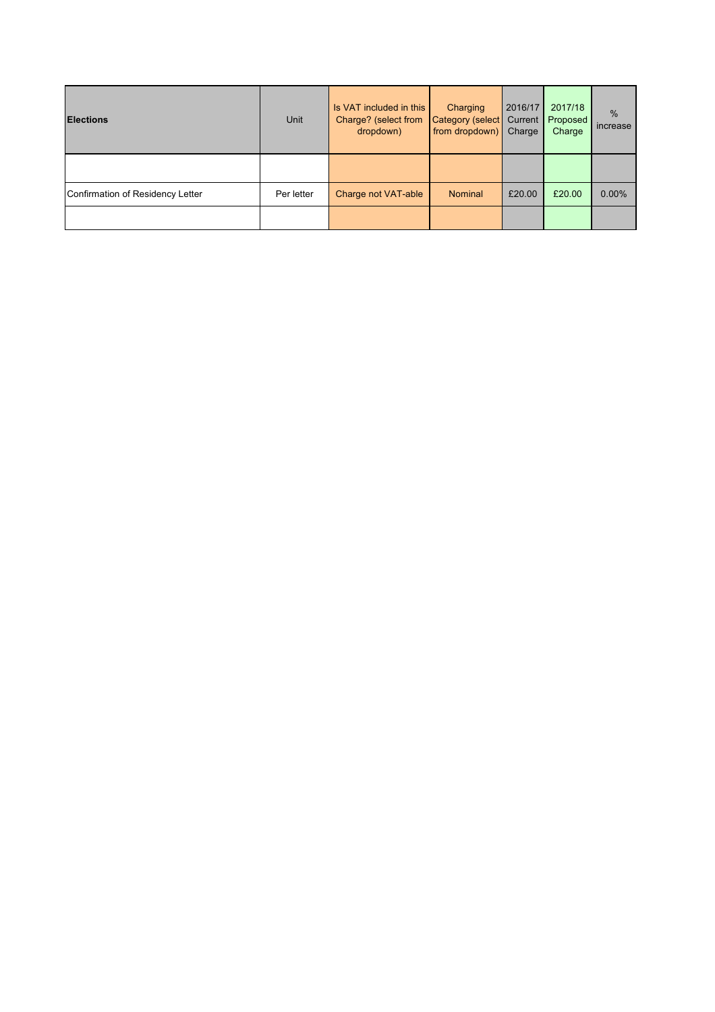| <b>Elections</b>                 | <b>Unit</b> | Is VAT included in this<br>Charge? (select from<br>dropdown) | Charging<br>Category (select<br>from dropdown) | 2016/17<br>Current<br>Charge | 2017/18<br>Proposed<br>Charge | $\frac{0}{0}$<br>increase |
|----------------------------------|-------------|--------------------------------------------------------------|------------------------------------------------|------------------------------|-------------------------------|---------------------------|
|                                  |             |                                                              |                                                |                              |                               |                           |
| Confirmation of Residency Letter | Per letter  | Charge not VAT-able                                          | <b>Nominal</b>                                 | £20.00                       | £20.00                        | 0.00%                     |
|                                  |             |                                                              |                                                |                              |                               |                           |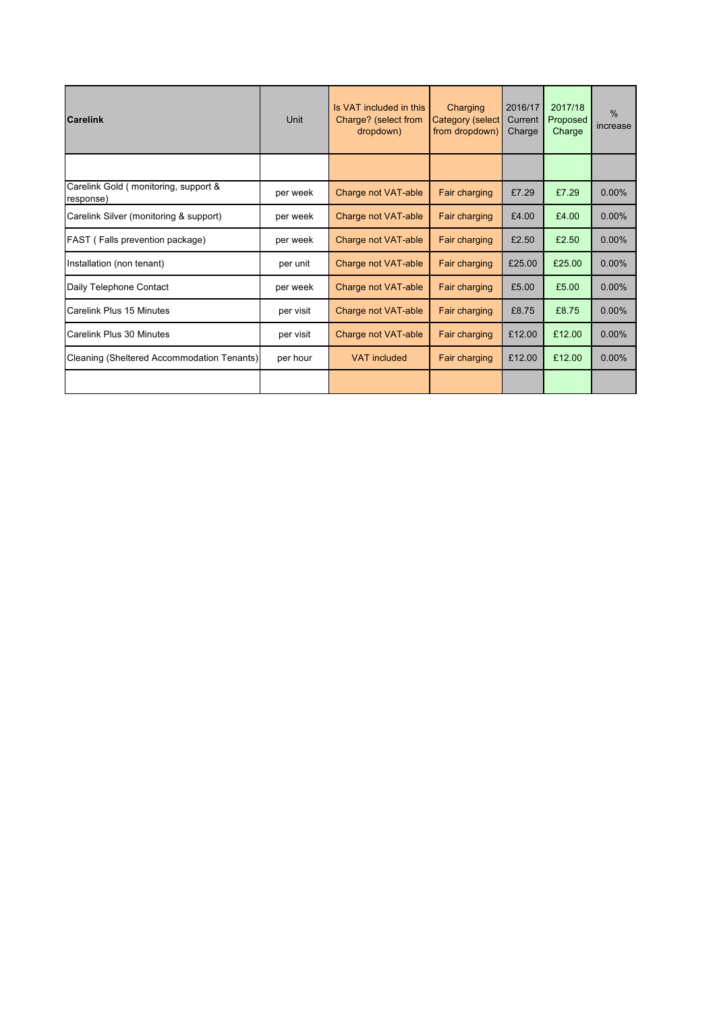| <b>Carelink</b>                                   | Unit      | Is VAT included in this<br>Charge? (select from<br>dropdown) | Charging<br><b>Category (select</b><br>from dropdown) | 2016/17<br>Current<br>Charge | 2017/18<br>Proposed<br>Charge | $\frac{0}{0}$<br>increase |
|---------------------------------------------------|-----------|--------------------------------------------------------------|-------------------------------------------------------|------------------------------|-------------------------------|---------------------------|
|                                                   |           |                                                              |                                                       |                              |                               |                           |
| Carelink Gold (monitoring, support &<br>response) | per week  | Charge not VAT-able                                          | Fair charging                                         | £7.29                        | £7.29                         | 0.00%                     |
| Carelink Silver (monitoring & support)            | per week  | Charge not VAT-able                                          | Fair charging                                         | £4.00                        | £4.00                         | $0.00\%$                  |
| FAST (Falls prevention package)                   | per week  | Charge not VAT-able                                          | Fair charging                                         | £2.50                        | £2.50                         | 0.00%                     |
| Installation (non tenant)                         | per unit  | Charge not VAT-able                                          | Fair charging                                         | £25.00                       | £25.00                        | 0.00%                     |
| Daily Telephone Contact                           | per week  | Charge not VAT-able                                          | Fair charging                                         | £5.00                        | £5.00                         | 0.00%                     |
| Carelink Plus 15 Minutes                          | per visit | Charge not VAT-able                                          | Fair charging                                         | £8.75                        | £8.75                         | 0.00%                     |
| Carelink Plus 30 Minutes                          | per visit | Charge not VAT-able                                          | <b>Fair charging</b>                                  | £12.00                       | £12.00                        | 0.00%                     |
| Cleaning (Sheltered Accommodation Tenants)        | per hour  | <b>VAT</b> included                                          | Fair charging                                         | £12.00                       | £12.00                        | 0.00%                     |
|                                                   |           |                                                              |                                                       |                              |                               |                           |